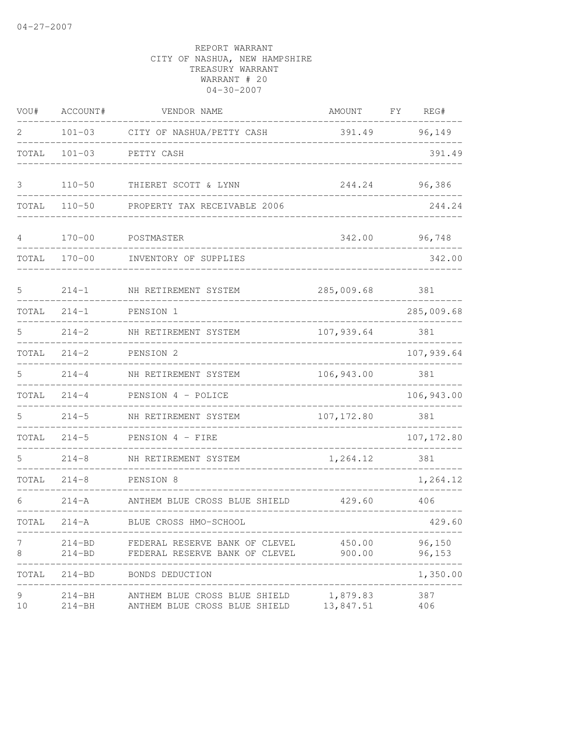| VOU#    | ACCOUNT#                 | VENDOR NAME                                                                    | AMOUNT                | FY<br>REG#       |
|---------|--------------------------|--------------------------------------------------------------------------------|-----------------------|------------------|
| 2       | $101 - 03$               | CITY OF NASHUA/PETTY CASH                                                      | 391.49                | 96,149           |
| TOTAL   | $101 - 03$               | PETTY CASH                                                                     |                       | 391.49           |
| 3       | $110 - 50$               | THIERET SCOTT & LYNN                                                           | 244.24                | 96,386           |
| TOTAL   | $110 - 50$               | PROPERTY TAX RECEIVABLE 2006                                                   |                       | 244.24           |
| 4       | $170 - 00$               | POSTMASTER                                                                     | 342.00                | 96,748           |
| TOTAL   | $170 - 00$               | INVENTORY OF SUPPLIES                                                          |                       | 342.00           |
| 5       | $214 - 1$                | NH RETIREMENT SYSTEM                                                           | 285,009.68            | 381              |
| TOTAL   | $214 - 1$                | PENSION 1                                                                      |                       | 285,009.68       |
| 5       | $214 - 2$                | NH RETIREMENT SYSTEM                                                           | 107,939.64            | 381              |
| TOTAL   | $214 - 2$                | PENSION 2                                                                      |                       | 107,939.64       |
| 5       | $214 - 4$                | NH RETIREMENT SYSTEM                                                           | 106,943.00            | 381              |
| TOTAL   | $214 - 4$                | PENSION 4 - POLICE                                                             |                       | 106,943.00       |
| 5       | $214 - 5$                | NH RETIREMENT SYSTEM                                                           | 107, 172.80           | 381              |
| TOTAL   | $214 - 5$                | PENSION 4 - FIRE                                                               |                       | 107, 172.80      |
| 5       | $214 - 8$                | NH RETIREMENT SYSTEM                                                           | 1,264.12              | 381              |
| TOTAL   | $214 - 8$                | PENSION 8                                                                      |                       | 1,264.12         |
| 6       | $214 - A$                | ANTHEM BLUE CROSS BLUE SHIELD                                                  | 429.60                | 406              |
| TOTAL   | $214 - A$                | BLUE CROSS HMO-SCHOOL                                                          |                       | 429.60           |
| 7<br>8  |                          | 214-BD FEDERAL RESERVE BANK OF CLEVEL<br>214-BD FEDERAL RESERVE BANK OF CLEVEL | 450.00<br>900.00      | 96,150<br>96,153 |
| TOTAL   |                          | 214-BD BONDS DEDUCTION                                                         |                       | 1,350.00         |
| 9<br>10 | $214 - BH$<br>$214 - BH$ | ANTHEM BLUE CROSS BLUE SHIELD<br>ANTHEM BLUE CROSS BLUE SHIELD                 | 1,879.83<br>13,847.51 | 387<br>406       |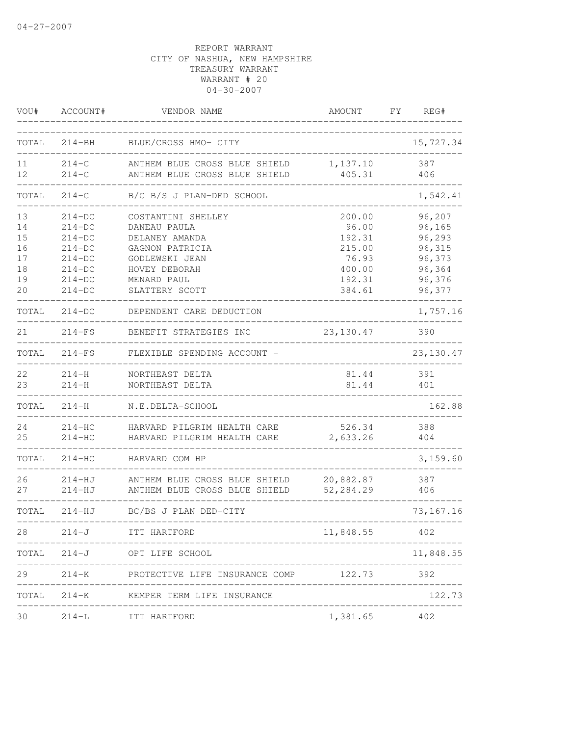| VOU#                                   | ACCOUNT#                                                                         | VENDOR NAME                                                                                                               | AMOUNT                                                           | FY | REG#                                                               |
|----------------------------------------|----------------------------------------------------------------------------------|---------------------------------------------------------------------------------------------------------------------------|------------------------------------------------------------------|----|--------------------------------------------------------------------|
| TOTAL                                  | $214 - BH$                                                                       | BLUE/CROSS HMO- CITY                                                                                                      |                                                                  |    | 15,727.34                                                          |
| 11<br>12 <sup>°</sup>                  | $214-C$<br>$214-C$                                                               | ANTHEM BLUE CROSS BLUE SHIELD<br>ANTHEM BLUE CROSS BLUE SHIELD                                                            | 1,137.10<br>405.31                                               |    | 387<br>406                                                         |
| TOTAL                                  | $214-C$                                                                          | B/C B/S J PLAN-DED SCHOOL                                                                                                 |                                                                  |    | 1,542.41                                                           |
| 13<br>14<br>15<br>16<br>17<br>18<br>19 | $214-DC$<br>$214-DC$<br>$214-DC$<br>$214-DC$<br>$214-DC$<br>$214-DC$<br>$214-DC$ | COSTANTINI SHELLEY<br>DANEAU PAULA<br>DELANEY AMANDA<br>GAGNON PATRICIA<br>GODLEWSKI JEAN<br>HOVEY DEBORAH<br>MENARD PAUL | 200.00<br>96.00<br>192.31<br>215.00<br>76.93<br>400.00<br>192.31 |    | 96,207<br>96,165<br>96,293<br>96,315<br>96,373<br>96,364<br>96,376 |
| 20                                     | $214-DC$                                                                         | SLATTERY SCOTT                                                                                                            | 384.61                                                           |    | 96,377                                                             |
| TOTAL                                  | $214-DC$                                                                         | DEPENDENT CARE DEDUCTION                                                                                                  |                                                                  |    | 1,757.16                                                           |
| 21                                     | $214-FS$                                                                         | BENEFIT STRATEGIES INC                                                                                                    | 23,130.47                                                        |    | 390                                                                |
| TOTAL                                  | $214-FS$                                                                         | FLEXIBLE SPENDING ACCOUNT -                                                                                               |                                                                  |    | 23, 130.47                                                         |
| 22<br>23                               | $214-H$<br>$214 - H$                                                             | NORTHEAST DELTA<br>NORTHEAST DELTA                                                                                        | 81.44<br>81.44                                                   |    | 391<br>401                                                         |
| TOTAL                                  | $214-H$                                                                          | N.E.DELTA-SCHOOL                                                                                                          |                                                                  |    | 162.88                                                             |
| 24<br>25                               | $214-HC$<br>$214-HC$                                                             | HARVARD PILGRIM HEALTH CARE<br>HARVARD PILGRIM HEALTH CARE                                                                | 526.34<br>2,633.26                                               |    | 388<br>404                                                         |
| TOTAL                                  | $214 - HC$                                                                       | HARVARD COM HP                                                                                                            |                                                                  |    | 3,159.60                                                           |
| 26<br>27                               | 214-HJ<br>$214 - HJ$                                                             | ANTHEM BLUE CROSS BLUE SHIELD<br>ANTHEM BLUE CROSS BLUE SHIELD                                                            | 20,882.87<br>52,284.29                                           |    | 387<br>406                                                         |
| TOTAL                                  | $214 - HJ$                                                                       | BC/BS J PLAN DED-CITY                                                                                                     |                                                                  |    | 73, 167. 16                                                        |
| 28                                     | $214 - J$                                                                        | ITT HARTFORD                                                                                                              | ____________________________<br>11,848.55                        |    | 402                                                                |
| TOTAL                                  |                                                                                  | 214-J OPT LIFE SCHOOL                                                                                                     |                                                                  |    | 11,848.55                                                          |
| 29                                     |                                                                                  | 214-K PROTECTIVE LIFE INSURANCE COMP 122.73                                                                               |                                                                  |    | 392                                                                |
|                                        |                                                                                  | TOTAL 214-K KEMPER TERM LIFE INSURANCE                                                                                    |                                                                  |    | 122.73                                                             |
| 30                                     | $214-L$                                                                          | ITT HARTFORD                                                                                                              | 1,381.65                                                         |    | 402                                                                |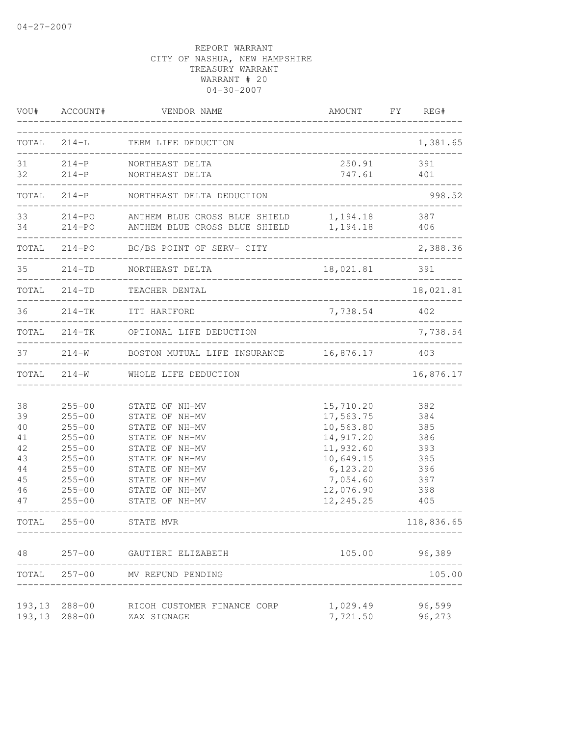| VOU#                                                                    | ACCOUNT#                                                                                                                                                             | VENDOR NAME                                                                                                                                                                                                         | AMOUNT                                                                                                                                   | FY.         | REG#                                                                                       |
|-------------------------------------------------------------------------|----------------------------------------------------------------------------------------------------------------------------------------------------------------------|---------------------------------------------------------------------------------------------------------------------------------------------------------------------------------------------------------------------|------------------------------------------------------------------------------------------------------------------------------------------|-------------|--------------------------------------------------------------------------------------------|
| TOTAL                                                                   | $214-L$                                                                                                                                                              | TERM LIFE DEDUCTION                                                                                                                                                                                                 |                                                                                                                                          |             | 1,381.65                                                                                   |
| 31<br>32                                                                | $214-P$                                                                                                                                                              | 214-P NORTHEAST DELTA<br>NORTHEAST DELTA                                                                                                                                                                            | 250.91<br>747.61<br>________________________________                                                                                     |             | 391<br>401                                                                                 |
| TOTAL                                                                   | $214-P$                                                                                                                                                              | NORTHEAST DELTA DEDUCTION                                                                                                                                                                                           |                                                                                                                                          |             | 998.52                                                                                     |
| 33<br>34                                                                |                                                                                                                                                                      | 214-PO ANTHEM BLUE CROSS BLUE SHIELD<br>214-PO ANTHEM BLUE CROSS BLUE SHIELD 1,194.18                                                                                                                               | 1,194.18                                                                                                                                 |             | 387<br>406                                                                                 |
|                                                                         |                                                                                                                                                                      | TOTAL 214-PO BC/BS POINT OF SERV- CITY                                                                                                                                                                              |                                                                                                                                          |             | 2,388.36                                                                                   |
| 35                                                                      | $214 - TD$                                                                                                                                                           | NORTHEAST DELTA                                                                                                                                                                                                     | 18,021.81 391                                                                                                                            |             |                                                                                            |
|                                                                         | TOTAL 214-TD                                                                                                                                                         | TEACHER DENTAL<br>______________________________________                                                                                                                                                            |                                                                                                                                          |             | 18,021.81                                                                                  |
| 36                                                                      |                                                                                                                                                                      | 214-TK ITT HARTFORD<br>_________________________                                                                                                                                                                    | 7,738.54                                                                                                                                 | ----------- | 402                                                                                        |
|                                                                         |                                                                                                                                                                      | TOTAL 214-TK OPTIONAL LIFE DEDUCTION                                                                                                                                                                                |                                                                                                                                          |             | 7,738.54                                                                                   |
| 37                                                                      | $214 - W$                                                                                                                                                            | BOSTON MUTUAL LIFE INSURANCE 16,876.17                                                                                                                                                                              |                                                                                                                                          |             | 403                                                                                        |
| TOTAL                                                                   | $214 - W$                                                                                                                                                            | WHOLE LIFE DEDUCTION                                                                                                                                                                                                |                                                                                                                                          |             | 16,876.17                                                                                  |
| 38<br>39<br>40<br>41<br>42<br>43<br>44<br>45<br>46<br>47<br>TOTAL<br>48 | $255 - 00$<br>$255 - 00$<br>$255 - 00$<br>$255 - 00$<br>$255 - 00$<br>$255 - 00$<br>$255 - 00$<br>$255 - 00$<br>$255 - 00$<br>$255 - 00$<br>$255 - 00$<br>$257 - 00$ | STATE OF NH-MV<br>STATE OF NH-MV<br>STATE OF NH-MV<br>STATE OF NH-MV<br>STATE OF NH-MV<br>STATE OF NH-MV<br>STATE OF NH-MV<br>STATE OF NH-MV<br>STATE OF NH-MV<br>STATE OF NH-MV<br>STATE MVR<br>GAUTIERI ELIZABETH | 15,710.20<br>17,563.75<br>10,563.80<br>14,917.20<br>11,932.60<br>10,649.15<br>6, 123.20<br>7,054.60<br>12,076.90<br>12, 245.25<br>105.00 |             | 382<br>384<br>385<br>386<br>393<br>395<br>396<br>397<br>398<br>405<br>118,836.65<br>96,389 |
| TOTAL                                                                   |                                                                                                                                                                      | 257-00 MV REFUND PENDING                                                                                                                                                                                            |                                                                                                                                          |             | 105.00                                                                                     |
| 193,13                                                                  | 288-00<br>193, 13 288-00                                                                                                                                             | RICOH CUSTOMER FINANCE CORP<br>ZAX SIGNAGE                                                                                                                                                                          | 1,029.49<br>7,721.50                                                                                                                     |             | 96,599<br>96,273                                                                           |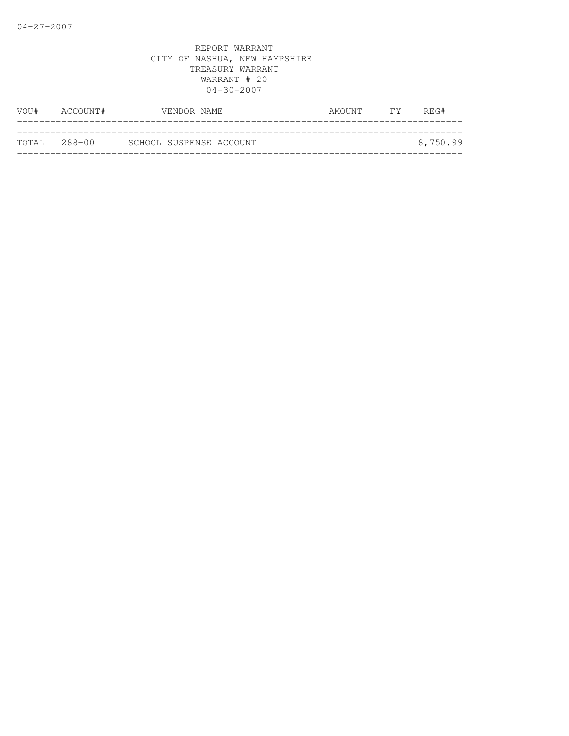| VOU# | ACCOUNT#     | VENDOR NAME             | AMOUNT FY | REG#     |
|------|--------------|-------------------------|-----------|----------|
|      |              |                         |           |          |
|      | TOTAL 288-00 | SCHOOL SUSPENSE ACCOUNT |           | 8,750.99 |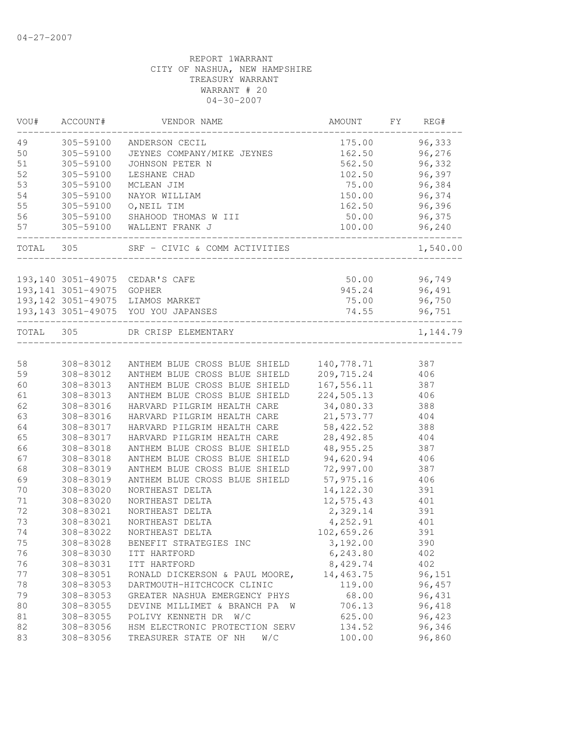| VOU#      | ACCOUNT#                  | VENDOR NAME                                        | AMOUNT                     | FY | REG#     |
|-----------|---------------------------|----------------------------------------------------|----------------------------|----|----------|
| 49        | 305-59100                 | ANDERSON CECIL                                     | 175.00                     |    | 96,333   |
| 50        | 305-59100                 | JEYNES COMPANY/MIKE JEYNES                         | 162.50                     |    | 96,276   |
| 51        | 305-59100                 | JOHNSON PETER N                                    | 562.50                     |    | 96,332   |
| 52        | 305-59100                 | LESHANE CHAD                                       | 102.50                     |    | 96,397   |
| 53        | 305-59100                 | MCLEAN JIM                                         | 75.00                      |    | 96,384   |
| 54        | 305-59100                 | NAYOR WILLIAM                                      | 150.00                     |    | 96,374   |
| 55        | 305-59100                 | O, NEIL TIM                                        | 162.50                     |    | 96,396   |
| 56        | 305-59100                 | SHAHOOD THOMAS W III                               | 50.00                      |    | 96,375   |
| 57        |                           | 305-59100 WALLENT FRANK J                          | 100.00<br>________________ |    | 96,240   |
| TOTAL 305 |                           | SRF - CIVIC & COMM ACTIVITIES                      |                            |    | 1,540.00 |
|           |                           | 193,140 3051-49075 CEDAR'S CAFE                    | 50.00                      |    | 96,749   |
|           | 193,141 3051-49075 GOPHER |                                                    | 945.24                     |    | 96,491   |
|           |                           | 193,142 3051-49075 LIAMOS MARKET                   | 75.00                      |    | 96,750   |
|           |                           | 193,143 3051-49075 YOU YOU JAPANSES                | 74.55                      |    | 96,751   |
| TOTAL 305 |                           | DR CRISP ELEMENTARY                                |                            |    | 1,144.79 |
|           |                           |                                                    |                            |    |          |
| 58        |                           | 308-83012 ANTHEM BLUE CROSS BLUE SHIELD 140,778.71 |                            |    | 387      |
| 59        | 308-83012                 | ANTHEM BLUE CROSS BLUE SHIELD 209,715.24           |                            |    | 406      |
| 60        | 308-83013                 | ANTHEM BLUE CROSS BLUE SHIELD                      | 167,556.11                 |    | 387      |
| 61        | 308-83013                 | ANTHEM BLUE CROSS BLUE SHIELD                      | 224,505.13                 |    | 406      |
| 62        | 308-83016                 | HARVARD PILGRIM HEALTH CARE                        | 34,080.33                  |    | 388      |
| 63        | 308-83016                 | HARVARD PILGRIM HEALTH CARE                        | 21,573.77                  |    | 404      |
| 64        | 308-83017                 | HARVARD PILGRIM HEALTH CARE                        | 58,422.52                  |    | 388      |
| 65        | 308-83017                 | HARVARD PILGRIM HEALTH CARE                        | 28,492.85                  |    | 404      |
| 66        | 308-83018                 | ANTHEM BLUE CROSS BLUE SHIELD                      | 48,955.25                  |    | 387      |
| 67        | 308-83018                 | ANTHEM BLUE CROSS BLUE SHIELD                      | 94,620.94                  |    | 406      |
| 68        | 308-83019                 | ANTHEM BLUE CROSS BLUE SHIELD                      | 72,997.00                  |    | 387      |
| 69        | 308-83019                 | ANTHEM BLUE CROSS BLUE SHIELD                      | 57,975.16                  |    | 406      |
| 70        | 308-83020                 | NORTHEAST DELTA                                    | 14, 122.30                 |    | 391      |
| 71        | 308-83020                 | NORTHEAST DELTA                                    | 12,575.43                  |    | 401      |
| 72        | 308-83021                 | NORTHEAST DELTA                                    | 2,329.14                   |    | 391      |
| 73        | 308-83021                 | NORTHEAST DELTA                                    | 4,252.91                   |    | 401      |
| 74        | 308-83022                 | NORTHEAST DELTA                                    | 102,659.26                 |    | 391      |
| 75        | 308-83028                 | BENEFIT STRATEGIES INC                             | 3,192.00                   |    | 390      |
| 76        | 308-83030                 | ITT HARTFORD                                       | 6,243.80                   |    | 402      |
| 76        | 308-83031                 | ITT HARTFORD                                       | 8,429.74                   |    | 402      |
| 77        | 308-83051                 | RONALD DICKERSON & PAUL MOORE,                     | 14,463.75                  |    | 96,151   |
| 78        | 308-83053                 | DARTMOUTH-HITCHCOCK CLINIC                         | 119.00                     |    | 96,457   |
| 79        | 308-83053                 | GREATER NASHUA EMERGENCY PHYS                      | 68.00                      |    | 96,431   |
| 80        | 308-83055                 | DEVINE MILLIMET & BRANCH PA<br>W                   | 706.13                     |    | 96,418   |
| 81        | 308-83055                 | POLIVY KENNETH DR W/C                              | 625.00                     |    | 96,423   |
| 82        | 308-83056                 | HSM ELECTRONIC PROTECTION SERV                     | 134.52                     |    | 96,346   |
| 83        | 308-83056                 | TREASURER STATE OF NH<br>W/C                       | 100.00                     |    | 96,860   |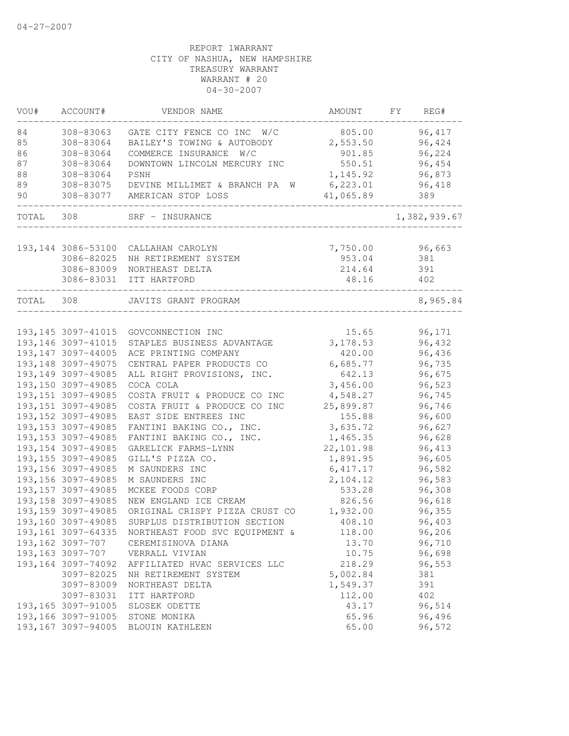| VOU#  | ACCOUNT#            | VENDOR NAME                                       | AMOUNT     | FY | REG#         |
|-------|---------------------|---------------------------------------------------|------------|----|--------------|
| 84    | 308-83063           | GATE CITY FENCE CO INC W/C                        | 805.00     |    | 96, 417      |
| 85    | 308-83064           | BAILEY'S TOWING & AUTOBODY                        | 2,553.50   |    | 96,424       |
| 86    | 308-83064           | COMMERCE INSURANCE<br>W/C                         | 901.85     |    | 96,224       |
| 87    | 308-83064           | DOWNTOWN LINCOLN MERCURY INC                      | 550.51     |    | 96,454       |
| 88    | 308-83064           | PSNH                                              | 1,145.92   |    | 96,873       |
| 89    | 308-83075           | DEVINE MILLIMET & BRANCH PA<br>W                  | 6, 223.01  |    | 96,418       |
| 90    | 308-83077           | AMERICAN STOP LOSS                                | 41,065.89  |    | 389          |
| TOTAL | 308                 | SRF - INSURANCE                                   |            |    | 1,382,939.67 |
|       |                     |                                                   |            |    |              |
|       | 193, 144 3086-53100 | CALLAHAN CAROLYN                                  | 7,750.00   |    | 96,663       |
|       | 3086-82025          | NH RETIREMENT SYSTEM                              | 953.04     |    | 381          |
|       | 3086-83009          | NORTHEAST DELTA                                   | 214.64     |    | 391          |
|       | 3086-83031          | ITT HARTFORD                                      | 48.16      |    | 402          |
| TOTAL | 308                 | JAVITS GRANT PROGRAM                              |            |    | 8,965.84     |
|       |                     |                                                   |            |    |              |
|       | 193, 145 3097-41015 | GOVCONNECTION INC                                 | 15.65      |    | 96,171       |
|       | 193, 146 3097-41015 | STAPLES BUSINESS ADVANTAGE                        | 3, 178.53  |    | 96,432       |
|       | 193, 147 3097-44005 | ACE PRINTING COMPANY                              | 420.00     |    | 96,436       |
|       | 193, 148 3097-49075 | CENTRAL PAPER PRODUCTS CO                         | 6,685.77   |    | 96,735       |
|       | 193, 149 3097-49085 | ALL RIGHT PROVISIONS, INC.                        | 642.13     |    | 96,675       |
|       | 193,150 3097-49085  | COCA COLA                                         | 3,456.00   |    | 96,523       |
|       | 193, 151 3097-49085 | COSTA FRUIT & PRODUCE CO INC                      | 4,548.27   |    | 96,745       |
|       | 193, 151 3097-49085 | COSTA FRUIT & PRODUCE CO INC                      | 25,899.87  |    | 96,746       |
|       | 193, 152 3097-49085 | EAST SIDE ENTREES INC                             | 155.88     |    | 96,600       |
|       | 193, 153 3097-49085 | FANTINI BAKING CO., INC.                          | 3,635.72   |    | 96,627       |
|       | 193, 153 3097-49085 | FANTINI BAKING CO., INC.                          | 1,465.35   |    | 96,628       |
|       | 193, 154 3097-49085 | GARELICK FARMS-LYNN                               | 22, 101.98 |    | 96,413       |
|       | 193, 155 3097-49085 | GILL'S PIZZA CO.                                  | 1,891.95   |    | 96,605       |
|       | 193, 156 3097-49085 | M SAUNDERS INC                                    | 6,417.17   |    | 96,582       |
|       | 193, 156 3097-49085 | M SAUNDERS INC                                    | 2,104.12   |    | 96,583       |
|       | 193, 157 3097-49085 | MCKEE FOODS CORP                                  | 533.28     |    | 96,308       |
|       | 193, 158 3097-49085 | NEW ENGLAND ICE CREAM                             | 826.56     |    | 96,618       |
|       | 193, 159 3097-49085 | ORIGINAL CRISPY PIZZA CRUST CO                    | 1,932.00   |    | 96,355       |
|       | 193,160 3097-49085  | SURPLUS DISTRIBUTION SECTION                      | 408.10     |    | 96,403       |
|       |                     | 193,161 3097-64335 NORTHEAST FOOD SVC EQUIPMENT & | 118.00     |    | 96,206       |
|       | 193, 162 3097-707   | CEREMISINOVA DIANA                                | 13.70      |    | 96,710       |
|       | 193, 163 3097-707   | VERRALL VIVIAN                                    | 10.75      |    | 96,698       |
|       | 193, 164 3097-74092 | AFFILIATED HVAC SERVICES LLC                      | 218.29     |    | 96,553       |
|       | 3097-82025          | NH RETIREMENT SYSTEM                              | 5,002.84   |    | 381          |
|       | 3097-83009          | NORTHEAST DELTA                                   | 1,549.37   |    | 391          |
|       | 3097-83031          | ITT HARTFORD                                      | 112.00     |    | 402          |
|       | 193, 165 3097-91005 | SLOSEK ODETTE                                     | 43.17      |    | 96,514       |
|       | 193,166 3097-91005  | STONE MONIKA                                      | 65.96      |    | 96,496       |
|       | 193,167 3097-94005  |                                                   | 65.00      |    | 96,572       |
|       |                     | BLOUIN KATHLEEN                                   |            |    |              |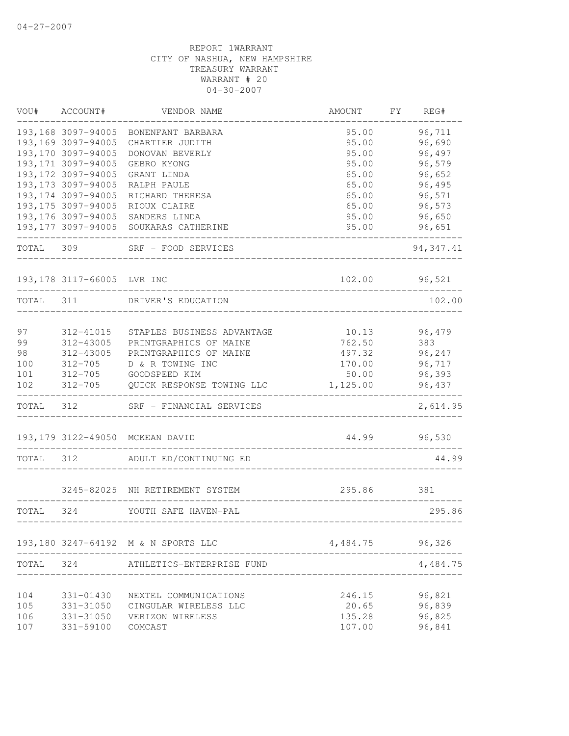| WOU#  | ACCOUNT#                                   | VENDOR NAME                         | AMOUNT   | FΥ<br>REG# |
|-------|--------------------------------------------|-------------------------------------|----------|------------|
|       | 193,168 3097-94005                         | BONENFANT BARBARA                   | 95.00    | 96,711     |
|       | 193,169 3097-94005                         | CHARTIER JUDITH                     | 95.00    | 96,690     |
|       | 193,170 3097-94005                         | DONOVAN BEVERLY                     | 95.00    | 96,497     |
|       | 193, 171 3097-94005                        | GEBRO KYONG                         | 95.00    | 96,579     |
|       | 193, 172 3097-94005                        | GRANT LINDA                         | 65.00    | 96,652     |
|       | 193, 173 3097-94005                        | RALPH PAULE                         | 65.00    | 96,495     |
|       | 193, 174 3097-94005                        | RICHARD THERESA                     | 65.00    | 96,571     |
|       | 193, 175 3097-94005                        | RIOUX CLAIRE                        | 65.00    | 96,573     |
|       | 193, 176 3097-94005<br>193, 177 3097-94005 | SANDERS LINDA                       | 95.00    | 96,650     |
|       |                                            | SOUKARAS CATHERINE                  | 95.00    | 96,651     |
| TOTAL | 309                                        | SRF - FOOD SERVICES                 |          | 94, 347.41 |
|       | 193,178 3117-66005 LVR INC                 |                                     | 102.00   | 96,521     |
| TOTAL | 311                                        | DRIVER'S EDUCATION                  |          | 102.00     |
|       |                                            |                                     |          |            |
| 97    | 312-41015                                  | STAPLES BUSINESS ADVANTAGE          | 10.13    | 96,479     |
| 99    | 312-43005                                  | PRINTGRAPHICS OF MAINE              | 762.50   | 383        |
| 98    | 312-43005                                  | PRINTGRAPHICS OF MAINE              | 497.32   | 96,247     |
| 100   | $312 - 705$                                | D & R TOWING INC                    | 170.00   | 96,717     |
| 101   | $312 - 705$                                | GOODSPEED KIM                       | 50.00    | 96,393     |
| 102   | $312 - 705$                                | QUICK RESPONSE TOWING LLC           | 1,125.00 | 96,437     |
| TOTAL | 312                                        | SRF - FINANCIAL SERVICES            |          | 2,614.95   |
|       | 193, 179 3122-49050                        | MCKEAN DAVID                        | 44.99    | 96,530     |
| TOTAL | 312                                        | ADULT ED/CONTINUING ED              |          | 44.99      |
|       |                                            | 3245-82025 NH RETIREMENT SYSTEM     | 295.86   | 381        |
| TOTAL | 324                                        | YOUTH SAFE HAVEN-PAL                |          | 295.86     |
|       |                                            |                                     |          |            |
|       |                                            | 193,180 3247-64192 M & N SPORTS LLC | 4,484.75 | 96,326     |
| TOTAL | 324                                        | ATHLETICS-ENTERPRISE FUND           |          | 4,484.75   |
| 104   | 331-01430                                  | NEXTEL COMMUNICATIONS               | 246.15   | 96,821     |
| 105   | 331-31050                                  | CINGULAR WIRELESS LLC               | 20.65    | 96,839     |
| 106   | 331-31050                                  | VERIZON WIRELESS                    | 135.28   | 96,825     |
|       | 331-59100                                  | COMCAST                             | 107.00   |            |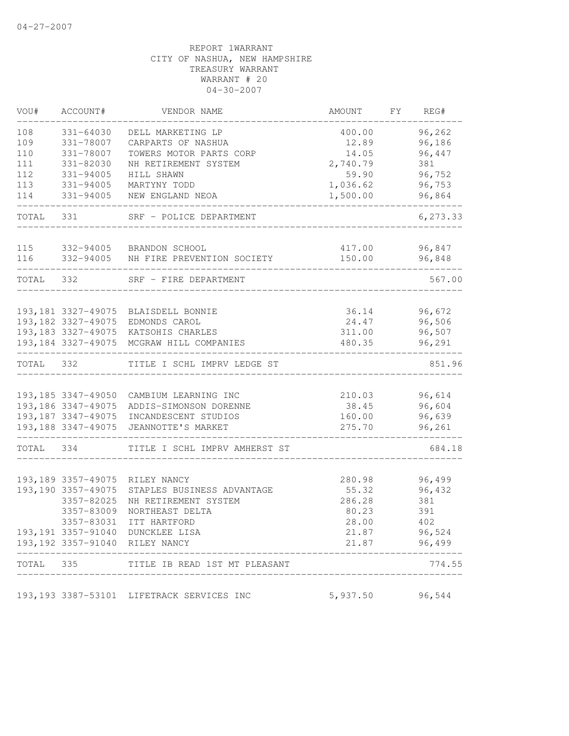| VOU#      | ACCOUNT#            | VENDOR NAME                               | AMOUNT   | FY | REG#     |
|-----------|---------------------|-------------------------------------------|----------|----|----------|
| 108       | 331-64030           | DELL MARKETING LP                         | 400.00   |    | 96,262   |
| 109       | 331-78007           | CARPARTS OF NASHUA                        | 12.89    |    | 96,186   |
| 110       | 331-78007           | TOWERS MOTOR PARTS CORP                   | 14.05    |    | 96,447   |
| 111       | 331-82030           | NH RETIREMENT SYSTEM                      | 2,740.79 |    | 381      |
| 112       | 331-94005           | HILL SHAWN                                | 59.90    |    | 96,752   |
| 113       | 331-94005           | MARTYNY TODD                              | 1,036.62 |    | 96,753   |
| 114       | 331-94005           | NEW ENGLAND NEOA                          | 1,500.00 |    | 96,864   |
| TOTAL 331 |                     | SRF - POLICE DEPARTMENT                   |          |    | 6,273.33 |
| 115       | 332-94005           | BRANDON SCHOOL                            | 417.00   |    | 96,847   |
| 116       | 332-94005           | NH FIRE PREVENTION SOCIETY                | 150.00   |    | 96,848   |
| TOTAL 332 |                     | SRF - FIRE DEPARTMENT                     |          |    | 567.00   |
|           |                     |                                           |          |    |          |
|           |                     | 193,181 3327-49075 BLAISDELL BONNIE       | 36.14    |    | 96,672   |
|           | 193,182 3327-49075  | EDMONDS CAROL                             | 24.47    |    | 96,506   |
|           |                     | 193,183 3327-49075 KATSOHIS CHARLES       | 311.00   |    | 96,507   |
|           |                     | 193,184 3327-49075 MCGRAW HILL COMPANIES  | 480.35   |    | 96,291   |
| TOTAL 332 |                     | TITLE I SCHL IMPRV LEDGE ST               |          |    | 851.96   |
|           |                     |                                           |          |    |          |
|           |                     | 193,185 3347-49050 CAMBIUM LEARNING INC   | 210.03   |    | 96,614   |
|           | 193, 186 3347-49075 | ADDIS-SIMONSON DORENNE                    | 38.45    |    | 96,604   |
|           | 193,187 3347-49075  | INCANDESCENT STUDIOS                      | 160.00   |    | 96,639   |
|           | 193,188 3347-49075  | JEANNOTTE'S MARKET                        | 275.70   |    | 96,261   |
| TOTAL     | 334                 | TITLE I SCHL IMPRV AMHERST ST             |          |    | 684.18   |
|           |                     |                                           |          |    |          |
|           |                     | 193,189 3357-49075 RILEY NANCY            | 280.98   |    | 96,499   |
|           | 193, 190 3357-49075 | STAPLES BUSINESS ADVANTAGE                | 55.32    |    | 96,432   |
|           | 3357-82025          | NH RETIREMENT SYSTEM                      | 286.28   |    | 381      |
|           | 3357-83009          | NORTHEAST DELTA                           | 80.23    |    | 391      |
|           | 3357-83031          | ITT HARTFORD                              | 28.00    |    | 402      |
|           |                     | 193,191 3357-91040 DUNCKLEE LISA          | 21.87    |    | 96,524   |
|           |                     | 193,192 3357-91040 RILEY NANCY            | 21.87    |    | 96,499   |
| TOTAL     | 335                 | TITLE IB READ 1ST MT PLEASANT             |          |    | 774.55   |
|           |                     | 193,193 3387-53101 LIFETRACK SERVICES INC | 5,937.50 |    | 96,544   |
|           |                     |                                           |          |    |          |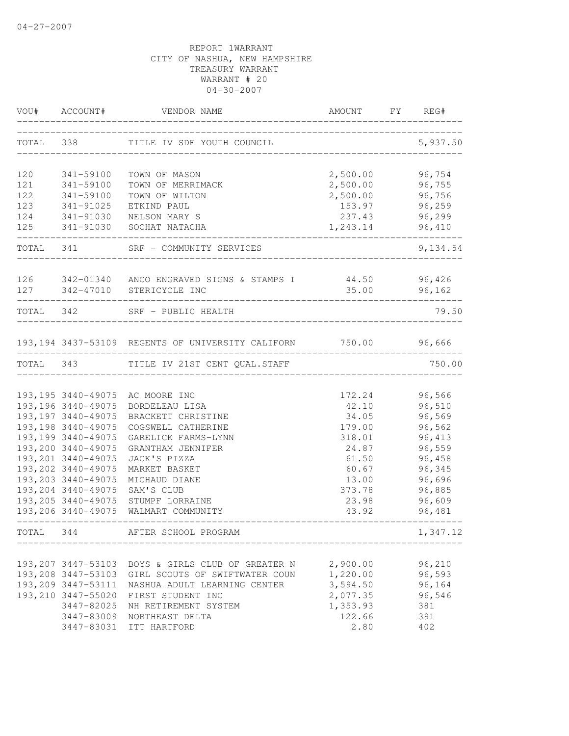|           | VOU# ACCOUNT#                             | VENDOR NAME                                                       | AMOUNT                       | <b>FY</b> | REG#             |
|-----------|-------------------------------------------|-------------------------------------------------------------------|------------------------------|-----------|------------------|
|           | TOTAL 338                                 | TITLE IV SDF YOUTH COUNCIL                                        | ____________________________ |           | 5,937.50         |
| 120       | 341-59100                                 | TOWN OF MASON                                                     | 2,500.00                     |           | 96,754           |
| 121       | 341-59100                                 | TOWN OF MERRIMACK                                                 | 2,500.00                     |           | 96,755           |
| 122       | 341-59100                                 | TOWN OF WILTON                                                    | 2,500.00                     |           | 96,756           |
| 123       | 341-91025                                 | ETKIND PAUL                                                       | 153.97                       |           | 96,259           |
| 124       |                                           | 341-91030 NELSON MARY S                                           | 237.43                       |           | 96,299           |
|           |                                           | 125 341-91030 SOCHAT NATACHA                                      | 1,243.14                     |           | 96,410           |
| TOTAL 341 |                                           | SRF - COMMUNITY SERVICES                                          |                              |           | 9,134.54         |
|           |                                           | 126 342-01340 ANCO ENGRAVED SIGNS & STAMPS I 44.50 96,426         |                              |           |                  |
| 127       |                                           | 342-47010 STERICYCLE INC                                          | 35.00                        |           | 96,162           |
|           |                                           | TOTAL 342 SRF - PUBLIC HEALTH                                     |                              |           | 79.50            |
|           |                                           | 193,194 3437-53109 REGENTS OF UNIVERSITY CALIFORN 750.00 96,666   |                              |           |                  |
|           |                                           | ______________________<br>TOTAL 343 TITLE IV 21ST CENT QUAL.STAFF |                              |           | 750.00           |
|           |                                           |                                                                   |                              |           |                  |
|           |                                           | 193,195 3440-49075 AC MOORE INC                                   | 172.24                       |           | 96,566           |
|           | 193, 196 3440-49075                       | BORDELEAU LISA                                                    | 42.10                        |           | 96,510           |
|           | 193, 197 3440-49075                       | BRACKETT CHRISTINE                                                | 34.05                        |           | 96,569           |
|           | 193, 198 3440-49075                       | COGSWELL CATHERINE                                                | 179.00                       |           | 96,562           |
|           | 193, 199 3440-49075                       | GARELICK FARMS-LYNN                                               | 318.01                       |           | 96,413           |
|           | 193,200 3440-49075                        | GRANTHAM JENNIFER                                                 | 24.87                        |           | 96,559           |
|           | 193,201 3440-49075                        | JACK'S PIZZA                                                      | 61.50                        |           | 96,458           |
|           | 193,202 3440-49075                        | MARKET BASKET                                                     | 60.67                        |           | 96,345           |
|           | 193,203 3440-49075<br>193,204 3440-49075  | MICHAUD DIANE                                                     | 13.00                        |           | 96,696           |
|           |                                           | SAM'S CLUB                                                        | 373.78                       |           | 96,885           |
|           | 193, 205 3440-49075<br>193,206 3440-49075 | STUMPF LORRAINE<br>WALMART COMMUNITY                              | 23.98<br>43.92               |           | 96,609<br>96,481 |
| TOTAL     | 344                                       | AFTER SCHOOL PROGRAM                                              |                              |           | 1,347.12         |
|           |                                           |                                                                   |                              |           |                  |
|           | 193, 207 3447-53103                       | BOYS & GIRLS CLUB OF GREATER N                                    | 2,900.00                     |           | 96,210           |
|           | 193,208 3447-53103                        | GIRL SCOUTS OF SWIFTWATER COUN                                    | 1,220.00                     |           | 96,593           |
|           | 193,209 3447-53111                        | NASHUA ADULT LEARNING CENTER                                      | 3,594.50                     |           | 96,164           |
|           | 193,210 3447-55020                        | FIRST STUDENT INC                                                 | 2,077.35                     |           | 96,546           |
|           | 3447-82025                                | NH RETIREMENT SYSTEM                                              | 1,353.93                     |           | 381              |
|           | 3447-83009                                | NORTHEAST DELTA                                                   | 122.66                       |           | 391              |
|           | 3447-83031                                | ITT HARTFORD                                                      | 2.80                         |           | 402              |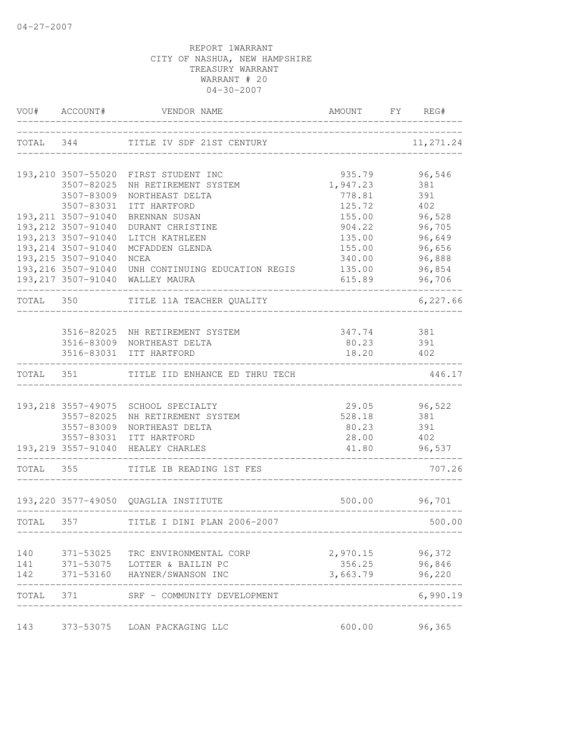|           |                                            | VOU# ACCOUNT# VENDOR NAME                                                        | AMOUNT FY REG#                 |                     |
|-----------|--------------------------------------------|----------------------------------------------------------------------------------|--------------------------------|---------------------|
|           |                                            | TOTAL 344 TITLE IV SDF 21ST CENTURY                                              | ______________________________ | 11,271.24           |
|           |                                            | 193,210 3507-55020 FIRST STUDENT INC                                             | 935.79                         | 96,546              |
|           | 3507-82025                                 | NH RETIREMENT SYSTEM                                                             | 1,947.23                       | 381                 |
|           | 3507-83009                                 | NORTHEAST DELTA                                                                  | 778.81                         | 391                 |
|           | 3507-83031                                 | ITT HARTFORD                                                                     | 125.72                         | 402                 |
|           | 193, 211 3507-91040                        | BRENNAN SUSAN                                                                    | 155.00<br>904.22               | 96,528              |
|           | 193, 212 3507-91040<br>193, 213 3507-91040 | DURANT CHRISTINE<br>LITCH KATHLEEN                                               | 135.00                         | 96,705<br>96,649    |
|           | 193, 214 3507-91040                        | MCFADDEN GLENDA                                                                  | 155.00                         | 96,656              |
|           | 193, 215 3507-91040                        | NCEA                                                                             | 340.00                         | 96,888              |
|           |                                            | 193,216 3507-91040 UNH CONTINUING EDUCATION REGIS                                | 135.00                         | 96,854              |
|           |                                            | 193, 217 3507-91040 WALLEY MAURA<br>______________________________<br>---------- | 615.89                         | 96,706              |
| TOTAL 350 |                                            | TITLE 11A TEACHER QUALITY                                                        |                                | 6,227.66            |
|           |                                            |                                                                                  |                                |                     |
|           |                                            | 3516-82025 NH RETIREMENT SYSTEM<br>3516-83009 NORTHEAST DELTA                    | 347.74 381<br>80.23 391        |                     |
|           |                                            | 3516-83031 ITT HARTFORD                                                          | 18.20 402                      |                     |
|           | ------------------------------             | TOTAL 351 TITLE IID ENHANCE ED THRU TECH                                         | ______________________________ | 446.17              |
|           |                                            |                                                                                  |                                |                     |
|           | 3557-82025                                 | 193, 218 3557-49075 SCHOOL SPECIALTY<br>NH RETIREMENT SYSTEM                     | 528.18                         | 29.05 96,522<br>381 |
|           | 3557-83009                                 | NORTHEAST DELTA                                                                  | 80.23 391                      |                     |
|           |                                            | 3557-83031 ITT HARTFORD                                                          | 28.00 402                      |                     |
|           |                                            | 193, 219 3557-91040 HEALEY CHARLES                                               | ____________________________   | 41.80 96,537        |
|           | TOTAL 355                                  | TITLE IB READING 1ST FES                                                         |                                | 707.26              |
|           |                                            | 193,220 3577-49050 QUAGLIA INSTITUTE                                             |                                | 500.00 96,701       |
| TOTAL 357 |                                            | TITLE I DINI PLAN 2006-2007                                                      |                                | 500.00              |
|           |                                            |                                                                                  |                                |                     |
| 140       |                                            | 371-53025 TRC ENVIRONMENTAL CORP                                                 | 2,970.15 96,372                |                     |
|           |                                            | 141 371-53075 LOTTER & BAILIN PC                                                 | 356.25                         | 96,846              |
| 142       |                                            | 371-53160 HAYNER/SWANSON INC                                                     | 3,663.79                       | 96,220              |
|           |                                            | TOTAL 371 SRF - COMMUNITY DEVELOPMENT                                            |                                | 6,990.19            |
| 143       |                                            | 373-53075 LOAN PACKAGING LLC                                                     | 600.00                         | 96,365              |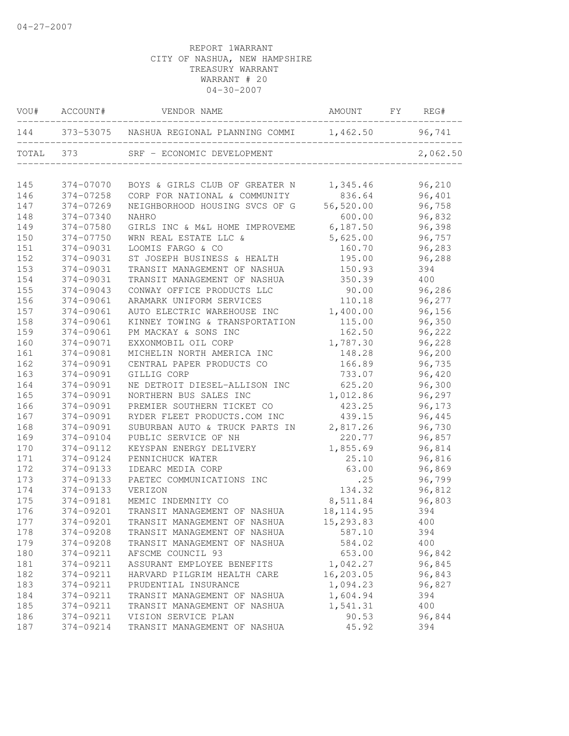| VOU#  | ACCOUNT#  | VENDOR NAME                              | AMOUNT     | FY | REG#     |
|-------|-----------|------------------------------------------|------------|----|----------|
| 144   |           | 373-53075 NASHUA REGIONAL PLANNING COMMI | 1,462.50   |    | 96,741   |
| TOTAL | 373       | SRF - ECONOMIC DEVELOPMENT               |            |    | 2,062.50 |
| 145   | 374-07070 | BOYS & GIRLS CLUB OF GREATER N           | 1,345.46   |    | 96,210   |
| 146   | 374-07258 | CORP FOR NATIONAL & COMMUNITY            | 836.64     |    | 96,401   |
| 147   | 374-07269 | NEIGHBORHOOD HOUSING SVCS OF G           | 56,520.00  |    | 96,758   |
| 148   | 374-07340 | <b>NAHRO</b>                             | 600.00     |    | 96,832   |
| 149   | 374-07580 | GIRLS INC & M&L HOME IMPROVEME           | 6,187.50   |    | 96,398   |
| 150   | 374-07750 | WRN REAL ESTATE LLC &                    | 5,625.00   |    | 96,757   |
| 151   | 374-09031 | LOOMIS FARGO & CO                        | 160.70     |    | 96,283   |
| 152   | 374-09031 | ST JOSEPH BUSINESS & HEALTH              | 195.00     |    | 96,288   |
| 153   | 374-09031 | TRANSIT MANAGEMENT OF NASHUA             | 150.93     |    | 394      |
| 154   | 374-09031 | TRANSIT MANAGEMENT OF NASHUA             | 350.39     |    | 400      |
| 155   | 374-09043 | CONWAY OFFICE PRODUCTS LLC               | 90.00      |    | 96,286   |
| 156   | 374-09061 | ARAMARK UNIFORM SERVICES                 | 110.18     |    | 96,277   |
| 157   | 374-09061 | AUTO ELECTRIC WAREHOUSE INC              | 1,400.00   |    | 96,156   |
| 158   | 374-09061 | KINNEY TOWING & TRANSPORTATION           | 115.00     |    | 96,350   |
| 159   | 374-09061 | PM MACKAY & SONS INC                     | 162.50     |    | 96,222   |
| 160   | 374-09071 | EXXONMOBIL OIL CORP                      | 1,787.30   |    | 96,228   |
| 161   | 374-09081 | MICHELIN NORTH AMERICA INC               | 148.28     |    | 96,200   |
| 162   | 374-09091 | CENTRAL PAPER PRODUCTS CO                | 166.89     |    | 96,735   |
| 163   | 374-09091 | GILLIG CORP                              | 733.07     |    | 96,420   |
| 164   | 374-09091 | NE DETROIT DIESEL-ALLISON INC            | 625.20     |    | 96,300   |
| 165   | 374-09091 | NORTHERN BUS SALES INC                   | 1,012.86   |    | 96,297   |
| 166   | 374-09091 | PREMIER SOUTHERN TICKET CO               | 423.25     |    | 96,173   |
| 167   | 374-09091 | RYDER FLEET PRODUCTS.COM INC             | 439.15     |    | 96,445   |
| 168   | 374-09091 | SUBURBAN AUTO & TRUCK PARTS IN           | 2,817.26   |    | 96,730   |
| 169   | 374-09104 | PUBLIC SERVICE OF NH                     | 220.77     |    | 96,857   |
| 170   | 374-09112 | KEYSPAN ENERGY DELIVERY                  | 1,855.69   |    | 96,814   |
| 171   | 374-09124 | PENNICHUCK WATER                         | 25.10      |    | 96,816   |
| 172   | 374-09133 | IDEARC MEDIA CORP                        | 63.00      |    | 96,869   |
| 173   | 374-09133 | PAETEC COMMUNICATIONS INC                | .25        |    | 96,799   |
| 174   | 374-09133 | VERIZON                                  | 134.32     |    | 96,812   |
| 175   | 374-09181 | MEMIC INDEMNITY CO                       | 8,511.84   |    | 96,803   |
| 176   | 374-09201 | TRANSIT MANAGEMENT OF NASHUA             | 18, 114.95 |    | 394      |
| 177   | 374-09201 | TRANSIT MANAGEMENT OF NASHUA             | 15,293.83  |    | 400      |
| 178   | 374-09208 | TRANSIT MANAGEMENT OF NASHUA             | 587.10     |    | 394      |
| 179   | 374-09208 | TRANSIT MANAGEMENT OF NASHUA             | 584.02     |    | 400      |
| 180   | 374-09211 | AFSCME COUNCIL 93                        | 653.00     |    | 96,842   |
| 181   | 374-09211 | ASSURANT EMPLOYEE BENEFITS               | 1,042.27   |    | 96,845   |
| 182   | 374-09211 | HARVARD PILGRIM HEALTH CARE              | 16,203.05  |    | 96,843   |
| 183   | 374-09211 | PRUDENTIAL INSURANCE                     | 1,094.23   |    | 96,827   |
| 184   | 374-09211 | TRANSIT MANAGEMENT OF NASHUA             | 1,604.94   |    | 394      |
| 185   | 374-09211 | TRANSIT MANAGEMENT OF NASHUA             | 1,541.31   |    | 400      |
| 186   | 374-09211 | VISION SERVICE PLAN                      | 90.53      |    | 96,844   |
| 187   | 374-09214 | TRANSIT MANAGEMENT OF NASHUA             | 45.92      |    | 394      |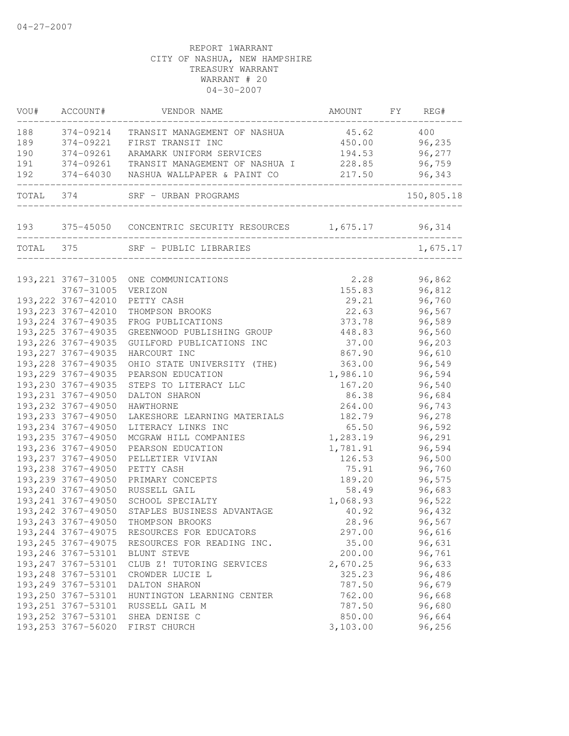| VOU#      | ACCOUNT#            | VENDOR NAME                                                 | AMOUNT   | FY | REG#       |
|-----------|---------------------|-------------------------------------------------------------|----------|----|------------|
| 188       | 374-09214           | TRANSIT MANAGEMENT OF NASHUA                                | 45.62    |    | 400        |
| 189       | 374-09221           | FIRST TRANSIT INC                                           | 450.00   |    | 96,235     |
| 190       | 374-09261           | ARAMARK UNIFORM SERVICES                                    | 194.53   |    | 96,277     |
| 191       |                     | 374-09261 TRANSIT MANAGEMENT OF NASHUA I                    | 228.85   |    | 96,759     |
| 192       |                     |                                                             |          |    | 96,343     |
|           |                     | TOTAL 374 SRF - URBAN PROGRAMS                              |          |    | 150,805.18 |
|           |                     | 193 375-45050 CONCENTRIC SECURITY RESOURCES 1,675.17 96,314 |          |    |            |
| TOTAL 375 |                     | SRF - PUBLIC LIBRARIES                                      |          |    | 1,675.17   |
|           |                     | 193, 221 3767-31005 ONE COMMUNICATIONS                      | 2.28     |    | 96,862     |
|           | 3767-31005          | VERIZON                                                     | 155.83   |    | 96,812     |
|           | 193, 222 3767-42010 | PETTY CASH                                                  | 29.21    |    | 96,760     |
|           | 193, 223 3767-42010 | THOMPSON BROOKS                                             | 22.63    |    | 96,567     |
|           | 193, 224 3767-49035 | FROG PUBLICATIONS                                           | 373.78   |    | 96,589     |
|           | 193, 225 3767-49035 | GREENWOOD PUBLISHING GROUP                                  | 448.83   |    | 96,560     |
|           | 193, 226 3767-49035 | GUILFORD PUBLICATIONS INC                                   | 37.00    |    | 96,203     |
|           | 193, 227 3767-49035 | HARCOURT INC                                                | 867.90   |    | 96,610     |
|           | 193, 228 3767-49035 | OHIO STATE UNIVERSITY (THE)                                 | 363.00   |    | 96,549     |
|           | 193, 229 3767-49035 | PEARSON EDUCATION                                           | 1,986.10 |    | 96,594     |
|           | 193,230 3767-49035  | STEPS TO LITERACY LLC                                       | 167.20   |    | 96,540     |
|           | 193, 231 3767-49050 | DALTON SHARON                                               | 86.38    |    | 96,684     |
|           | 193, 232 3767-49050 | HAWTHORNE                                                   | 264.00   |    | 96,743     |
|           | 193, 233 3767-49050 | LAKESHORE LEARNING MATERIALS                                | 182.79   |    | 96,278     |
|           | 193, 234 3767-49050 | LITERACY LINKS INC                                          | 65.50    |    | 96,592     |
|           | 193, 235 3767-49050 | MCGRAW HILL COMPANIES                                       | 1,283.19 |    | 96,291     |
|           | 193, 236 3767-49050 | PEARSON EDUCATION                                           | 1,781.91 |    | 96,594     |
|           | 193, 237 3767-49050 | PELLETIER VIVIAN                                            | 126.53   |    | 96,500     |
|           | 193, 238 3767-49050 | PETTY CASH                                                  | 75.91    |    | 96,760     |
|           | 193,239 3767-49050  | PRIMARY CONCEPTS                                            | 189.20   |    | 96,575     |
|           | 193,240 3767-49050  | RUSSELL GAIL                                                | 58.49    |    | 96,683     |
|           | 193, 241 3767-49050 | SCHOOL SPECIALTY                                            | 1,068.93 |    | 96,522     |
|           | 193, 242 3767-49050 | STAPLES BUSINESS ADVANTAGE                                  | 40.92    |    | 96,432     |
|           | 193, 243 3767-49050 | THOMPSON BROOKS                                             | 28.96    |    | 96,567     |
|           | 193, 244 3767-49075 | RESOURCES FOR EDUCATORS                                     | 297.00   |    | 96,616     |
|           | 193, 245 3767-49075 | RESOURCES FOR READING INC.                                  | 35.00    |    | 96,631     |
|           | 193, 246 3767-53101 | BLUNT STEVE                                                 | 200.00   |    | 96,761     |
|           | 193, 247 3767-53101 | CLUB Z! TUTORING SERVICES                                   | 2,670.25 |    | 96,633     |
|           | 193, 248 3767-53101 | CROWDER LUCIE L                                             | 325.23   |    | 96,486     |
|           | 193, 249 3767-53101 | DALTON SHARON                                               | 787.50   |    | 96,679     |
|           | 193,250 3767-53101  | HUNTINGTON LEARNING CENTER                                  | 762.00   |    | 96,668     |
|           | 193, 251 3767-53101 | RUSSELL GAIL M                                              | 787.50   |    | 96,680     |
|           | 193, 252 3767-53101 | SHEA DENISE C                                               | 850.00   |    | 96,664     |
|           | 193, 253 3767-56020 | FIRST CHURCH                                                | 3,103.00 |    | 96,256     |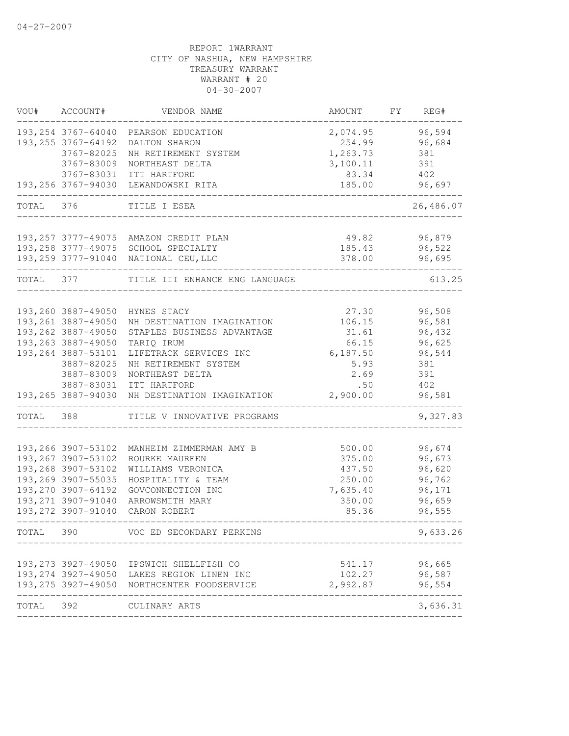| VOU#      | ACCOUNT#                         | VENDOR NAME                                 | AMOUNT          | FΥ | REG#          |
|-----------|----------------------------------|---------------------------------------------|-----------------|----|---------------|
|           | 193, 254 3767-64040              | PEARSON EDUCATION                           | 2,074.95        |    | 96,594        |
|           | 193, 255 3767-64192              | DALTON SHARON                               | 254.99          |    | 96,684        |
|           | 3767-82025                       | NH RETIREMENT SYSTEM                        | 1,263.73        |    | 381           |
|           | 3767-83009                       | NORTHEAST DELTA                             | 3,100.11        |    | 391           |
|           | 3767-83031<br>193,256 3767-94030 | ITT HARTFORD<br>LEWANDOWSKI RITA            | 83.34<br>185.00 |    | 402<br>96,697 |
|           |                                  |                                             |                 |    |               |
| TOTAL 376 |                                  | TITLE I ESEA                                |                 |    | 26,486.07     |
|           |                                  | 193, 257 3777-49075 AMAZON CREDIT PLAN      | 49.82           |    | 96,879        |
|           |                                  | 193, 258 3777-49075 SCHOOL SPECIALTY        | 185.43          |    | 96,522        |
|           |                                  | 193, 259 3777-91040 NATIONAL CEU, LLC       | 378.00          |    | 96,695        |
| TOTAL     | 377                              | TITLE III ENHANCE ENG LANGUAGE              |                 |    | 613.25        |
|           |                                  |                                             |                 |    |               |
|           | 193,260 3887-49050               | HYNES STACY                                 | 27.30           |    | 96,508        |
|           | 193, 261 3887-49050              | NH DESTINATION IMAGINATION                  | 106.15          |    | 96,581        |
|           | 193,262 3887-49050               | STAPLES BUSINESS ADVANTAGE                  | 31.61           |    | 96,432        |
|           | 193, 263 3887-49050              | TARIQ IRUM                                  | 66.15           |    | 96,625        |
|           | 193,264 3887-53101               | LIFETRACK SERVICES INC                      | 6,187.50        |    | 96,544        |
|           | 3887-82025<br>3887-83009         | NH RETIREMENT SYSTEM<br>NORTHEAST DELTA     | 5.93<br>2.69    |    | 381<br>391    |
|           |                                  |                                             | .50             |    |               |
|           | 3887-83031<br>193,265 3887-94030 | ITT HARTFORD<br>NH DESTINATION IMAGINATION  | 2,900.00        |    | 402<br>96,581 |
| TOTAL     | 388                              | TITLE V INNOVATIVE PROGRAMS                 |                 |    | 9,327.83      |
|           |                                  |                                             |                 |    |               |
|           | 193,266 3907-53102               | MANHEIM ZIMMERMAN AMY B                     | 500.00          |    | 96,674        |
|           | 193, 267 3907-53102              | ROURKE MAUREEN                              | 375.00          |    | 96,673        |
|           | 193,268 3907-53102               | WILLIAMS VERONICA                           | 437.50          |    | 96,620        |
|           | 193,269 3907-55035               | HOSPITALITY & TEAM                          | 250.00          |    | 96,762        |
|           | 193,270 3907-64192               | GOVCONNECTION INC                           | 7,635.40        |    | 96,171        |
|           | 193, 271 3907-91040              | ARROWSMITH MARY                             | 350.00          |    | 96,659        |
|           | 193, 272 3907-91040              | CARON ROBERT                                | 85.36           |    | 96,555        |
| TOTAL     | 390                              | VOC ED SECONDARY PERKINS                    |                 |    | 9,633.26      |
|           |                                  |                                             |                 |    |               |
|           |                                  | 193, 273 3927-49050 IPSWICH SHELLFISH CO    | 541.17          |    | 96,665        |
|           |                                  | 193, 274 3927-49050 LAKES REGION LINEN INC  | 102.27          |    | 96,587        |
|           |                                  | 193, 275 3927-49050 NORTHCENTER FOODSERVICE | 2,992.87        |    | 96,554        |
| TOTAL     | 392                              | CULINARY ARTS                               |                 |    | 3,636.31      |
|           |                                  |                                             |                 |    |               |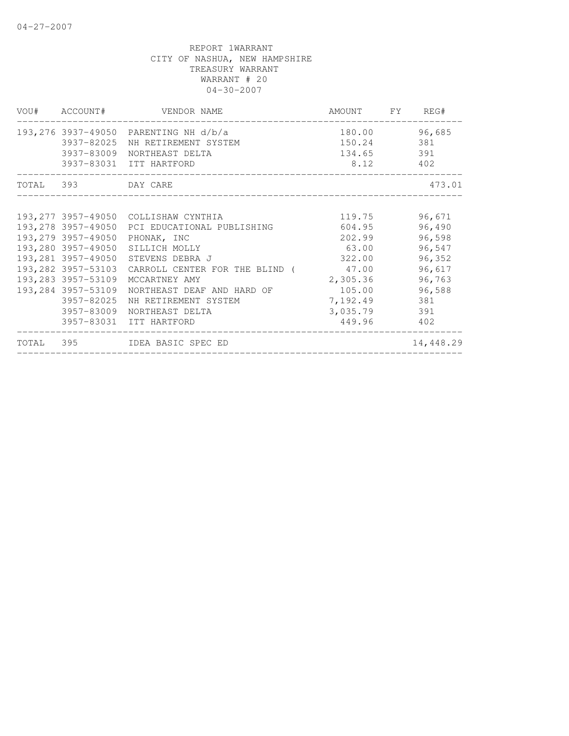|                    | VOU# ACCOUNT# VENDOR NAME                                            | AMOUNT FY REG# |           |
|--------------------|----------------------------------------------------------------------|----------------|-----------|
|                    | 193,276 3937-49050 PARENTING NH d/b/a                                | 180.00         | 96,685    |
|                    | 3937-82025 NH RETIREMENT SYSTEM                                      | 150.24         | 381       |
|                    | 3937-83009 NORTHEAST DELTA                                           | 134.65 391     |           |
|                    | 3937-83031 ITT HARTFORD                                              | 8.12 402       |           |
| TOTAL 393 DAY CARE |                                                                      |                | 473.01    |
|                    |                                                                      |                |           |
|                    | 193,277 3957-49050 COLLISHAW CYNTHIA                                 | 119.75         | 96,671    |
|                    | 193,278 3957-49050 PCI EDUCATIONAL PUBLISHING                        | 604.95         | 96,490    |
|                    | 193,279 3957-49050 PHONAK, INC                                       | 202.99         | 96,598    |
|                    | 193,280 3957-49050 SILLICH MOLLY                                     | 63.00          | 96,547    |
|                    | 193,281 3957-49050 STEVENS DEBRA J                                   | 322.00         | 96,352    |
|                    | 193,282 3957-53103 CARROLL CENTER FOR THE BLIND (47.00               |                | 96,617    |
| 193,283 3957-53109 | MCCARTNEY AMY                                                        | 2,305.36       | 96,763    |
|                    | 193,284 3957-53109 NORTHEAST DEAF AND HARD OF                        | 105.00         | 96,588    |
|                    | 3957-82025 NH RETIREMENT SYSTEM                                      | 7,192.49       | 381       |
|                    | 3957-83009 NORTHEAST DELTA                                           | 3,035.79       | 391       |
|                    | 3957-83031 ITT HARTFORD                                              | 449.96 402     |           |
|                    | TOTAL 395 IDEA BASIC SPEC ED<br>____________________________________ |                | 14,448.29 |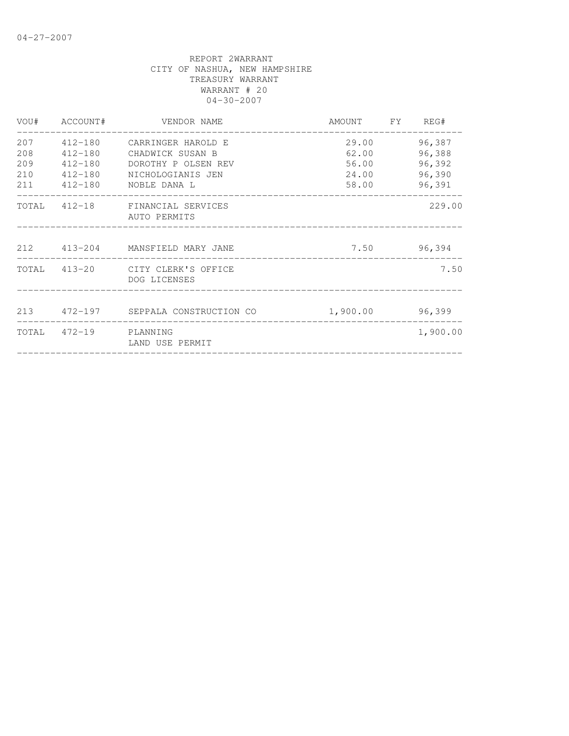|     |                       | VOU# ACCOUNT# VENDOR NAME<br>_____________________ | AMOUNT FY REG# |          |
|-----|-----------------------|----------------------------------------------------|----------------|----------|
| 207 |                       | 412-180 CARRINGER HAROLD E                         | 29.00          | 96,387   |
| 208 | 412-180               | CHADWICK SUSAN B                                   | 62.00          | 96,388   |
| 209 | 412-180               | DOROTHY P OLSEN REV                                | 56.00          | 96,392   |
| 210 | 412-180               | NICHOLOGIANIS JEN                                  | 24.00          | 96,390   |
|     |                       | 211   412-180   NOBLE DANA   L                     | 58.00          | 96,391   |
|     |                       | TOTAL 412-18 FINANCIAL SERVICES<br>AUTO PERMITS    |                | 229.00   |
|     |                       | 212 413-204 MANSFIELD MARY JANE                    | 7.50           | 96,394   |
|     |                       | TOTAL 413-20 CITY CLERK'S OFFICE<br>DOG LICENSES   |                | 7.50     |
|     |                       | 213 472-197 SEPPALA CONSTRUCTION CO                | 1,900.00       | 96,399   |
|     | TOTAL 472-19 PLANNING | LAND USE PERMIT                                    |                | 1,900.00 |
|     |                       |                                                    |                |          |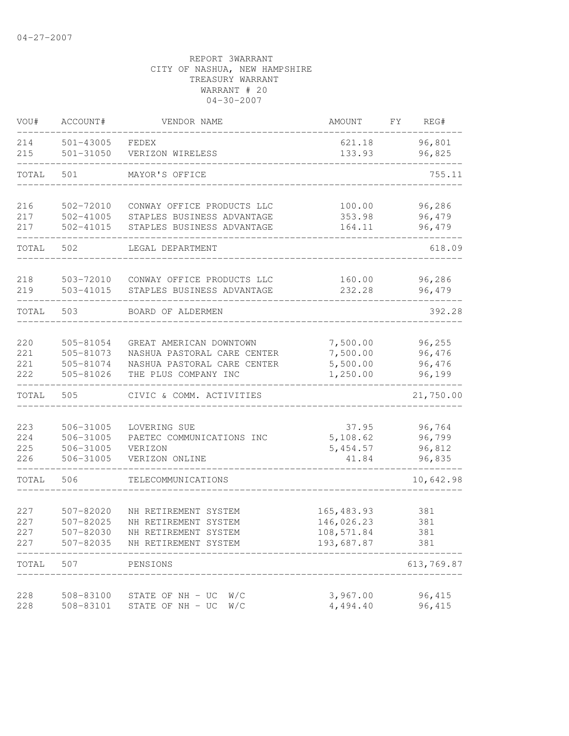| VOU#       | ACCOUNT#               | VENDOR NAME                                                | AMOUNT               | FΥ  | REG#             |
|------------|------------------------|------------------------------------------------------------|----------------------|-----|------------------|
| 214        | 501-43005              | FEDEX                                                      | 621.18               |     | 96,801           |
| 215        | $501 - 31050$          | VERIZON WIRELESS                                           | 133.93               |     | 96,825           |
| TOTAL      | 501                    | MAYOR'S OFFICE                                             |                      |     | 755.11           |
| 216        | 502-72010              | CONWAY OFFICE PRODUCTS LLC                                 | 100.00               |     | 96,286           |
| 217<br>217 | 502-41005<br>502-41015 | STAPLES BUSINESS ADVANTAGE<br>STAPLES BUSINESS ADVANTAGE   | 353.98<br>164.11     |     | 96,479<br>96,479 |
| TOTAL      | 502                    | LEGAL DEPARTMENT                                           |                      |     | 618.09           |
| 218        | 503-72010              | CONWAY OFFICE PRODUCTS LLC                                 | 160.00               |     | 96,286           |
| 219        | 503-41015              | STAPLES BUSINESS ADVANTAGE                                 | 232.28               |     | 96,479           |
| TOTAL      | 503                    | BOARD OF ALDERMEN                                          |                      |     | 392.28           |
| 220        | 505-81054              | GREAT AMERICAN DOWNTOWN                                    | 7,500.00             |     | 96,255           |
| 221<br>221 | 505-81073<br>505-81074 | NASHUA PASTORAL CARE CENTER<br>NASHUA PASTORAL CARE CENTER | 7,500.00<br>5,500.00 |     | 96,476<br>96,476 |
| 222        | 505-81026              | THE PLUS COMPANY INC                                       | 1,250.00             |     | 96,199           |
| TOTAL      | 505                    | CIVIC & COMM. ACTIVITIES                                   |                      |     | 21,750.00        |
| 223        | 506-31005              | LOVERING SUE                                               | 37.95                |     | 96,764           |
| 224        | 506-31005              | PAETEC COMMUNICATIONS INC                                  | 5,108.62             |     | 96,799           |
| 225<br>226 | 506-31005<br>506-31005 | VERIZON<br>VERIZON ONLINE                                  | 5, 454.57<br>41.84   |     | 96,812<br>96,835 |
| TOTAL      | 506                    | TELECOMMUNICATIONS                                         |                      |     | 10,642.98        |
| 227        | 507-82020              | NH RETIREMENT SYSTEM                                       | 165, 483.93          | 381 |                  |
| 227        | 507-82025              | NH RETIREMENT SYSTEM                                       | 146,026.23           | 381 |                  |
| 227        | 507-82030              | NH RETIREMENT SYSTEM                                       | 108,571.84           | 381 |                  |
| 227        | 507-82035              | NH RETIREMENT SYSTEM                                       | 193,687.87           | 381 |                  |
| TOTAL      | 507                    | PENSIONS                                                   |                      |     | 613,769.87       |
| 228        | 508-83100              | STATE OF NH - UC<br>W/C                                    | 3,967.00             |     | 96,415           |
| 228        | 508-83101              | STATE OF NH - UC<br>W/C                                    | 4,494.40             |     | 96, 415          |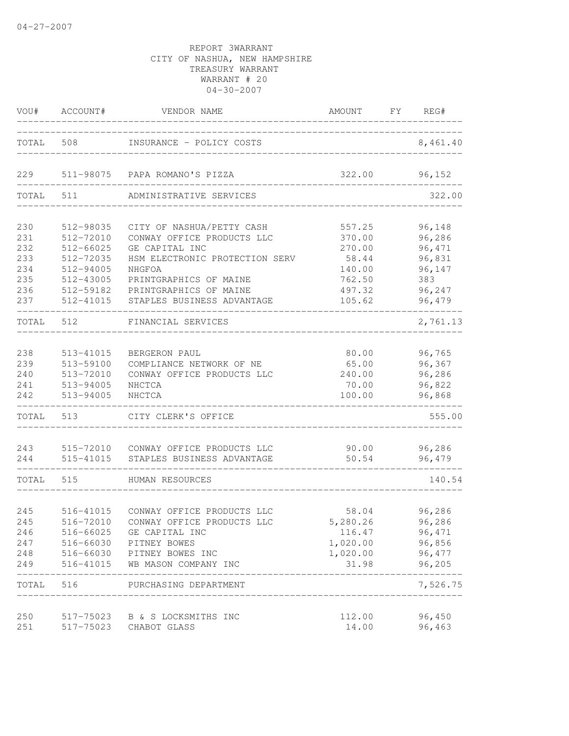|                                                      | VOU# ACCOUNT#                                                                                        | VENDOR NAME                                                                                                                                                                                             | AMOUNT FY REG#                                                              |                                                                           |
|------------------------------------------------------|------------------------------------------------------------------------------------------------------|---------------------------------------------------------------------------------------------------------------------------------------------------------------------------------------------------------|-----------------------------------------------------------------------------|---------------------------------------------------------------------------|
|                                                      | TOTAL 508                                                                                            | INSURANCE - POLICY COSTS                                                                                                                                                                                | -------------------------                                                   | 8,461.40                                                                  |
| 229                                                  |                                                                                                      | 511-98075 PAPA ROMANO'S PIZZA                                                                                                                                                                           | 322.00                                                                      | 96,152                                                                    |
| TOTAL                                                | 511                                                                                                  | ADMINISTRATIVE SERVICES                                                                                                                                                                                 |                                                                             | 322.00                                                                    |
| 230<br>231<br>232<br>233<br>234<br>235<br>236<br>237 | 512-98035<br>512-72010<br>512-66025<br>512-72035<br>512-94005<br>512-43005<br>512-59182<br>512-41015 | CITY OF NASHUA/PETTY CASH<br>CONWAY OFFICE PRODUCTS LLC<br>GE CAPITAL INC<br>HSM ELECTRONIC PROTECTION SERV<br>NHGFOA<br>PRINTGRAPHICS OF MAINE<br>PRINTGRAPHICS OF MAINE<br>STAPLES BUSINESS ADVANTAGE | 557.25<br>370.00<br>270.00<br>58.44<br>140.00<br>762.50<br>497.32<br>105.62 | 96,148<br>96,286<br>96,471<br>96,831<br>96,147<br>383<br>96,247<br>96,479 |
| TOTAL                                                | 512                                                                                                  | FINANCIAL SERVICES                                                                                                                                                                                      |                                                                             | 2,761.13                                                                  |
| 238<br>239<br>240<br>241<br>242                      | 513-41015<br>513-59100<br>513-72010<br>513-94005<br>513-94005                                        | BERGERON PAUL<br>COMPLIANCE NETWORK OF NE<br>CONWAY OFFICE PRODUCTS LLC<br>NHCTCA<br>NHCTCA                                                                                                             | 80.00<br>65.00<br>240.00<br>70.00<br>100.00                                 | 96,765<br>96,367<br>96,286<br>96,822<br>96,868                            |
| TOTAL                                                | 513                                                                                                  | CITY CLERK'S OFFICE                                                                                                                                                                                     |                                                                             | 555.00                                                                    |
| 243<br>244                                           | 515-41015                                                                                            | 515-72010 CONWAY OFFICE PRODUCTS LLC<br>STAPLES BUSINESS ADVANTAGE                                                                                                                                      | 90.00<br>50.54                                                              | 96,286<br>96,479                                                          |
| TOTAL                                                | 515                                                                                                  | HUMAN RESOURCES                                                                                                                                                                                         |                                                                             | 140.54                                                                    |
| 245<br>245<br>246<br>247<br>248<br>249               | 516-41015<br>516-72010<br>516-66025<br>516-41015                                                     | CONWAY OFFICE PRODUCTS LLC<br>CONWAY OFFICE PRODUCTS LLC<br>GE CAPITAL INC<br>516-66030 PITNEY BOWES<br>516-66030 PITNEY BOWES INC<br>WB MASON COMPANY INC                                              | 58.04<br>5,280.26<br>116.47<br>1,020.00<br>1,020.00<br>31.98                | 96,286<br>96,286<br>96, 471<br>96,856<br>96,477<br>96,205                 |
| TOTAL                                                | 516                                                                                                  | PURCHASING DEPARTMENT                                                                                                                                                                                   |                                                                             | 7,526.75                                                                  |
| 250<br>251                                           | 517-75023                                                                                            | 517-75023 B & S LOCKSMITHS INC<br>CHABOT GLASS                                                                                                                                                          | 112.00<br>14.00                                                             | 96,450<br>96,463                                                          |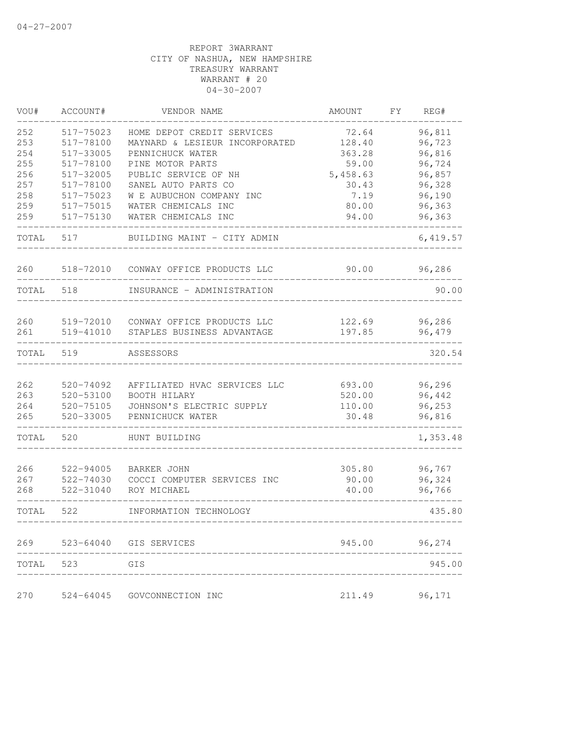| VOU#       | ACCOUNT#               | VENDOR NAME                                              | AMOUNT           | FY | REG#             |
|------------|------------------------|----------------------------------------------------------|------------------|----|------------------|
| 252        | 517-75023              | HOME DEPOT CREDIT SERVICES                               | 72.64            |    | 96,811           |
| 253        | 517-78100              | MAYNARD & LESIEUR INCORPORATED                           | 128.40           |    | 96,723           |
| 254        | 517-33005              | PENNICHUCK WATER                                         | 363.28           |    | 96,816           |
| 255        | 517-78100              | PINE MOTOR PARTS                                         | 59.00            |    | 96,724           |
| 256        | 517-32005              | PUBLIC SERVICE OF NH                                     | 5,458.63         |    | 96,857           |
| 257        | 517-78100              | SANEL AUTO PARTS CO                                      | 30.43            |    | 96,328           |
| 258        | 517-75023              | W E AUBUCHON COMPANY INC                                 | 7.19             |    | 96,190           |
| 259        | 517-75015              | WATER CHEMICALS INC                                      | 80.00            |    | 96,363           |
| 259        | 517-75130              | WATER CHEMICALS INC                                      | 94.00            |    | 96,363           |
| TOTAL      | 517                    | BUILDING MAINT - CITY ADMIN                              |                  |    | 6,419.57         |
| 260        | 518-72010              | CONWAY OFFICE PRODUCTS LLC                               | 90.00            |    | 96,286           |
| TOTAL      | 518                    | INSURANCE - ADMINISTRATION                               |                  |    | 90.00            |
|            |                        |                                                          |                  |    |                  |
| 260<br>261 | 519-72010<br>519-41010 | CONWAY OFFICE PRODUCTS LLC<br>STAPLES BUSINESS ADVANTAGE | 122.69<br>197.85 |    | 96,286<br>96,479 |
| TOTAL      | 519                    | ASSESSORS                                                |                  |    | 320.54           |
|            |                        |                                                          |                  |    |                  |
| 262        | 520-74092              | AFFILIATED HVAC SERVICES LLC                             | 693.00           |    | 96,296           |
| 263        | 520-53100              | BOOTH HILARY                                             | 520.00           |    | 96,442           |
| 264        | 520-75105              | JOHNSON'S ELECTRIC SUPPLY                                | 110.00           |    | 96,253           |
| 265        | 520-33005              | PENNICHUCK WATER                                         | 30.48            |    | 96,816           |
| TOTAL      | 520                    | HUNT BUILDING                                            |                  |    | 1,353.48         |
| 266        | 522-94005              | BARKER JOHN                                              | 305.80           |    | 96,767           |
| 267        | 522-74030              | COCCI COMPUTER SERVICES INC                              | 90.00            |    | 96,324           |
| 268        | 522-31040              | ROY MICHAEL                                              | 40.00            |    | 96,766           |
| TOTAL      | 522                    | INFORMATION TECHNOLOGY                                   |                  |    | 435.80           |
| 269        | 523-64040              | GIS SERVICES                                             | 945.00           |    | 96,274           |
| TOTAL      | 523                    | GIS                                                      |                  |    | 945.00           |
|            |                        |                                                          |                  |    |                  |
| 270        | $524 - 64045$          | GOVCONNECTION INC                                        | 211.49           |    | 96,171           |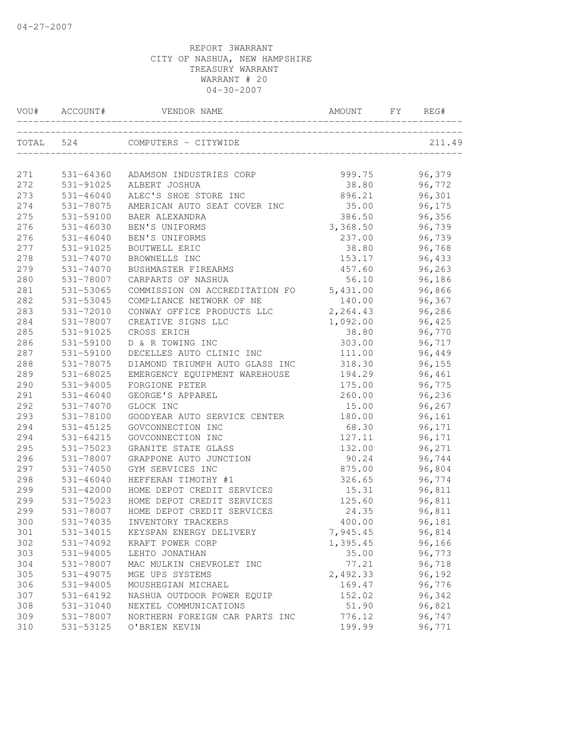|     | VOU# ACCOUNT# | VENDOR NAME                             | AMOUNT   | FY | REG#   |
|-----|---------------|-----------------------------------------|----------|----|--------|
|     |               | TOTAL 524 COMPUTERS - CITYWIDE          |          |    | 211.49 |
| 271 |               | 531-64360 ADAMSON INDUSTRIES CORP       | 999.75   |    | 96,379 |
| 272 | 531-91025     | ALBERT JOSHUA                           | 38.80    |    | 96,772 |
| 273 | 531-46040     | ALEC'S SHOE STORE INC                   | 896.21   |    | 96,301 |
| 274 | 531-78075     | AMERICAN AUTO SEAT COVER INC            | 35.00    |    | 96,175 |
| 275 | 531-59100     | BAER ALEXANDRA                          | 386.50   |    | 96,356 |
| 276 | 531-46030     | BEN'S UNIFORMS                          | 3,368.50 |    | 96,739 |
| 276 | 531-46040     | BEN'S UNIFORMS                          | 237.00   |    | 96,739 |
| 277 | 531-91025     | <b>BOUTWELL ERIC</b>                    | 38.80    |    | 96,768 |
| 278 | 531-74070     | BROWNELLS INC                           | 153.17   |    | 96,433 |
| 279 | 531-74070     | BUSHMASTER FIREARMS                     | 457.60   |    | 96,263 |
| 280 | 531-78007     | CARPARTS OF NASHUA                      | 56.10    |    | 96,186 |
| 281 | 531-53065     | COMMISSION ON ACCREDITATION FO 5,431.00 |          |    | 96,866 |
| 282 | 531-53045     | COMPLIANCE NETWORK OF NE                | 140.00   |    | 96,367 |
| 283 | 531-72010     | CONWAY OFFICE PRODUCTS LLC              | 2,264.43 |    | 96,286 |
| 284 | 531-78007     | CREATIVE SIGNS LLC                      | 1,092.00 |    | 96,425 |
| 285 | 531-91025     | CROSS ERICH                             | 38.80    |    | 96,770 |
| 286 | 531-59100     | D & R TOWING INC                        | 303.00   |    | 96,717 |
| 287 | 531-59100     | DECELLES AUTO CLINIC INC                | 111.00   |    | 96,449 |
| 288 | 531-78075     | DIAMOND TRIUMPH AUTO GLASS INC          | 318.30   |    | 96,155 |
| 289 | 531-68025     | EMERGENCY EQUIPMENT WAREHOUSE           | 194.29   |    | 96,461 |
| 290 | 531-94005     | FORGIONE PETER                          | 175.00   |    | 96,775 |
| 291 | 531-46040     | GEORGE'S APPAREL                        | 260.00   |    | 96,236 |
| 292 | 531-74070     | GLOCK INC                               | 15.00    |    | 96,267 |
| 293 | 531-78100     | GOODYEAR AUTO SERVICE CENTER            | 180.00   |    | 96,161 |
| 294 | 531-45125     | GOVCONNECTION INC                       | 68.30    |    | 96,171 |
| 294 | 531-64215     | GOVCONNECTION INC                       | 127.11   |    | 96,171 |
| 295 | 531-75023     | GRANITE STATE GLASS                     | 132.00   |    | 96,271 |
| 296 | 531-78007     | GRAPPONE AUTO JUNCTION                  | 90.24    |    | 96,744 |
| 297 | $531 - 74050$ | GYM SERVICES INC                        | 875.00   |    | 96,804 |
| 298 | 531-46040     | HEFFERAN TIMOTHY #1                     | 326.65   |    | 96,774 |
| 299 | 531-42000     | HOME DEPOT CREDIT SERVICES              | 15.31    |    | 96,811 |
| 299 | 531-75023     | HOME DEPOT CREDIT SERVICES              | 125.60   |    | 96,811 |
| 299 | 531-78007     | HOME DEPOT CREDIT SERVICES              | 24.35    |    | 96,811 |
| 300 |               | 531-74035 INVENTORY TRACKERS            | 400.00   |    | 96,181 |
| 301 | 531-34015     | KEYSPAN ENERGY DELIVERY                 | 7,945.45 |    | 96,814 |
| 302 | 531-74092     | KRAFT POWER CORP                        | 1,395.45 |    | 96,166 |
| 303 | 531-94005     | LEHTO JONATHAN                          | 35.00    |    | 96,773 |
| 304 | 531-78007     | MAC MULKIN CHEVROLET INC                | 77.21    |    | 96,718 |
| 305 | 531-49075     | MGE UPS SYSTEMS                         | 2,492.33 |    | 96,192 |
| 306 | 531-94005     | MOUSHEGIAN MICHAEL                      | 169.47   |    | 96,776 |
| 307 | $531 - 64192$ | NASHUA OUTDOOR POWER EQUIP              | 152.02   |    | 96,342 |
| 308 | 531-31040     | NEXTEL COMMUNICATIONS                   | 51.90    |    | 96,821 |
| 309 | 531-78007     | NORTHERN FOREIGN CAR PARTS INC          | 776.12   |    | 96,747 |
| 310 | 531-53125     | O'BRIEN KEVIN                           | 199.99   |    | 96,771 |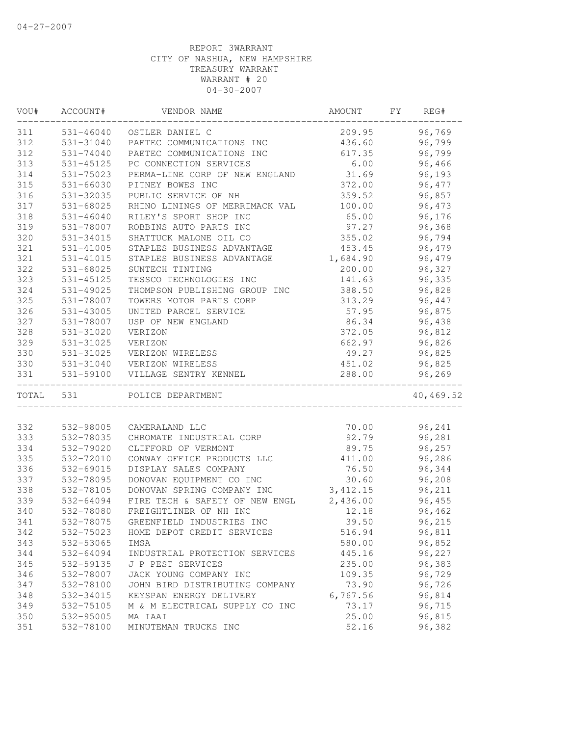| VOU#  | ACCOUNT#      | VENDOR NAME                    | AMOUNT   | FΥ | REG#      |
|-------|---------------|--------------------------------|----------|----|-----------|
| 311   |               | 531-46040 OSTLER DANIEL C      | 209.95   |    | 96,769    |
| 312   | 531-31040     | PAETEC COMMUNICATIONS INC      | 436.60   |    | 96,799    |
| 312   | 531-74040     | PAETEC COMMUNICATIONS INC      | 617.35   |    | 96,799    |
| 313   | 531-45125     | PC CONNECTION SERVICES         | 6.00     |    | 96,466    |
| 314   | 531-75023     | PERMA-LINE CORP OF NEW ENGLAND | 31.69    |    | 96,193    |
| 315   | $531 - 66030$ | PITNEY BOWES INC               | 372.00   |    | 96,477    |
| 316   | 531-32035     | PUBLIC SERVICE OF NH           | 359.52   |    | 96,857    |
| 317   | 531-68025     | RHINO LININGS OF MERRIMACK VAL | 100.00   |    | 96,473    |
| 318   | $531 - 46040$ | RILEY'S SPORT SHOP INC         | 65.00    |    | 96,176    |
| 319   | 531-78007     | ROBBINS AUTO PARTS INC         | 97.27    |    | 96,368    |
| 320   | 531-34015     | SHATTUCK MALONE OIL CO         | 355.02   |    | 96,794    |
| 321   | 531-41005     | STAPLES BUSINESS ADVANTAGE     | 453.45   |    | 96,479    |
| 321   | 531-41015     | STAPLES BUSINESS ADVANTAGE     | 1,684.90 |    | 96,479    |
| 322   | 531-68025     | SUNTECH TINTING                | 200.00   |    | 96,327    |
| 323   | 531-45125     | TESSCO TECHNOLOGIES INC        | 141.63   |    | 96,335    |
| 324   | 531-49025     | THOMPSON PUBLISHING GROUP INC  | 388.50   |    | 96,828    |
| 325   | 531-78007     | TOWERS MOTOR PARTS CORP        | 313.29   |    | 96,447    |
| 326   | 531-43005     | UNITED PARCEL SERVICE          | 57.95    |    | 96,875    |
| 327   | 531-78007     | USP OF NEW ENGLAND             | 86.34    |    | 96,438    |
| 328   | 531-31020     | VERIZON                        | 372.05   |    | 96,812    |
| 329   | 531-31025     | VERIZON                        | 662.97   |    | 96,826    |
| 330   | 531-31025     | VERIZON WIRELESS               | 49.27    |    | 96,825    |
| 330   | 531-31040     | VERIZON WIRELESS               | 451.02   |    | 96,825    |
| 331   | 531-59100     | VILLAGE SENTRY KENNEL          | 288.00   |    | 96,269    |
| TOTAL | 531           | POLICE DEPARTMENT              |          |    | 40,469.52 |
|       |               |                                |          |    |           |
| 332   | 532-98005     | CAMERALAND LLC                 | 70.00    |    | 96,241    |
| 333   | 532-78035     | CHROMATE INDUSTRIAL CORP       | 92.79    |    | 96,281    |
| 334   | 532-79020     | CLIFFORD OF VERMONT            | 89.75    |    | 96,257    |
| 335   | 532-72010     | CONWAY OFFICE PRODUCTS LLC     | 411.00   |    | 96,286    |
| 336   | 532-69015     | DISPLAY SALES COMPANY          | 76.50    |    | 96,344    |
| 337   | 532-78095     | DONOVAN EQUIPMENT CO INC       | 30.60    |    | 96,208    |
| 338   | 532-78105     | DONOVAN SPRING COMPANY INC     | 3,412.15 |    | 96,211    |
| 339   | 532-64094     | FIRE TECH & SAFETY OF NEW ENGL | 2,436.00 |    | 96,455    |
| 340   | 532-78080     | FREIGHTLINER OF NH INC         | 12.18    |    | 96,462    |
| 341   | 532-78075     | GREENFIELD INDUSTRIES INC      | 39.50    |    | 96,215    |
| 342   | 532-75023     | HOME DEPOT CREDIT SERVICES     | 516.94   |    | 96,811    |
| 343   | 532-53065     | IMSA                           | 580.00   |    | 96,852    |
| 344   | 532-64094     | INDUSTRIAL PROTECTION SERVICES | 445.16   |    | 96,227    |
| 345   | 532-59135     | J P PEST SERVICES              | 235.00   |    | 96,383    |
| 346   | 532-78007     | JACK YOUNG COMPANY INC         | 109.35   |    | 96,729    |
| 347   | 532-78100     | JOHN BIRD DISTRIBUTING COMPANY | 73.90    |    | 96,726    |
| 348   | 532-34015     | KEYSPAN ENERGY DELIVERY        | 6,767.56 |    | 96,814    |
| 349   | 532-75105     | M & M ELECTRICAL SUPPLY CO INC | 73.17    |    | 96,715    |
| 350   | 532-95005     | MA IAAI                        | 25.00    |    | 96,815    |
| 351   | 532-78100     | MINUTEMAN TRUCKS INC           | 52.16    |    | 96,382    |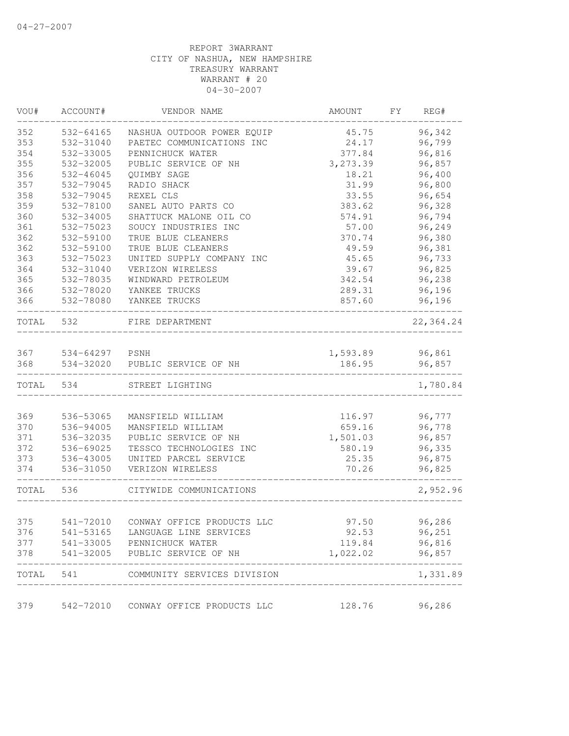| VOU#  | ACCOUNT#               | VENDOR NAME                          | AMOUNT   | FY | REG#      |
|-------|------------------------|--------------------------------------|----------|----|-----------|
| 352   | 532-64165              | NASHUA OUTDOOR POWER EQUIP           | 45.75    |    | 96,342    |
| 353   | 532-31040              | PAETEC COMMUNICATIONS INC            | 24.17    |    | 96,799    |
| 354   | 532-33005              | PENNICHUCK WATER                     | 377.84   |    | 96,816    |
| 355   | 532-32005              | PUBLIC SERVICE OF NH                 | 3,273.39 |    | 96,857    |
| 356   | 532-46045              | QUIMBY SAGE                          | 18.21    |    | 96,400    |
| 357   | 532-79045              | RADIO SHACK                          | 31.99    |    | 96,800    |
| 358   | 532-79045              | REXEL CLS                            | 33.55    |    | 96,654    |
| 359   | 532-78100              | SANEL AUTO PARTS CO                  | 383.62   |    | 96,328    |
| 360   | 532-34005              | SHATTUCK MALONE OIL CO               | 574.91   |    | 96,794    |
| 361   | 532-75023              | SOUCY INDUSTRIES INC                 | 57.00    |    | 96,249    |
| 362   | 532-59100              | TRUE BLUE CLEANERS                   | 370.74   |    | 96,380    |
| 362   | 532-59100              | TRUE BLUE CLEANERS                   | 49.59    |    | 96,381    |
| 363   | 532-75023              | UNITED SUPPLY COMPANY INC            | 45.65    |    | 96,733    |
| 364   | 532-31040              | VERIZON WIRELESS                     | 39.67    |    | 96,825    |
| 365   | 532-78035              | WINDWARD PETROLEUM                   | 342.54   |    | 96,238    |
| 366   | 532-78020              | YANKEE TRUCKS                        | 289.31   |    | 96,196    |
| 366   | 532-78080              | YANKEE TRUCKS                        | 857.60   |    | 96,196    |
| TOTAL | 532                    | FIRE DEPARTMENT                      |          |    | 22,364.24 |
| 367   |                        | PSNH                                 | 1,593.89 |    | 96,861    |
| 368   | 534-64297<br>534-32020 | PUBLIC SERVICE OF NH                 | 186.95   |    | 96,857    |
| TOTAL | 534                    | STREET LIGHTING                      |          |    | 1,780.84  |
|       |                        |                                      |          |    |           |
| 369   | 536-53065              | MANSFIELD WILLIAM                    | 116.97   |    | 96,777    |
| 370   | 536-94005              | MANSFIELD WILLIAM                    | 659.16   |    | 96,778    |
| 371   | 536-32035              | PUBLIC SERVICE OF NH                 | 1,501.03 |    | 96,857    |
| 372   | 536-69025              | TESSCO TECHNOLOGIES INC              | 580.19   |    | 96,335    |
| 373   | 536-43005              | UNITED PARCEL SERVICE                | 25.35    |    | 96,875    |
| 374   | 536-31050              | VERIZON WIRELESS                     | 70.26    |    | 96,825    |
| TOTAL | 536                    | CITYWIDE COMMUNICATIONS              |          |    | 2,952.96  |
|       |                        |                                      |          |    |           |
| 375   |                        | 541-72010 CONWAY OFFICE PRODUCTS LLC | 97.50    |    | 96,286    |
| 376   |                        | 541-53165 LANGUAGE LINE SERVICES     | 92.53    |    | 96,251    |
| 377   |                        | 541-33005 PENNICHUCK WATER           | 119.84   |    | 96,816    |
| 378   |                        | 541-32005 PUBLIC SERVICE OF NH       | 1,022.02 |    | 96,857    |
| TOTAL | 541                    | COMMUNITY SERVICES DIVISION          |          |    | 1,331.89  |
| 379   | 542-72010              | CONWAY OFFICE PRODUCTS LLC           | 128.76   |    | 96,286    |
|       |                        |                                      |          |    |           |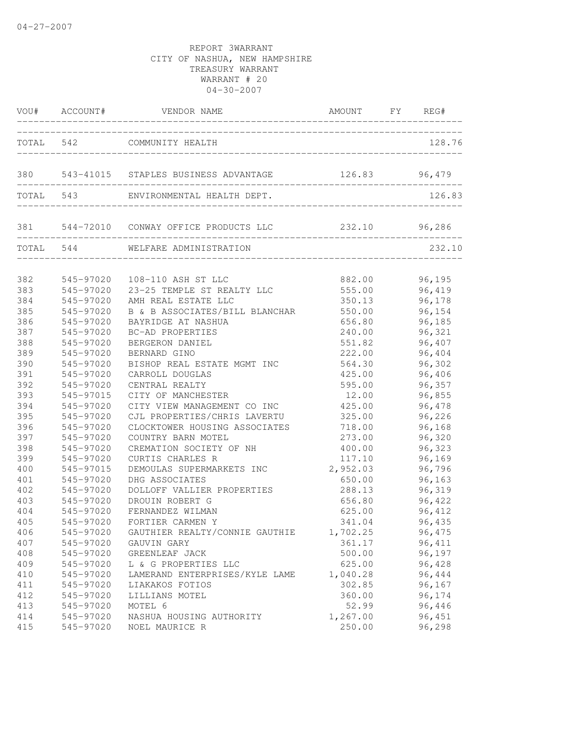|            | VOU# ACCOUNT#          | VENDOR NAME                                            | AMOUNT FY REG#                |                  |
|------------|------------------------|--------------------------------------------------------|-------------------------------|------------------|
|            |                        | TOTAL 542 COMMUNITY HEALTH                             |                               | 128.76           |
| 380        |                        |                                                        | ----------------------------  |                  |
|            | TOTAL 543              | ENVIRONMENTAL HEALTH DEPT.                             |                               | 126.83           |
|            |                        | 381 544-72010 CONWAY OFFICE PRODUCTS LLC 232.10 96,286 | _____________________________ |                  |
| TOTAL 544  |                        | WELFARE ADMINISTRATION                                 |                               | 232.10           |
| 382        |                        | 545-97020  108-110 ASH ST LLC                          | 882.00                        | 96,195           |
| 383        | $545 - 97020$          | 23-25 TEMPLE ST REALTY LLC                             | 555.00                        | 96,419           |
| 384        | 545-97020              | AMH REAL ESTATE LLC                                    | 350.13                        | 96,178           |
| 385        | 545-97020              | B & B ASSOCIATES/BILL BLANCHAR                         | 550.00                        | 96,154           |
| 386        | 545-97020              | BAYRIDGE AT NASHUA                                     | 656.80                        | 96,185           |
| 387        | 545-97020              | BC-AD PROPERTIES                                       | 240.00                        | 96,321           |
| 388        | 545-97020              | BERGERON DANIEL                                        | 551.82                        | 96,407           |
| 389        | 545-97020              | BERNARD GINO                                           | 222.00                        | 96,404           |
| 390        | 545-97020              | BISHOP REAL ESTATE MGMT INC                            | 564.30                        | 96,302           |
| 391        | 545-97020              | CARROLL DOUGLAS                                        | 425.00                        | 96,406           |
| 392        | 545-97020              | CENTRAL REALTY                                         | 595.00                        | 96,357           |
| 393        | 545-97015              | CITY OF MANCHESTER                                     | 12.00                         | 96,855           |
| 394        | 545-97020              | CITY VIEW MANAGEMENT CO INC                            | 425.00                        | 96,478           |
| 395        | 545-97020              | CJL PROPERTIES/CHRIS LAVERTU                           | 325.00                        | 96,226           |
| 396        | 545-97020              | CLOCKTOWER HOUSING ASSOCIATES                          | 718.00                        | 96,168           |
| 397        | 545-97020              | COUNTRY BARN MOTEL                                     | 273.00                        | 96,320           |
| 398<br>399 | 545-97020<br>545-97020 | CREMATION SOCIETY OF NH<br>CURTIS CHARLES R            | 400.00                        | 96,323           |
|            |                        |                                                        | 117.10                        | 96,169           |
| 400        | 545-97015              | DEMOULAS SUPERMARKETS INC                              | 2,952.03                      | 96,796           |
| 401        | 545-97020              | DHG ASSOCIATES                                         | 650.00                        | 96,163           |
| 402        | 545-97020              | DOLLOFF VALLIER PROPERTIES                             | 288.13                        | 96,319           |
| 403        | 545-97020              | DROUIN ROBERT G                                        | 656.80                        | 96,422           |
| 404        | 545-97020              | FERNANDEZ WILMAN                                       | 625.00                        | 96,412           |
| 405        | 545-97020              | FORTIER CARMEN Y                                       | 341.04                        | 96,435           |
| 406        | 545-97020              | GAUTHIER REALTY/CONNIE GAUTHIE                         | 1,702.25                      | 96,475           |
| 407        | 545-97020              | GAUVIN GARY                                            | 361.17                        | 96, 411          |
| 408        | 545-97020              | GREENLEAF JACK                                         | 500.00                        | 96,197           |
| 409        | 545-97020              | L & G PROPERTIES LLC                                   | 625.00                        | 96,428           |
| 410        | 545-97020              | LAMERAND ENTERPRISES/KYLE LAME                         | 1,040.28<br>302.85            | 96,444           |
| 411        | 545-97020              | LIAKAKOS FOTIOS                                        |                               | 96,167<br>96,174 |
| 412        | 545-97020              | LILLIANS MOTEL                                         | 360.00                        |                  |
| 413<br>414 | 545-97020<br>545-97020 | MOTEL 6                                                | 52.99<br>1,267.00             | 96,446<br>96,451 |
| 415        | 545-97020              | NASHUA HOUSING AUTHORITY<br>NOEL MAURICE R             | 250.00                        | 96,298           |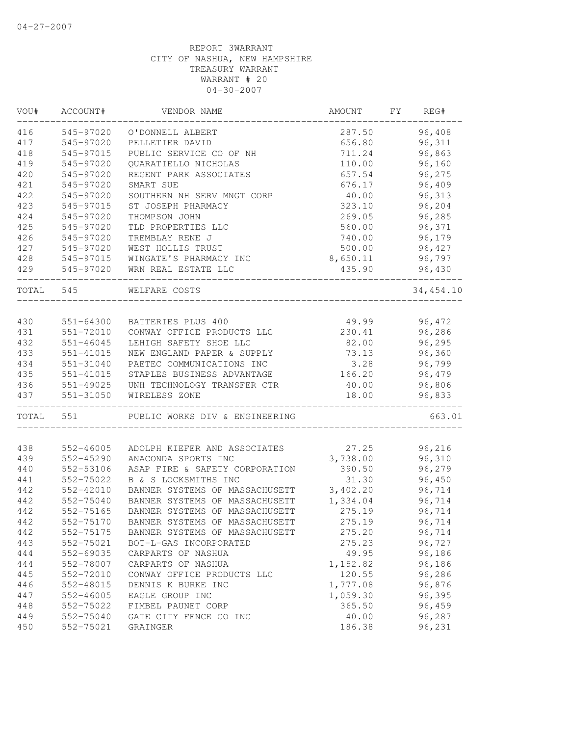| VOU#      | ACCOUNT#                     | VENDOR NAME                    | AMOUNT   | FΥ | REG#       |
|-----------|------------------------------|--------------------------------|----------|----|------------|
| 416       | 545-97020                    | O'DONNELL ALBERT               | 287.50   |    | 96,408     |
| 417       | 545-97020                    | PELLETIER DAVID                | 656.80   |    | 96,311     |
| 418       | 545-97015                    | PUBLIC SERVICE CO OF NH        | 711.24   |    | 96,863     |
| 419       | 545-97020                    | QUARATIELLO NICHOLAS           | 110.00   |    | 96,160     |
| 420       | 545-97020                    | REGENT PARK ASSOCIATES         | 657.54   |    | 96,275     |
| 421       | 545-97020                    | SMART SUE                      | 676.17   |    | 96,409     |
| 422       | 545-97020                    | SOUTHERN NH SERV MNGT CORP     | 40.00    |    | 96,313     |
| 423       | 545-97015                    | ST JOSEPH PHARMACY             | 323.10   |    | 96,204     |
| 424       | 545-97020                    | THOMPSON JOHN                  | 269.05   |    | 96,285     |
| 425       | 545-97020                    | TLD PROPERTIES LLC             | 560.00   |    | 96,371     |
| 426       | 545-97020                    | TREMBLAY RENE J                | 740.00   |    | 96,179     |
| 427       | 545-97020                    | WEST HOLLIS TRUST              | 500.00   |    | 96,427     |
| 428       | 545-97015                    | WINGATE'S PHARMACY INC         | 8,650.11 |    | 96,797     |
| 429       | 545-97020                    | WRN REAL ESTATE LLC            | 435.90   |    | 96,430     |
| TOTAL 545 |                              | WELFARE COSTS                  |          |    | 34, 454.10 |
|           |                              |                                |          |    |            |
| 430       | 551-64300                    | BATTERIES PLUS 400             | 49.99    |    | 96,472     |
| 431       | 551-72010                    | CONWAY OFFICE PRODUCTS LLC     | 230.41   |    | 96,286     |
| 432       | $551 - 46045$                | LEHIGH SAFETY SHOE LLC         | 82.00    |    | 96,295     |
| 433       | 551-41015                    | NEW ENGLAND PAPER & SUPPLY     | 73.13    |    | 96,360     |
| 434       | 551-31040                    | PAETEC COMMUNICATIONS INC      | 3.28     |    | 96,799     |
| 435       | 551-41015                    | STAPLES BUSINESS ADVANTAGE     | 166.20   |    | 96,479     |
| 436       | 551-49025                    | UNH TECHNOLOGY TRANSFER CTR    | 40.00    |    | 96,806     |
| 437       | 551-31050<br>_______________ | WIRELESS ZONE                  | 18.00    |    | 96,833     |
| TOTAL     | 551                          | PUBLIC WORKS DIV & ENGINEERING |          |    | 663.01     |
|           |                              |                                |          |    |            |
| 438       | 552-46005                    | ADOLPH KIEFER AND ASSOCIATES   | 27.25    |    | 96,216     |
| 439       | 552-45290                    | ANACONDA SPORTS INC            | 3,738.00 |    | 96,310     |
| 440       | 552-53106                    | ASAP FIRE & SAFETY CORPORATION | 390.50   |    | 96,279     |
| 441       | 552-75022                    | B & S LOCKSMITHS INC           | 31.30    |    | 96,450     |
| 442       | 552-42010                    | BANNER SYSTEMS OF MASSACHUSETT | 3,402.20 |    | 96,714     |
| 442       | 552-75040                    | BANNER SYSTEMS OF MASSACHUSETT | 1,334.04 |    | 96,714     |
| 442       | 552-75165                    | BANNER SYSTEMS OF MASSACHUSETT | 275.19   |    | 96,714     |
| 442       | 552-75170                    | BANNER SYSTEMS OF MASSACHUSETT | 275.19   |    | 96,714     |
| 442       | 552-75175                    | BANNER SYSTEMS OF MASSACHUSETT | 275.20   |    | 96,714     |
| 443       | 552-75021                    | BOT-L-GAS INCORPORATED         | 275.23   |    | 96,727     |
| 444       | 552-69035                    | CARPARTS OF NASHUA             | 49.95    |    | 96,186     |
| 444       | 552-78007                    | CARPARTS OF NASHUA             | 1,152.82 |    | 96,186     |
| 445       | 552-72010                    | CONWAY OFFICE PRODUCTS LLC     | 120.55   |    | 96,286     |
| 446       | 552-48015                    | DENNIS K BURKE INC             | 1,777.08 |    | 96,876     |
| 447       | 552-46005                    | EAGLE GROUP INC                | 1,059.30 |    | 96,395     |
| 448       | 552-75022                    | FIMBEL PAUNET CORP             | 365.50   |    | 96,459     |
| 449       | 552-75040                    | GATE CITY FENCE CO INC         | 40.00    |    | 96,287     |
| 450       | 552-75021                    | GRAINGER                       | 186.38   |    | 96,231     |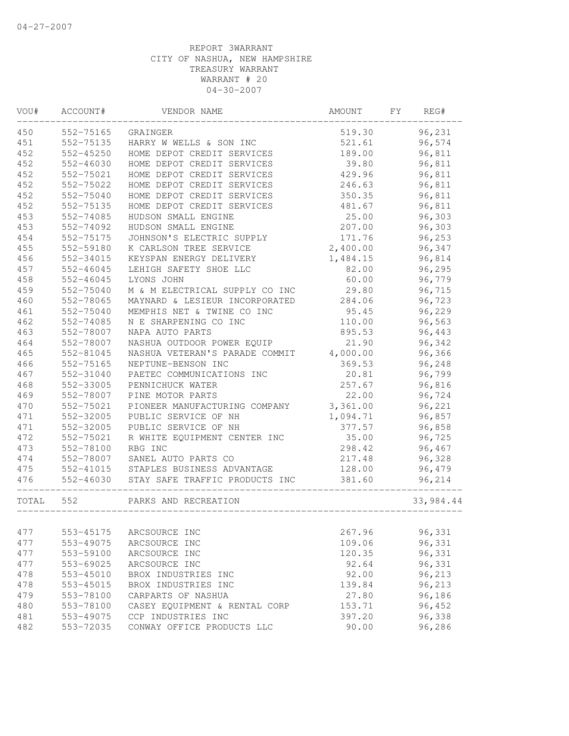| VOU#  | ACCOUNT#      | VENDOR NAME                    | AMOUNT   | FY | REG#      |
|-------|---------------|--------------------------------|----------|----|-----------|
| 450   | 552-75165     | GRAINGER                       | 519.30   |    | 96,231    |
| 451   | 552-75135     | HARRY W WELLS & SON INC        | 521.61   |    | 96,574    |
| 452   | 552-45250     | HOME DEPOT CREDIT SERVICES     | 189.00   |    | 96,811    |
| 452   | 552-46030     | HOME DEPOT CREDIT SERVICES     | 39.80    |    | 96,811    |
| 452   | 552-75021     | HOME DEPOT CREDIT SERVICES     | 429.96   |    | 96,811    |
| 452   | 552-75022     | HOME DEPOT CREDIT SERVICES     | 246.63   |    | 96,811    |
| 452   | 552-75040     | HOME DEPOT CREDIT SERVICES     | 350.35   |    | 96,811    |
| 452   | 552-75135     | HOME DEPOT CREDIT SERVICES     | 481.67   |    | 96,811    |
| 453   | 552-74085     | HUDSON SMALL ENGINE            | 25.00    |    | 96,303    |
| 453   | 552-74092     | HUDSON SMALL ENGINE            | 207.00   |    | 96,303    |
| 454   | 552-75175     | JOHNSON'S ELECTRIC SUPPLY      | 171.76   |    | 96,253    |
| 455   | 552-59180     | K CARLSON TREE SERVICE         | 2,400.00 |    | 96,347    |
| 456   | 552-34015     | KEYSPAN ENERGY DELIVERY        | 1,484.15 |    | 96,814    |
| 457   | 552-46045     | LEHIGH SAFETY SHOE LLC         | 82.00    |    | 96,295    |
| 458   | $552 - 46045$ | LYONS JOHN                     | 60.00    |    | 96,779    |
| 459   | 552-75040     | M & M ELECTRICAL SUPPLY CO INC | 29.80    |    | 96,715    |
| 460   | 552-78065     | MAYNARD & LESIEUR INCORPORATED | 284.06   |    | 96,723    |
| 461   | 552-75040     | MEMPHIS NET & TWINE CO INC     | 95.45    |    | 96,229    |
| 462   | 552-74085     | N E SHARPENING CO INC          | 110.00   |    | 96,563    |
| 463   | 552-78007     | NAPA AUTO PARTS                | 895.53   |    | 96,443    |
| 464   | 552-78007     | NASHUA OUTDOOR POWER EQUIP     | 21.90    |    | 96,342    |
| 465   | 552-81045     | NASHUA VETERAN'S PARADE COMMIT | 4,000.00 |    | 96,366    |
| 466   | 552-75165     | NEPTUNE-BENSON INC             | 369.53   |    | 96,248    |
| 467   | 552-31040     | PAETEC COMMUNICATIONS INC      | 20.81    |    | 96,799    |
| 468   | 552-33005     | PENNICHUCK WATER               | 257.67   |    | 96,816    |
| 469   | 552-78007     | PINE MOTOR PARTS               | 22.00    |    | 96,724    |
| 470   | 552-75021     | PIONEER MANUFACTURING COMPANY  | 3,361.00 |    | 96,221    |
| 471   | 552-32005     | PUBLIC SERVICE OF NH           | 1,094.71 |    | 96,857    |
| 471   | 552-32005     | PUBLIC SERVICE OF NH           | 377.57   |    | 96,858    |
| 472   | 552-75021     | R WHITE EQUIPMENT CENTER INC   | 35.00    |    | 96,725    |
| 473   | 552-78100     | RBG INC                        | 298.42   |    | 96,467    |
| 474   | 552-78007     | SANEL AUTO PARTS CO            | 217.48   |    | 96,328    |
| 475   | 552-41015     | STAPLES BUSINESS ADVANTAGE     | 128.00   |    | 96,479    |
| 476   | 552-46030     | STAY SAFE TRAFFIC PRODUCTS INC | 381.60   |    | 96,214    |
| TOTAL | 552           | PARKS AND RECREATION           |          |    | 33,984.44 |
|       |               |                                |          |    |           |
| 477   | 553-45175     | ARCSOURCE INC                  | 267.96   |    | 96,331    |
| 477   | 553-49075     | ARCSOURCE INC                  | 109.06   |    | 96,331    |
| 477   | 553-59100     | ARCSOURCE INC                  | 120.35   |    | 96,331    |
| 477   | 553-69025     | ARCSOURCE INC                  | 92.64    |    | 96,331    |
| 478   | 553-45010     | BROX INDUSTRIES INC            | 92.00    |    | 96,213    |
| 478   | 553-45015     | BROX INDUSTRIES INC            | 139.84   |    | 96,213    |
| 479   | 553-78100     | CARPARTS OF NASHUA             | 27.80    |    | 96,186    |
| 480   | 553-78100     | CASEY EQUIPMENT & RENTAL CORP  | 153.71   |    | 96,452    |
| 481   | 553-49075     | CCP INDUSTRIES INC             | 397.20   |    | 96,338    |
| 482   | 553-72035     | CONWAY OFFICE PRODUCTS LLC     | 90.00    |    | 96,286    |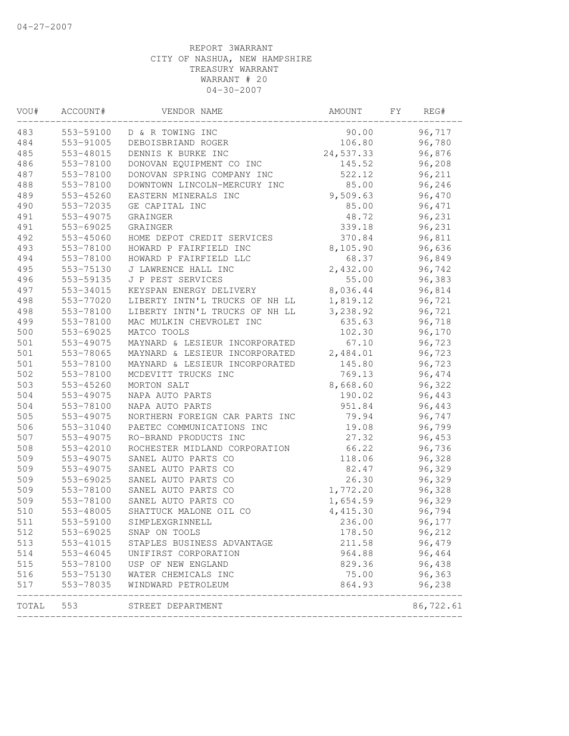| VOU#  | ACCOUNT#               | VENDOR NAME                    | AMOUNT    | FY. | REG#      |  |
|-------|------------------------|--------------------------------|-----------|-----|-----------|--|
| 483   | 553-59100              | D & R TOWING INC               | 90.00     |     | 96,717    |  |
| 484   | 553-91005              | DEBOISBRIAND ROGER             | 106.80    |     | 96,780    |  |
| 485   | 553-48015              | DENNIS K BURKE INC             | 24,537.33 |     | 96,876    |  |
| 486   | 553-78100              | DONOVAN EQUIPMENT CO INC       | 145.52    |     | 96,208    |  |
| 487   | 553-78100              | DONOVAN SPRING COMPANY INC     | 522.12    |     | 96,211    |  |
| 488   | 553-78100              | DOWNTOWN LINCOLN-MERCURY INC   | 85.00     |     | 96,246    |  |
| 489   | 553-45260              | EASTERN MINERALS INC           | 9,509.63  |     | 96,470    |  |
| 490   | 553-72035              | GE CAPITAL INC                 | 85.00     |     | 96,471    |  |
| 491   | 553-49075              | GRAINGER                       | 48.72     |     | 96,231    |  |
| 491   | 553-69025              | <b>GRAINGER</b>                | 339.18    |     | 96,231    |  |
| 492   | 553-45060              | HOME DEPOT CREDIT SERVICES     | 370.84    |     | 96,811    |  |
| 493   | 553-78100              | HOWARD P FAIRFIELD INC         | 8,105.90  |     | 96,636    |  |
| 494   | 553-78100              | HOWARD P FAIRFIELD LLC         | 68.37     |     | 96,849    |  |
| 495   | 553-75130              | J LAWRENCE HALL INC            | 2,432.00  |     | 96,742    |  |
| 496   | 553-59135              | J P PEST SERVICES              | 55.00     |     | 96,383    |  |
| 497   | 553-34015              | KEYSPAN ENERGY DELIVERY        | 8,036.44  |     | 96,814    |  |
| 498   | 553-77020              | LIBERTY INTN'L TRUCKS OF NH LL | 1,819.12  |     | 96,721    |  |
| 498   | 553-78100              | LIBERTY INTN'L TRUCKS OF NH LL | 3,238.92  |     | 96,721    |  |
| 499   | 553-78100              | MAC MULKIN CHEVROLET INC       | 635.63    |     | 96,718    |  |
| 500   | 553-69025              | MATCO TOOLS                    | 102.30    |     | 96,170    |  |
| 501   | 553-49075              | MAYNARD & LESIEUR INCORPORATED | 67.10     |     | 96,723    |  |
| 501   | 553-78065              | MAYNARD & LESIEUR INCORPORATED | 2,484.01  |     | 96,723    |  |
| 501   | 553-78100              | MAYNARD & LESIEUR INCORPORATED | 145.80    |     | 96,723    |  |
| 502   | 553-78100              | MCDEVITT TRUCKS INC            | 769.13    |     | 96,474    |  |
| 503   | 553-45260              | MORTON SALT                    | 8,668.60  |     | 96,322    |  |
| 504   | 553-49075              | NAPA AUTO PARTS                | 190.02    |     | 96,443    |  |
| 504   | 553-78100              | NAPA AUTO PARTS                | 951.84    |     | 96,443    |  |
| 505   | 553-49075              | NORTHERN FOREIGN CAR PARTS INC | 79.94     |     | 96,747    |  |
| 506   | 553-31040              | PAETEC COMMUNICATIONS INC      | 19.08     |     | 96,799    |  |
| 507   | 553-49075              | RO-BRAND PRODUCTS INC          | 27.32     |     | 96,453    |  |
| 508   | 553-42010              | ROCHESTER MIDLAND CORPORATION  | 66.22     |     | 96,736    |  |
| 509   | 553-49075              | SANEL AUTO PARTS CO            | 118.06    |     | 96,328    |  |
| 509   | 553-49075              | SANEL AUTO PARTS CO            | 82.47     |     | 96,329    |  |
| 509   | 553-69025              | SANEL AUTO PARTS CO            | 26.30     |     | 96,329    |  |
| 509   | 553-78100              | SANEL AUTO PARTS CO            | 1,772.20  |     | 96,328    |  |
| 509   | 553-78100              | SANEL AUTO PARTS CO            | 1,654.59  |     | 96,329    |  |
| 510   | 553-48005              | SHATTUCK MALONE OIL CO         | 4,415.30  |     | 96,794    |  |
| 511   | 553-59100              | SIMPLEXGRINNELL                | 236.00    |     | 96,177    |  |
| 512   | 553-69025              | SNAP ON TOOLS                  | 178.50    |     | 96,212    |  |
| 513   | 553-41015              | STAPLES BUSINESS ADVANTAGE     | 211.58    |     | 96,479    |  |
| 514   |                        | UNIFIRST CORPORATION           | 964.88    |     | 96,464    |  |
| 515   | 553-46045<br>553-78100 | USP OF NEW ENGLAND             | 829.36    |     | 96,438    |  |
| 516   |                        | 553-75130 WATER CHEMICALS INC  | 75.00     |     | 96,363    |  |
| 517   | 553-78035              | WINDWARD PETROLEUM             | 864.93    |     | 96,238    |  |
| TOTAL | 553                    | STREET DEPARTMENT              |           |     | 86,722.61 |  |
|       |                        |                                |           |     |           |  |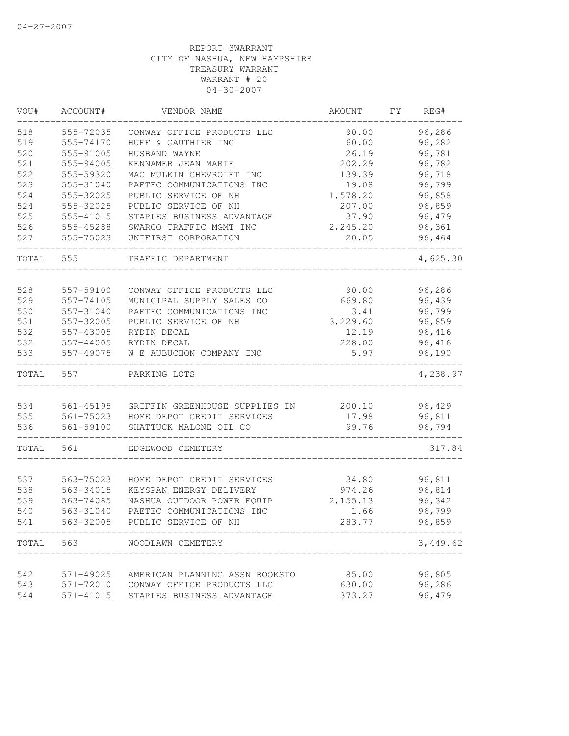| VOU#  | ACCOUNT#  | VENDOR NAME                    | AMOUNT    | FY. | REG#     |
|-------|-----------|--------------------------------|-----------|-----|----------|
| 518   | 555-72035 | CONWAY OFFICE PRODUCTS LLC     | 90.00     |     | 96,286   |
| 519   | 555-74170 | HUFF & GAUTHIER INC            | 60.00     |     | 96,282   |
| 520   | 555-91005 | HUSBAND WAYNE                  | 26.19     |     | 96,781   |
| 521   | 555-94005 | KENNAMER JEAN MARIE            | 202.29    |     | 96,782   |
| 522   | 555-59320 | MAC MULKIN CHEVROLET INC       | 139.39    |     | 96,718   |
| 523   | 555-31040 | PAETEC COMMUNICATIONS INC      | 19.08     |     | 96,799   |
| 524   | 555-32025 | PUBLIC SERVICE OF NH           | 1,578.20  |     | 96,858   |
| 524   | 555-32025 | PUBLIC SERVICE OF NH           | 207.00    |     | 96,859   |
| 525   | 555-41015 | STAPLES BUSINESS ADVANTAGE     | 37.90     |     | 96,479   |
| 526   | 555-45288 | SWARCO TRAFFIC MGMT INC        | 2,245.20  |     | 96,361   |
| 527   | 555-75023 | UNIFIRST CORPORATION           | 20.05     |     | 96,464   |
| TOTAL | 555       | TRAFFIC DEPARTMENT             |           |     | 4,625.30 |
| 528   |           |                                |           |     | 96,286   |
|       | 557-59100 | CONWAY OFFICE PRODUCTS LLC     | 90.00     |     |          |
| 529   | 557-74105 | MUNICIPAL SUPPLY SALES CO      | 669.80    |     | 96,439   |
| 530   | 557-31040 | PAETEC COMMUNICATIONS INC      | 3.41      |     | 96,799   |
| 531   | 557-32005 | PUBLIC SERVICE OF NH           | 3,229.60  |     | 96,859   |
| 532   | 557-43005 | RYDIN DECAL                    | 12.19     |     | 96,416   |
| 532   | 557-44005 | RYDIN DECAL                    | 228.00    |     | 96,416   |
| 533   | 557-49075 | W E AUBUCHON COMPANY INC       | 5.97      |     | 96,190   |
| TOTAL | 557       | PARKING LOTS                   |           |     | 4,238.97 |
|       |           |                                |           |     |          |
| 534   | 561-45195 | GRIFFIN GREENHOUSE SUPPLIES IN | 200.10    |     | 96,429   |
| 535   | 561-75023 | HOME DEPOT CREDIT SERVICES     | 17.98     |     | 96,811   |
| 536   | 561-59100 | SHATTUCK MALONE OIL CO         | 99.76     |     | 96,794   |
| TOTAL | 561       | EDGEWOOD CEMETERY              |           |     | 317.84   |
|       |           |                                |           |     |          |
| 537   | 563-75023 | HOME DEPOT CREDIT SERVICES     | 34.80     |     | 96,811   |
| 538   | 563-34015 | KEYSPAN ENERGY DELIVERY        | 974.26    |     | 96,814   |
| 539   | 563-74085 | NASHUA OUTDOOR POWER EQUIP     | 2, 155.13 |     | 96,342   |
| 540   | 563-31040 | PAETEC COMMUNICATIONS INC      | 1.66      |     | 96,799   |
| 541   | 563-32005 | PUBLIC SERVICE OF NH           | 283.77    |     | 96,859   |
| TOTAL | 563       | WOODLAWN CEMETERY              |           |     | 3,449.62 |
|       |           |                                |           |     |          |
| 542   | 571-49025 | AMERICAN PLANNING ASSN BOOKSTO | 85.00     |     | 96,805   |
| 543   | 571-72010 | CONWAY OFFICE PRODUCTS LLC     | 630.00    |     | 96,286   |
| 544   | 571-41015 | STAPLES BUSINESS ADVANTAGE     | 373.27    |     | 96,479   |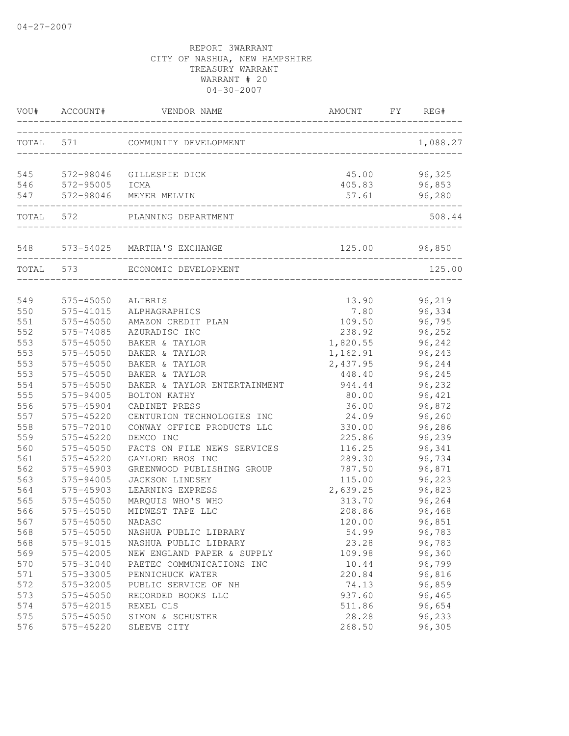| VOU# | ACCOUNT#  | VENDOR NAME                                                          | AMOUNT                                        | FY | REG#     |
|------|-----------|----------------------------------------------------------------------|-----------------------------------------------|----|----------|
|      |           | TOTAL 571 COMMUNITY DEVELOPMENT                                      |                                               |    | 1,088.27 |
| 545  |           | 572-98046 GILLESPIE DICK<br>572-95005 ICMA<br>572-98046 MEYER MELVIN | 45.00                                         |    | 96,325   |
| 546  |           |                                                                      | 405.83                                        |    | 96,853   |
| 547  |           |                                                                      | 57.61<br>____________________________________ |    | 96,280   |
|      |           | TOTAL 572 PLANNING DEPARTMENT                                        |                                               |    | 508.44   |
|      |           | 548 573-54025 MARTHA'S EXCHANGE                                      | 125.00 96,850                                 |    |          |
|      | TOTAL 573 | ECONOMIC DEVELOPMENT                                                 |                                               |    | 125.00   |
| 549  | 575-45050 | ALIBRIS                                                              | 13.90                                         |    | 96,219   |
| 550  | 575-41015 | ALPHAGRAPHICS                                                        | 7.80                                          |    | 96,334   |
| 551  | 575-45050 | AMAZON CREDIT PLAN                                                   | 109.50                                        |    | 96,795   |
| 552  | 575-74085 | AZURADISC INC                                                        | 238.92                                        |    | 96,252   |
| 553  | 575-45050 | BAKER & TAYLOR                                                       | 1,820.55                                      |    | 96,242   |
| 553  | 575-45050 | BAKER & TAYLOR                                                       | 1,162.91                                      |    | 96,243   |
| 553  | 575-45050 | BAKER & TAYLOR                                                       | 2,437.95                                      |    | 96,244   |
| 553  | 575-45050 | BAKER & TAYLOR                                                       | 448.40                                        |    | 96,245   |
| 554  | 575-45050 | BAKER & TAYLOR ENTERTAINMENT                                         | 944.44                                        |    | 96,232   |
| 555  | 575-94005 | BOLTON KATHY                                                         | 80.00                                         |    | 96,421   |
| 556  | 575-45904 | CABINET PRESS                                                        | 36.00                                         |    | 96,872   |
| 557  | 575-45220 | CENTURION TECHNOLOGIES INC                                           | 24.09                                         |    | 96,260   |
| 558  | 575-72010 | CONWAY OFFICE PRODUCTS LLC                                           | 330.00                                        |    | 96,286   |
| 559  | 575-45220 | DEMCO INC                                                            | 225.86                                        |    | 96,239   |
| 560  | 575-45050 | FACTS ON FILE NEWS SERVICES                                          | 116.25                                        |    | 96,341   |
| 561  | 575-45220 | GAYLORD BROS INC                                                     | 289.30                                        |    | 96,734   |
| 562  | 575-45903 | GREENWOOD PUBLISHING GROUP                                           | 787.50                                        |    | 96,871   |
| 563  | 575-94005 | JACKSON LINDSEY                                                      | 115.00                                        |    | 96,223   |
| 564  | 575-45903 | LEARNING EXPRESS                                                     | 2,639.25                                      |    | 96,823   |
| 565  | 575-45050 | MARQUIS WHO'S WHO                                                    | 313.70                                        |    | 96,264   |
| 566  | 575-45050 | MIDWEST TAPE LLC                                                     | 208.86                                        |    | 96,468   |
| 567  | 575-45050 | NADASC                                                               | 120.00                                        |    | 96,851   |
| 568  | 575-45050 | NASHUA PUBLIC LIBRARY                                                | 54.99                                         |    | 96,783   |
| 568  | 575-91015 | NASHUA PUBLIC LIBRARY                                                | 23.28                                         |    | 96,783   |
| 569  | 575-42005 | NEW ENGLAND PAPER & SUPPLY                                           | 109.98                                        |    | 96,360   |
| 570  | 575-31040 | PAETEC COMMUNICATIONS INC                                            | 10.44                                         |    | 96,799   |
| 571  | 575-33005 | PENNICHUCK WATER                                                     | 220.84                                        |    | 96,816   |
| 572  | 575-32005 | PUBLIC SERVICE OF NH                                                 | 74.13                                         |    | 96,859   |
| 573  | 575-45050 | RECORDED BOOKS LLC                                                   | 937.60                                        |    | 96,465   |
| 574  | 575-42015 | REXEL CLS                                                            | 511.86                                        |    | 96,654   |
| 575  | 575-45050 | SIMON & SCHUSTER                                                     | 28.28                                         |    | 96,233   |
| 576  | 575-45220 | SLEEVE CITY                                                          | 268.50                                        |    | 96,305   |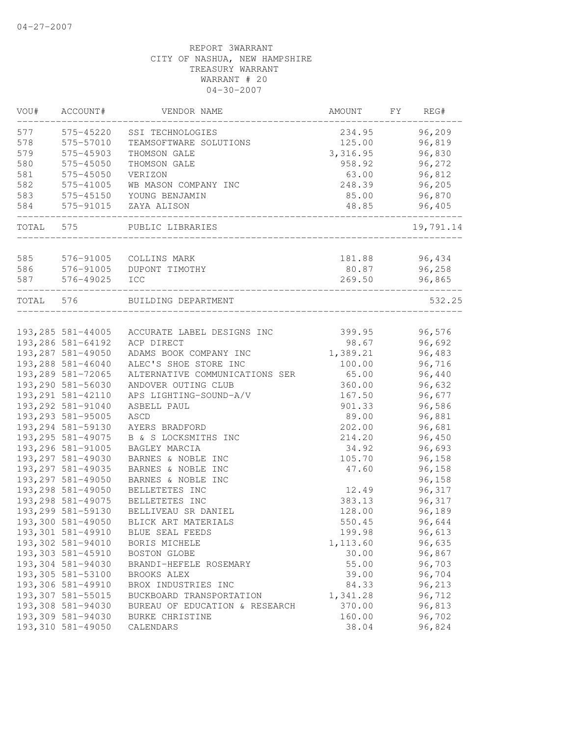| VOU#      | ACCOUNT#           | VENDOR NAME                    | AMOUNT          | FΥ | REG#      |
|-----------|--------------------|--------------------------------|-----------------|----|-----------|
| 577       | 575-45220          | SSI TECHNOLOGIES               | 234.95          |    | 96,209    |
| 578       | 575-57010          | TEAMSOFTWARE SOLUTIONS         | 125.00          |    | 96,819    |
| 579       | 575-45903          | THOMSON GALE                   | 3,316.95        |    | 96,830    |
| 580       | 575-45050          | THOMSON GALE                   | 958.92          |    | 96,272    |
| 581       | 575-45050          | VERIZON                        | 63.00           |    | 96,812    |
| 582       | 575-41005          | WB MASON COMPANY INC           | 248.39          |    | 96,205    |
| 583       | 575-45150          | YOUNG BENJAMIN                 | 85.00           |    | 96,870    |
| 584       | 575-91015          | ZAYA ALISON                    | 48.85           |    | 96,405    |
| TOTAL     | 575                | PUBLIC LIBRARIES               |                 |    | 19,791.14 |
| 585       |                    |                                |                 |    |           |
| 586       | 576-91005          | COLLINS MARK                   | 181.88<br>80.87 |    | 96,434    |
|           | 576-91005          | DUPONT TIMOTHY                 |                 |    | 96,258    |
| 587       | 576-49025          | ICC                            | 269.50          |    | 96,865    |
| TOTAL 576 |                    | BUILDING DEPARTMENT            |                 |    | 532.25    |
|           |                    |                                |                 |    |           |
|           | 193, 285 581-44005 | ACCURATE LABEL DESIGNS INC     | 399.95          |    | 96,576    |
|           | 193,286 581-64192  | ACP DIRECT                     | 98.67           |    | 96,692    |
|           | 193,287 581-49050  | ADAMS BOOK COMPANY INC         | 1,389.21        |    | 96,483    |
|           | 193,288 581-46040  | ALEC'S SHOE STORE INC          | 100.00          |    | 96,716    |
|           | 193,289 581-72065  | ALTERNATIVE COMMUNICATIONS SER | 65.00           |    | 96,440    |
|           | 193,290 581-56030  | ANDOVER OUTING CLUB            | 360.00          |    | 96,632    |
|           | 193, 291 581-42110 | APS LIGHTING-SOUND-A/V         | 167.50          |    | 96,677    |
|           | 193,292 581-91040  | ASBELL PAUL                    | 901.33          |    | 96,586    |
|           | 193,293 581-95005  | ASCD                           | 89.00           |    | 96,881    |
|           | 193,294 581-59130  | AYERS BRADFORD                 | 202.00          |    | 96,681    |
|           | 193, 295 581-49075 | B & S LOCKSMITHS INC           | 214.20          |    | 96,450    |
|           | 193,296 581-91005  | BAGLEY MARCIA                  | 34.92           |    | 96,693    |
|           | 193,297 581-49030  | BARNES & NOBLE INC             | 105.70          |    | 96,158    |
|           | 193, 297 581-49035 | BARNES & NOBLE INC             | 47.60           |    | 96,158    |
|           | 193,297 581-49050  | BARNES & NOBLE INC             |                 |    | 96,158    |
|           | 193,298 581-49050  | BELLETETES INC                 | 12.49           |    | 96,317    |
|           | 193, 298 581-49075 | BELLETETES INC                 | 383.13          |    | 96,317    |
|           | 193,299 581-59130  | BELLIVEAU SR DANIEL            | 128.00          |    | 96,189    |
|           | 193,300 581-49050  | BLICK ART MATERIALS            | 550.45          |    | 96,644    |
|           | 193,301 581-49910  | BLUE SEAL FEEDS                | 199.98          |    | 96,613    |
|           | 193,302 581-94010  | BORIS MICHELE                  | 1,113.60        |    | 96,635    |
|           | 193,303 581-45910  | BOSTON GLOBE                   | 30.00           |    | 96,867    |
|           | 193,304 581-94030  | BRANDI-HEFELE ROSEMARY         | 55.00           |    | 96,703    |
|           | 193,305 581-53100  | BROOKS ALEX                    | 39.00           |    | 96,704    |
|           | 193,306 581-49910  | BROX INDUSTRIES INC            | 84.33           |    | 96,213    |
|           | 193,307 581-55015  | BUCKBOARD TRANSPORTATION       | 1,341.28        |    | 96,712    |
|           | 193,308 581-94030  | BUREAU OF EDUCATION & RESEARCH | 370.00          |    | 96,813    |
|           | 193,309 581-94030  | BURKE CHRISTINE                | 160.00          |    | 96,702    |
|           | 193,310 581-49050  | CALENDARS                      | 38.04           |    | 96,824    |
|           |                    |                                |                 |    |           |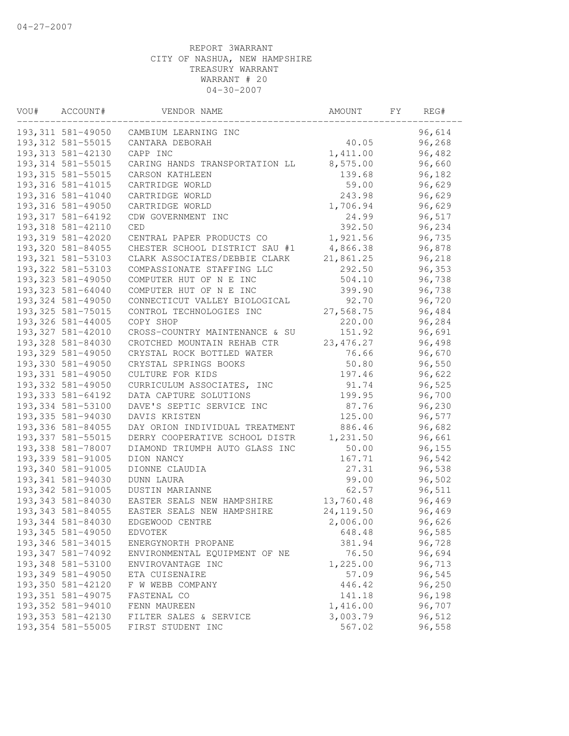| VOU# | ACCOUNT#                               | VENDOR NAME                                                   | AMOUNT               | FY. | REG#             |  |
|------|----------------------------------------|---------------------------------------------------------------|----------------------|-----|------------------|--|
|      | 193,311 581-49050                      | CAMBIUM LEARNING INC                                          |                      |     | 96,614           |  |
|      | 193, 312 581-55015                     | CANTARA DEBORAH                                               | 40.05                |     | 96,268           |  |
|      | 193, 313 581-42130                     | CAPP INC                                                      | 1,411.00             |     | 96,482           |  |
|      | 193, 314 581-55015                     | CARING HANDS TRANSPORTATION LL                                | 8,575.00             |     | 96,660           |  |
|      | 193, 315 581-55015                     | CARSON KATHLEEN                                               | 139.68               |     | 96,182           |  |
|      | 193, 316 581-41015                     | CARTRIDGE WORLD                                               | 59.00                |     | 96,629           |  |
|      | 193, 316 581-41040                     | CARTRIDGE WORLD                                               | 243.98               |     | 96,629           |  |
|      | 193, 316 581-49050                     | CARTRIDGE WORLD                                               | 1,706.94             |     | 96,629           |  |
|      | 193, 317 581-64192                     | CDW GOVERNMENT INC                                            | 24.99                |     | 96,517           |  |
|      | 193,318 581-42110                      | CED                                                           | 392.50               |     | 96,234           |  |
|      | 193,319 581-42020                      | CENTRAL PAPER PRODUCTS CO                                     | 1,921.56             |     | 96,735           |  |
|      | 193,320 581-84055                      | CHESTER SCHOOL DISTRICT SAU #1                                | 4,866.38             |     | 96,878           |  |
|      | 193, 321 581-53103                     | CLARK ASSOCIATES/DEBBIE CLARK                                 | 21,861.25            |     | 96,218           |  |
|      | 193, 322 581-53103                     | COMPASSIONATE STAFFING LLC                                    | 292.50               |     | 96,353           |  |
|      | 193, 323 581-49050                     | COMPUTER HUT OF N E INC                                       | 504.10               |     | 96,738           |  |
|      | 193, 323 581-64040                     | COMPUTER HUT OF N E INC                                       | 399.90               |     | 96,738           |  |
|      | 193, 324 581-49050                     | CONNECTICUT VALLEY BIOLOGICAL                                 | 92.70                |     | 96,720           |  |
|      | 193, 325 581-75015                     | CONTROL TECHNOLOGIES INC                                      | 27,568.75            |     | 96,484           |  |
|      | 193,326 581-44005<br>193,327 581-42010 | COPY SHOP                                                     | 220.00               |     | 96,284           |  |
|      | 193,328 581-84030                      | CROSS-COUNTRY MAINTENANCE & SU<br>CROTCHED MOUNTAIN REHAB CTR | 151.92<br>23, 476.27 |     | 96,691           |  |
|      | 193,329 581-49050                      | CRYSTAL ROCK BOTTLED WATER                                    | 76.66                |     | 96,498<br>96,670 |  |
|      | 193,330 581-49050                      | CRYSTAL SPRINGS BOOKS                                         | 50.80                |     | 96,550           |  |
|      | 193,331 581-49050                      | CULTURE FOR KIDS                                              | 197.46               |     | 96,622           |  |
|      | 193,332 581-49050                      | CURRICULUM ASSOCIATES, INC                                    | 91.74                |     | 96,525           |  |
|      | 193, 333 581-64192                     | DATA CAPTURE SOLUTIONS                                        | 199.95               |     | 96,700           |  |
|      | 193,334 581-53100                      | DAVE'S SEPTIC SERVICE INC                                     | 87.76                |     | 96,230           |  |
|      | 193, 335 581-94030                     | DAVIS KRISTEN                                                 | 125.00               |     | 96,577           |  |
|      | 193,336 581-84055                      | DAY ORION INDIVIDUAL TREATMENT                                | 886.46               |     | 96,682           |  |
|      | 193, 337 581-55015                     | DERRY COOPERATIVE SCHOOL DISTR                                | 1,231.50             |     | 96,661           |  |
|      | 193,338 581-78007                      | DIAMOND TRIUMPH AUTO GLASS INC                                | 50.00                |     | 96,155           |  |
|      | 193,339 581-91005                      | DION NANCY                                                    | 167.71               |     | 96,542           |  |
|      | 193,340 581-91005                      | DIONNE CLAUDIA                                                | 27.31                |     | 96,538           |  |
|      | 193,341 581-94030                      | DUNN LAURA                                                    | 99.00                |     | 96,502           |  |
|      | 193, 342 581-91005                     | DUSTIN MARIANNE                                               | 62.57                |     | 96,511           |  |
|      | 193, 343 581-84030                     | EASTER SEALS NEW HAMPSHIRE                                    | 13,760.48            |     | 96,469           |  |
|      | 193, 343 581-84055                     | EASTER SEALS NEW HAMPSHIRE                                    | 24, 119.50           |     | 96,469           |  |
|      | 193,344 581-84030                      | EDGEWOOD CENTRE                                               | 2,006.00             |     | 96,626           |  |
|      | 193, 345 581-49050                     | EDVOTEK                                                       | 648.48               |     | 96,585           |  |
|      | 193,346 581-34015                      | ENERGYNORTH PROPANE                                           | 381.94               |     | 96,728           |  |
|      | 193,347 581-74092                      | ENVIRONMENTAL EQUIPMENT OF NE                                 | 76.50                |     | 96,694           |  |
|      | 193,348 581-53100                      | ENVIROVANTAGE INC                                             | 1,225.00             |     | 96,713           |  |
|      | 193,349 581-49050                      | ETA CUISENAIRE                                                | 57.09                |     | 96,545           |  |
|      | 193,350 581-42120                      | F W WEBB COMPANY                                              | 446.42               |     | 96,250           |  |
|      | 193, 351 581-49075                     | FASTENAL CO                                                   | 141.18               |     | 96,198           |  |
|      | 193,352 581-94010                      | FENN MAUREEN                                                  | 1,416.00             |     | 96,707           |  |
|      | 193, 353 581-42130                     | FILTER SALES & SERVICE                                        | 3,003.79             |     | 96,512           |  |
|      | 193,354 581-55005                      | FIRST STUDENT INC                                             | 567.02               |     | 96,558           |  |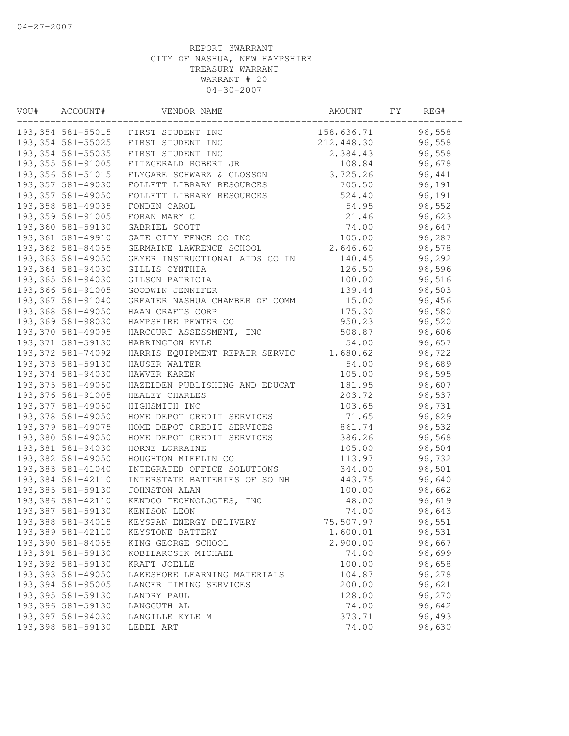| VOU# | ACCOUNT#           | VENDOR NAME                    | AMOUNT     | FY. | REG#   |  |
|------|--------------------|--------------------------------|------------|-----|--------|--|
|      | 193,354 581-55015  | FIRST STUDENT INC              | 158,636.71 |     | 96,558 |  |
|      | 193, 354 581-55025 | FIRST STUDENT INC              | 212,448.30 |     | 96,558 |  |
|      | 193, 354 581-55035 | FIRST STUDENT INC              | 2,384.43   |     | 96,558 |  |
|      | 193,355 581-91005  | FITZGERALD ROBERT JR           | 108.84     |     | 96,678 |  |
|      | 193, 356 581-51015 | FLYGARE SCHWARZ & CLOSSON      | 3,725.26   |     | 96,441 |  |
|      | 193,357 581-49030  | FOLLETT LIBRARY RESOURCES      | 705.50     |     | 96,191 |  |
|      | 193, 357 581-49050 | FOLLETT LIBRARY RESOURCES      | 524.40     |     | 96,191 |  |
|      | 193, 358 581-49035 | FONDEN CAROL                   | 54.95      |     | 96,552 |  |
|      | 193,359 581-91005  | FORAN MARY C                   | 21.46      |     | 96,623 |  |
|      | 193,360 581-59130  | GABRIEL SCOTT                  | 74.00      |     | 96,647 |  |
|      | 193,361 581-49910  | GATE CITY FENCE CO INC         | 105.00     |     | 96,287 |  |
|      | 193,362 581-84055  | GERMAINE LAWRENCE SCHOOL       | 2,646.60   |     | 96,578 |  |
|      | 193,363 581-49050  | GEYER INSTRUCTIONAL AIDS CO IN | 140.45     |     | 96,292 |  |
|      | 193,364 581-94030  | GILLIS CYNTHIA                 | 126.50     |     | 96,596 |  |
|      | 193,365 581-94030  | GILSON PATRICIA                | 100.00     |     | 96,516 |  |
|      | 193,366 581-91005  | GOODWIN JENNIFER               | 139.44     |     | 96,503 |  |
|      | 193,367 581-91040  | GREATER NASHUA CHAMBER OF COMM | 15.00      |     | 96,456 |  |
|      | 193,368 581-49050  | HAAN CRAFTS CORP               | 175.30     |     | 96,580 |  |
|      | 193,369 581-98030  | HAMPSHIRE PEWTER CO            | 950.23     |     | 96,520 |  |
|      | 193,370 581-49095  | HARCOURT ASSESSMENT, INC       | 508.87     |     | 96,606 |  |
|      | 193, 371 581-59130 | HARRINGTON KYLE                | 54.00      |     | 96,657 |  |
|      | 193,372 581-74092  | HARRIS EQUIPMENT REPAIR SERVIC | 1,680.62   |     | 96,722 |  |
|      | 193, 373 581-59130 | HAUSER WALTER                  | 54.00      |     | 96,689 |  |
|      | 193,374 581-94030  | HAWVER KAREN                   | 105.00     |     | 96,595 |  |
|      | 193,375 581-49050  | HAZELDEN PUBLISHING AND EDUCAT | 181.95     |     | 96,607 |  |
|      | 193,376 581-91005  | HEALEY CHARLES                 | 203.72     |     | 96,537 |  |
|      | 193,377 581-49050  | HIGHSMITH INC                  | 103.65     |     | 96,731 |  |
|      | 193,378 581-49050  | HOME DEPOT CREDIT SERVICES     | 71.65      |     | 96,829 |  |
|      | 193,379 581-49075  | HOME DEPOT CREDIT SERVICES     | 861.74     |     | 96,532 |  |
|      | 193,380 581-49050  | HOME DEPOT CREDIT SERVICES     | 386.26     |     | 96,568 |  |
|      | 193,381 581-94030  | HORNE LORRAINE                 | 105.00     |     | 96,504 |  |
|      | 193,382 581-49050  | HOUGHTON MIFFLIN CO            | 113.97     |     | 96,732 |  |
|      | 193,383 581-41040  | INTEGRATED OFFICE SOLUTIONS    | 344.00     |     | 96,501 |  |
|      | 193,384 581-42110  | INTERSTATE BATTERIES OF SO NH  | 443.75     |     | 96,640 |  |
|      | 193,385 581-59130  | JOHNSTON ALAN                  | 100.00     |     | 96,662 |  |
|      | 193,386 581-42110  | KENDOO TECHNOLOGIES, INC       | 48.00      |     | 96,619 |  |
|      | 193,387 581-59130  | KENISON LEON                   | 74.00      |     | 96,643 |  |
|      | 193,388 581-34015  | KEYSPAN ENERGY DELIVERY        | 75,507.97  |     | 96,551 |  |
|      | 193,389 581-42110  | KEYSTONE BATTERY               | 1,600.01   |     | 96,531 |  |
|      | 193,390 581-84055  | KING GEORGE SCHOOL             | 2,900.00   |     | 96,667 |  |
|      | 193,391 581-59130  | KOBILARCSIK MICHAEL            | 74.00      |     | 96,699 |  |
|      | 193,392 581-59130  | KRAFT JOELLE                   | 100.00     |     | 96,658 |  |
|      | 193,393 581-49050  | LAKESHORE LEARNING MATERIALS   | 104.87     |     | 96,278 |  |
|      | 193,394 581-95005  | LANCER TIMING SERVICES         | 200.00     |     | 96,621 |  |
|      | 193,395 581-59130  | LANDRY PAUL                    | 128.00     |     | 96,270 |  |
|      | 193,396 581-59130  | LANGGUTH AL                    | 74.00      |     | 96,642 |  |
|      | 193,397 581-94030  | LANGILLE KYLE M                | 373.71     |     | 96,493 |  |
|      | 193,398 581-59130  | LEBEL ART                      | 74.00      |     | 96,630 |  |
|      |                    |                                |            |     |        |  |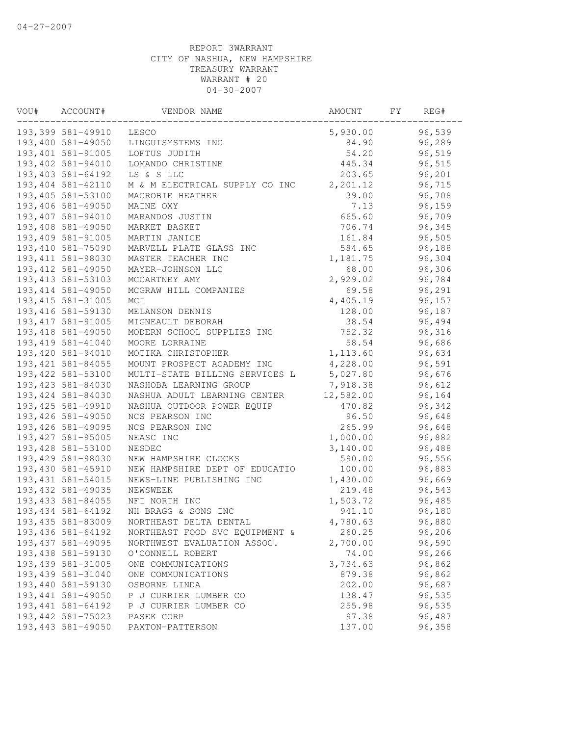| VOU# | ACCOUNT#           | VENDOR NAME                    | AMOUNT    | FY | REG#   |
|------|--------------------|--------------------------------|-----------|----|--------|
|      | 193,399 581-49910  | LESCO                          | 5,930.00  |    | 96,539 |
|      | 193,400 581-49050  | LINGUISYSTEMS INC              | 84.90     |    | 96,289 |
|      | 193,401 581-91005  | LOFTUS JUDITH                  | 54.20     |    | 96,519 |
|      | 193,402 581-94010  | LOMANDO CHRISTINE              | 445.34    |    | 96,515 |
|      | 193,403 581-64192  | LS & S LLC                     | 203.65    |    | 96,201 |
|      | 193,404 581-42110  | M & M ELECTRICAL SUPPLY CO INC | 2,201.12  |    | 96,715 |
|      | 193,405 581-53100  | MACROBIE HEATHER               | 39.00     |    | 96,708 |
|      | 193,406 581-49050  | MAINE OXY                      | 7.13      |    | 96,159 |
|      | 193,407 581-94010  | MARANDOS JUSTIN                | 665.60    |    | 96,709 |
|      | 193,408 581-49050  | MARKET BASKET                  | 706.74    |    | 96,345 |
|      | 193,409 581-91005  | MARTIN JANICE                  | 161.84    |    | 96,505 |
|      | 193,410 581-75090  | MARVELL PLATE GLASS INC        | 584.65    |    | 96,188 |
|      | 193, 411 581-98030 | MASTER TEACHER INC             | 1,181.75  |    | 96,304 |
|      | 193, 412 581-49050 | MAYER-JOHNSON LLC              | 68.00     |    | 96,306 |
|      | 193, 413 581-53103 | MCCARTNEY AMY                  | 2,929.02  |    | 96,784 |
|      | 193, 414 581-49050 | MCGRAW HILL COMPANIES          | 69.58     |    | 96,291 |
|      | 193, 415 581-31005 | MCI                            | 4,405.19  |    | 96,157 |
|      | 193, 416 581-59130 | MELANSON DENNIS                | 128.00    |    | 96,187 |
|      | 193, 417 581-91005 | MIGNEAULT DEBORAH              | 38.54     |    | 96,494 |
|      | 193, 418 581-49050 | MODERN SCHOOL SUPPLIES INC     | 752.32    |    | 96,316 |
|      | 193, 419 581-41040 | MOORE LORRAINE                 | 58.54     |    | 96,686 |
|      | 193,420 581-94010  | MOTIKA CHRISTOPHER             | 1,113.60  |    | 96,634 |
|      | 193, 421 581-84055 | MOUNT PROSPECT ACADEMY INC     | 4,228.00  |    | 96,591 |
|      | 193, 422 581-53100 | MULTI-STATE BILLING SERVICES L | 5,027.80  |    | 96,676 |
|      | 193, 423 581-84030 | NASHOBA LEARNING GROUP         | 7,918.38  |    | 96,612 |
|      | 193, 424 581-84030 | NASHUA ADULT LEARNING CENTER   | 12,582.00 |    | 96,164 |
|      | 193, 425 581-49910 | NASHUA OUTDOOR POWER EQUIP     | 470.82    |    | 96,342 |
|      | 193, 426 581-49050 | NCS PEARSON INC                | 96.50     |    | 96,648 |
|      | 193, 426 581-49095 | NCS PEARSON INC                | 265.99    |    | 96,648 |
|      | 193, 427 581-95005 | NEASC INC                      | 1,000.00  |    | 96,882 |
|      | 193,428 581-53100  | NESDEC                         | 3,140.00  |    | 96,488 |
|      | 193,429 581-98030  | NEW HAMPSHIRE CLOCKS           | 590.00    |    | 96,556 |
|      | 193,430 581-45910  | NEW HAMPSHIRE DEPT OF EDUCATIO | 100.00    |    | 96,883 |
|      | 193, 431 581-54015 | NEWS-LINE PUBLISHING INC       | 1,430.00  |    | 96,669 |
|      | 193, 432 581-49035 | NEWSWEEK                       | 219.48    |    | 96,543 |
|      | 193, 433 581-84055 | NFI NORTH INC                  | 1,503.72  |    | 96,485 |
|      | 193, 434 581-64192 | NH BRAGG & SONS INC            | 941.10    |    | 96,180 |
|      | 193, 435 581-83009 | NORTHEAST DELTA DENTAL         | 4,780.63  |    | 96,880 |
|      | 193, 436 581-64192 | NORTHEAST FOOD SVC EQUIPMENT & | 260.25    |    | 96,206 |
|      | 193, 437 581-49095 | NORTHWEST EVALUATION ASSOC.    | 2,700.00  |    | 96,590 |
|      | 193,438 581-59130  | O'CONNELL ROBERT               | 74.00     |    | 96,266 |
|      | 193, 439 581-31005 | ONE COMMUNICATIONS             | 3,734.63  |    | 96,862 |
|      | 193, 439 581-31040 | ONE COMMUNICATIONS             | 879.38    |    | 96,862 |
|      | 193,440 581-59130  | OSBORNE LINDA                  | 202.00    |    | 96,687 |
|      | 193, 441 581-49050 | P J CURRIER LUMBER CO          | 138.47    |    | 96,535 |
|      | 193, 441 581-64192 | P J CURRIER LUMBER CO          | 255.98    |    | 96,535 |
|      | 193, 442 581-75023 | PASEK CORP                     | 97.38     |    | 96,487 |
|      | 193, 443 581-49050 | PAXTON-PATTERSON               | 137.00    |    | 96,358 |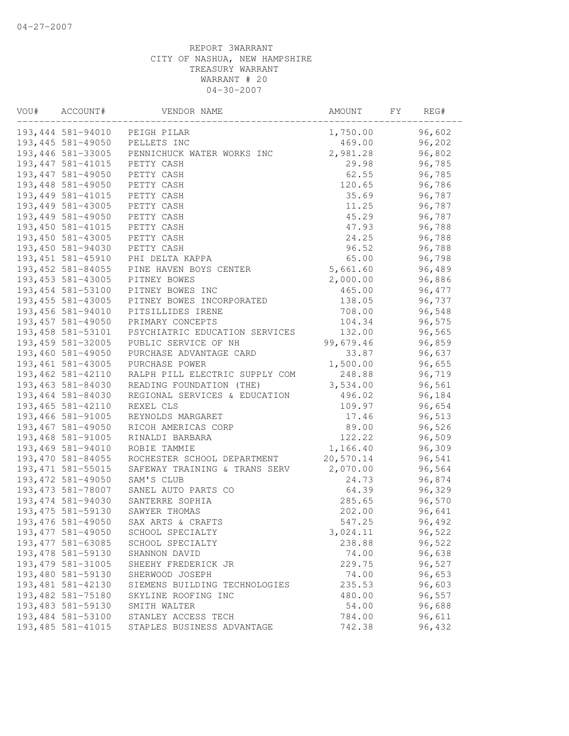| VOU# | ACCOUNT#           | VENDOR NAME                    | AMOUNT    | FY. | REG#   |  |
|------|--------------------|--------------------------------|-----------|-----|--------|--|
|      | 193,444 581-94010  | PEIGH PILAR                    | 1,750.00  |     | 96,602 |  |
|      | 193,445 581-49050  | PELLETS INC                    | 469.00    |     | 96,202 |  |
|      | 193,446 581-33005  | PENNICHUCK WATER WORKS INC     | 2,981.28  |     | 96,802 |  |
|      | 193, 447 581-41015 | PETTY CASH                     | 29.98     |     | 96,785 |  |
|      | 193, 447 581-49050 | PETTY CASH                     | 62.55     |     | 96,785 |  |
|      | 193,448 581-49050  | PETTY CASH                     | 120.65    |     | 96,786 |  |
|      | 193, 449 581-41015 | PETTY CASH                     | 35.69     |     | 96,787 |  |
|      | 193,449 581-43005  | PETTY CASH                     | 11.25     |     | 96,787 |  |
|      | 193,449 581-49050  | PETTY CASH                     | 45.29     |     | 96,787 |  |
|      | 193,450 581-41015  | PETTY CASH                     | 47.93     |     | 96,788 |  |
|      | 193,450 581-43005  | PETTY CASH                     | 24.25     |     | 96,788 |  |
|      | 193,450 581-94030  | PETTY CASH                     | 96.52     |     | 96,788 |  |
|      | 193, 451 581-45910 | PHI DELTA KAPPA                | 65.00     |     | 96,798 |  |
|      | 193, 452 581-84055 | PINE HAVEN BOYS CENTER         | 5,661.60  |     | 96,489 |  |
|      | 193, 453 581-43005 | PITNEY BOWES                   | 2,000.00  |     | 96,886 |  |
|      | 193, 454 581-53100 | PITNEY BOWES INC               | 465.00    |     | 96,477 |  |
|      | 193, 455 581-43005 | PITNEY BOWES INCORPORATED      | 138.05    |     | 96,737 |  |
|      | 193,456 581-94010  | PITSILLIDES IRENE              | 708.00    |     | 96,548 |  |
|      | 193, 457 581-49050 | PRIMARY CONCEPTS               | 104.34    |     | 96,575 |  |
|      | 193, 458 581-53101 | PSYCHIATRIC EDUCATION SERVICES | 132.00    |     | 96,565 |  |
|      | 193,459 581-32005  | PUBLIC SERVICE OF NH           | 99,679.46 |     | 96,859 |  |
|      | 193,460 581-49050  | PURCHASE ADVANTAGE CARD        | 33.87     |     | 96,637 |  |
|      | 193, 461 581-43005 | PURCHASE POWER                 | 1,500.00  |     | 96,655 |  |
|      | 193,462 581-42110  | RALPH PILL ELECTRIC SUPPLY COM | 248.88    |     | 96,719 |  |
|      | 193,463 581-84030  | READING FOUNDATION (THE)       | 3,534.00  |     | 96,561 |  |
|      | 193,464 581-84030  | REGIONAL SERVICES & EDUCATION  | 496.02    |     | 96,184 |  |
|      | 193, 465 581-42110 | REXEL CLS                      | 109.97    |     | 96,654 |  |
|      | 193,466 581-91005  | REYNOLDS MARGARET              | 17.46     |     | 96,513 |  |
|      | 193,467 581-49050  | RICOH AMERICAS CORP            | 89.00     |     | 96,526 |  |
|      | 193,468 581-91005  | RINALDI BARBARA                | 122.22    |     | 96,509 |  |
|      | 193,469 581-94010  | ROBIE TAMMIE                   | 1,166.40  |     | 96,309 |  |
|      | 193,470 581-84055  | ROCHESTER SCHOOL DEPARTMENT    | 20,570.14 |     | 96,541 |  |
|      | 193, 471 581-55015 | SAFEWAY TRAINING & TRANS SERV  | 2,070.00  |     | 96,564 |  |
|      | 193, 472 581-49050 | SAM'S CLUB                     | 24.73     |     | 96,874 |  |
|      | 193, 473 581-78007 | SANEL AUTO PARTS CO            | 64.39     |     | 96,329 |  |
|      | 193, 474 581-94030 | SANTERRE SOPHIA                | 285.65    |     | 96,570 |  |
|      | 193, 475 581-59130 | SAWYER THOMAS                  | 202.00    |     | 96,641 |  |
|      | 193,476 581-49050  | SAX ARTS & CRAFTS              | 547.25    |     | 96,492 |  |
|      | 193, 477 581-49050 | SCHOOL SPECIALTY               | 3,024.11  |     | 96,522 |  |
|      | 193, 477 581-63085 | SCHOOL SPECIALTY               | 238.88    |     | 96,522 |  |
|      | 193, 478 581-59130 | SHANNON DAVID                  | 74.00     |     | 96,638 |  |
|      | 193, 479 581-31005 | SHEEHY FREDERICK JR            | 229.75    |     | 96,527 |  |
|      | 193,480 581-59130  | SHERWOOD JOSEPH                | 74.00     |     | 96,653 |  |
|      | 193, 481 581-42130 | SIEMENS BUILDING TECHNOLOGIES  | 235.53    |     | 96,603 |  |
|      | 193,482 581-75180  | SKYLINE ROOFING INC            | 480.00    |     | 96,557 |  |
|      | 193,483 581-59130  | SMITH WALTER                   | 54.00     |     | 96,688 |  |
|      | 193,484 581-53100  | STANLEY ACCESS TECH            | 784.00    |     | 96,611 |  |
|      | 193, 485 581-41015 | STAPLES BUSINESS ADVANTAGE     | 742.38    |     | 96,432 |  |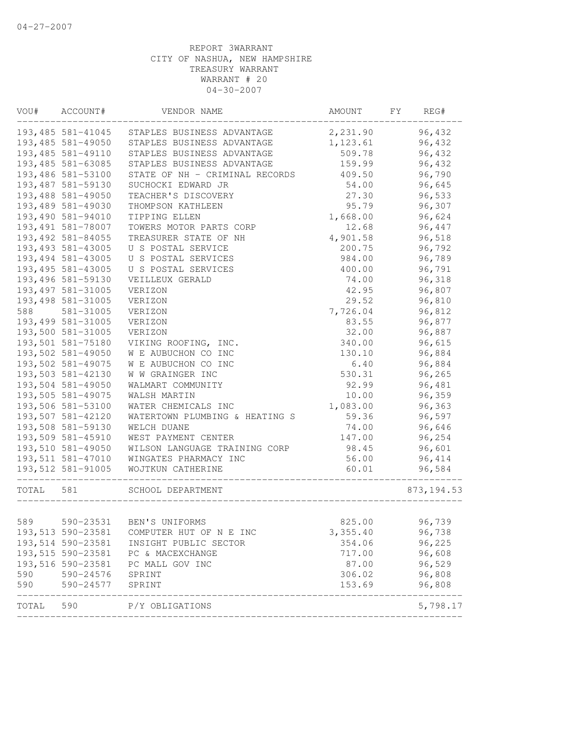| VOU#  | ACCOUNT#           | VENDOR NAME                    | AMOUNT   | FY<br>REG#  |
|-------|--------------------|--------------------------------|----------|-------------|
|       | 193,485 581-41045  | STAPLES BUSINESS ADVANTAGE     | 2,231.90 | 96,432      |
|       | 193,485 581-49050  | STAPLES BUSINESS ADVANTAGE     | 1,123.61 | 96,432      |
|       | 193,485 581-49110  | STAPLES BUSINESS ADVANTAGE     | 509.78   | 96,432      |
|       | 193,485 581-63085  | STAPLES BUSINESS ADVANTAGE     | 159.99   | 96,432      |
|       | 193,486 581-53100  | STATE OF NH - CRIMINAL RECORDS | 409.50   | 96,790      |
|       | 193,487 581-59130  | SUCHOCKI EDWARD JR             | 54.00    | 96,645      |
|       | 193,488 581-49050  | TEACHER'S DISCOVERY            | 27.30    | 96,533      |
|       | 193,489 581-49030  | THOMPSON KATHLEEN              | 95.79    | 96,307      |
|       | 193,490 581-94010  | TIPPING ELLEN                  | 1,668.00 | 96,624      |
|       | 193,491 581-78007  | TOWERS MOTOR PARTS CORP        | 12.68    | 96,447      |
|       | 193, 492 581-84055 | TREASURER STATE OF NH          | 4,901.58 | 96,518      |
|       | 193, 493 581-43005 | U S POSTAL SERVICE             | 200.75   | 96,792      |
|       | 193, 494 581-43005 | U S POSTAL SERVICES            | 984.00   | 96,789      |
|       | 193, 495 581-43005 | U S POSTAL SERVICES            | 400.00   | 96,791      |
|       | 193,496 581-59130  | VEILLEUX GERALD                | 74.00    | 96,318      |
|       | 193, 497 581-31005 | VERIZON                        | 42.95    | 96,807      |
|       | 193,498 581-31005  | VERIZON                        | 29.52    | 96,810      |
| 588   | 581-31005          | VERIZON                        | 7,726.04 | 96,812      |
|       | 193,499 581-31005  | VERIZON                        | 83.55    | 96,877      |
|       | 193,500 581-31005  | VERIZON                        | 32.00    | 96,887      |
|       | 193,501 581-75180  | VIKING ROOFING, INC.           | 340.00   | 96,615      |
|       | 193,502 581-49050  | W E AUBUCHON CO INC            | 130.10   | 96,884      |
|       | 193,502 581-49075  | W E AUBUCHON CO INC            | 6.40     | 96,884      |
|       | 193,503 581-42130  | W W GRAINGER INC               | 530.31   | 96,265      |
|       | 193,504 581-49050  | WALMART COMMUNITY              | 92.99    | 96,481      |
|       | 193,505 581-49075  | WALSH MARTIN                   | 10.00    | 96,359      |
|       | 193,506 581-53100  | WATER CHEMICALS INC            | 1,083.00 | 96,363      |
|       | 193,507 581-42120  | WATERTOWN PLUMBING & HEATING S | 59.36    | 96,597      |
|       | 193,508 581-59130  | WELCH DUANE                    | 74.00    | 96,646      |
|       | 193,509 581-45910  | WEST PAYMENT CENTER            | 147.00   | 96,254      |
|       | 193,510 581-49050  | WILSON LANGUAGE TRAINING CORP  | 98.45    | 96,601      |
|       | 193,511 581-47010  | WINGATES PHARMACY INC          | 56.00    | 96, 414     |
|       | 193,512 581-91005  | WOJTKUN CATHERINE              | 60.01    | 96,584      |
| TOTAL | 581                | SCHOOL DEPARTMENT              |          | 873, 194.53 |
|       |                    |                                |          |             |
| 589   | 590-23531          | BEN'S UNIFORMS                 | 825.00   | 96,739      |
|       | 193,513 590-23581  | COMPUTER HUT OF N E INC        | 3,355.40 | 96,738      |
|       | 193,514 590-23581  | INSIGHT PUBLIC SECTOR          | 354.06   | 96,225      |
|       | 193,515 590-23581  | PC & MACEXCHANGE               | 717.00   | 96,608      |
|       | 193,516 590-23581  | PC MALL GOV INC                | 87.00    | 96,529      |
| 590   | 590-24576          | SPRINT                         | 306.02   | 96,808      |
| 590   | 590-24577          | SPRINT                         | 153.69   | 96,808      |
| TOTAL | 590                | P/Y OBLIGATIONS                |          | 5,798.17    |
|       |                    |                                |          |             |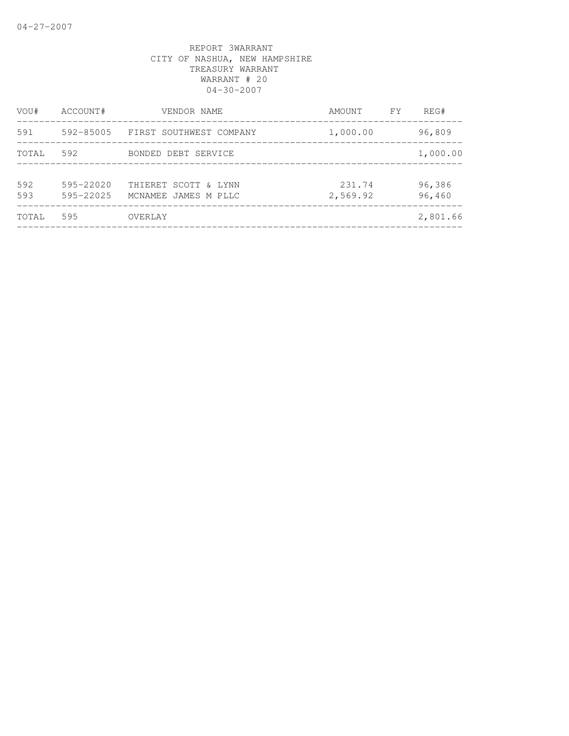| VOU#       | ACCOUNT#                   | VENDOR NAME                                  | AMOUNT             | FY | REG#             |
|------------|----------------------------|----------------------------------------------|--------------------|----|------------------|
| 591        | 592-85005                  | FIRST SOUTHWEST COMPANY                      | 1,000.00           |    | 96,809           |
| TOTAL      | 592                        | BONDED DEBT SERVICE                          |                    |    | 1,000.00         |
| 592<br>593 | $595 - 22020$<br>595-22025 | THIERET SCOTT & LYNN<br>MCNAMEE JAMES M PLLC | 231.74<br>2,569.92 |    | 96,386<br>96,460 |
| TOTAL      | 595                        | OVERLAY                                      |                    |    | 2,801.66         |
|            |                            |                                              |                    |    |                  |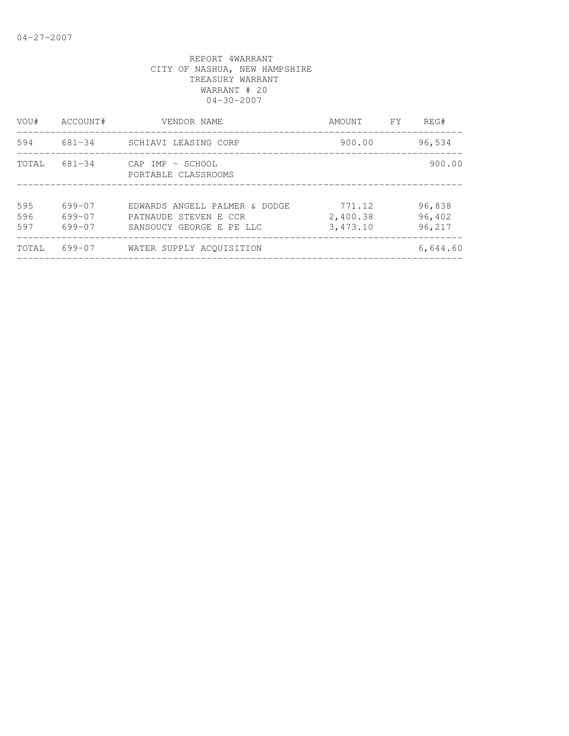| ACCOUNT#                   | VENDOR NAME                                                                        | AMOUNT                         | FY. | REG#                       |
|----------------------------|------------------------------------------------------------------------------------|--------------------------------|-----|----------------------------|
| 681-34                     | SCHIAVI LEASING CORP                                                               | 900.00                         |     | 96,534                     |
| 681-34                     | CAP IMP - SCHOOL<br>PORTABLE CLASSROOMS                                            |                                |     | 900.00                     |
| 699-07<br>699-07<br>699-07 | EDWARDS ANGELL PALMER & DODGE<br>PATNAUDE STEVEN E CCR<br>SANSOUCY GEORGE E PE LLC | 771.12<br>2,400.38<br>3,473.10 |     | 96,838<br>96,402<br>96,217 |
| 699-07                     | WATER SUPPLY ACOUISITION                                                           |                                |     | 6,644.60                   |
|                            |                                                                                    |                                |     |                            |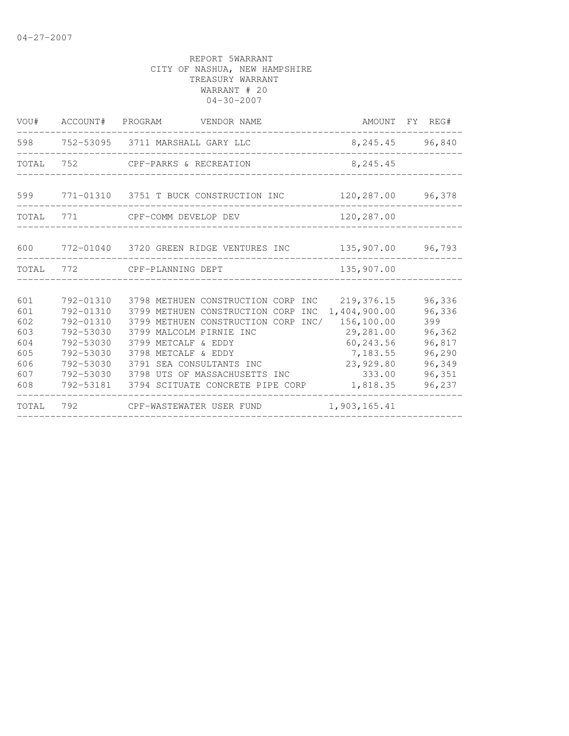| VOU#  | ACCOUNT# PROGRAM | VENDOR NAME                                | AMOUNT FY REG#  |        |
|-------|------------------|--------------------------------------------|-----------------|--------|
| 598   |                  | 752-53095 3711 MARSHALL GARY LLC           | 8,245.45 96,840 |        |
| TOTAL | 752              | CPF-PARKS & RECREATION                     | 8,245.45        |        |
|       |                  |                                            |                 |        |
|       |                  | 599 771-01310 3751 T BUCK CONSTRUCTION INC | 120,287.00      | 96,378 |
| TOTAL | 771              | CPF-COMM DEVELOP DEV                       | 120,287.00      |        |
|       |                  |                                            |                 |        |
| 600   |                  | 772-01040 3720 GREEN RIDGE VENTURES INC    | 135,907.00      | 96,793 |
| TOTAL | 772              | CPF-PLANNING DEPT                          | 135,907.00      |        |
|       |                  |                                            |                 |        |
| 601   | 792-01310        | 3798 METHUEN CONSTRUCTION CORP INC         | 219,376.15      | 96,336 |
| 601   | 792-01310        | 3799 METHUEN CONSTRUCTION CORP<br>INC      | 1,404,900.00    | 96,336 |
| 602   | 792-01310        | 3799 METHUEN CONSTRUCTION CORP INC/        | 156,100.00      | 399    |
| 603   | 792-53030        | 3799 MALCOLM PIRNIE INC                    | 29,281.00       | 96,362 |
| 604   | 792-53030        | 3799 METCALF & EDDY                        | 60,243.56       | 96,817 |
| 605   | 792-53030        | 3798 METCALF & EDDY                        | 7,183.55        | 96,290 |
| 606   | 792-53030        | 3791 SEA CONSULTANTS INC                   | 23,929.80       | 96,349 |
| 607   |                  | 792-53030 3798 UTS OF MASSACHUSETTS INC    | 333.00          | 96,351 |
| 608   |                  | 792-53181 3794 SCITUATE CONCRETE PIPE CORP | 1,818.35        | 96,237 |
| TOTAL | 792              | CPF-WASTEWATER USER FUND                   | 1,903,165.41    |        |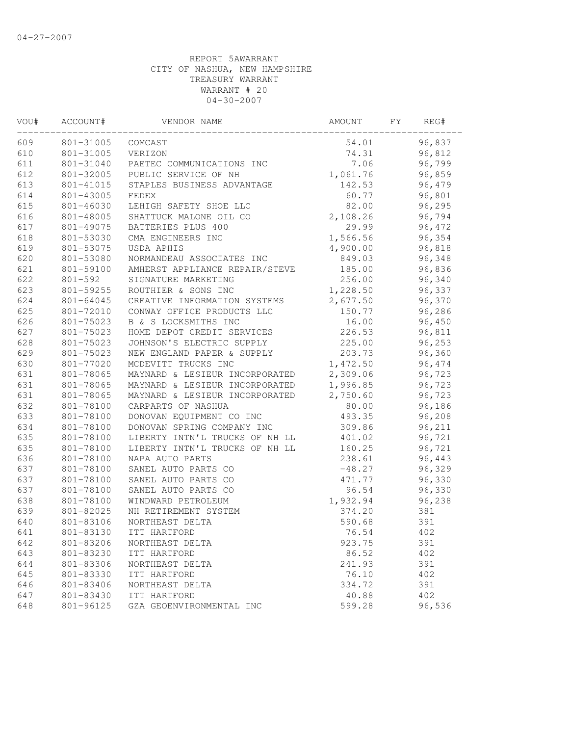| VOU# | ACCOUNT#    | VENDOR NAME                    | AMOUNT   | FY. | REG#   |  |
|------|-------------|--------------------------------|----------|-----|--------|--|
| 609  | 801-31005   | COMCAST                        | 54.01    |     | 96,837 |  |
| 610  | 801-31005   | VERIZON                        | 74.31    |     | 96,812 |  |
| 611  | 801-31040   | PAETEC COMMUNICATIONS INC      | 7.06     |     | 96,799 |  |
| 612  | 801-32005   | PUBLIC SERVICE OF NH           | 1,061.76 |     | 96,859 |  |
| 613  | 801-41015   | STAPLES BUSINESS ADVANTAGE     | 142.53   |     | 96,479 |  |
| 614  | 801-43005   | FEDEX                          | 60.77    |     | 96,801 |  |
| 615  | 801-46030   | LEHIGH SAFETY SHOE LLC         | 82.00    |     | 96,295 |  |
| 616  | 801-48005   | SHATTUCK MALONE OIL CO         | 2,108.26 |     | 96,794 |  |
| 617  | 801-49075   | BATTERIES PLUS 400             | 29.99    |     | 96,472 |  |
| 618  | 801-53030   | CMA ENGINEERS INC              | 1,566.56 |     | 96,354 |  |
| 619  | 801-53075   | USDA APHIS                     | 4,900.00 |     | 96,818 |  |
| 620  | 801-53080   | NORMANDEAU ASSOCIATES INC      | 849.03   |     | 96,348 |  |
| 621  | 801-59100   | AMHERST APPLIANCE REPAIR/STEVE | 185.00   |     | 96,836 |  |
| 622  | $801 - 592$ | SIGNATURE MARKETING            | 256.00   |     | 96,340 |  |
| 623  | 801-59255   | ROUTHIER & SONS INC            | 1,228.50 |     | 96,337 |  |
| 624  | 801-64045   | CREATIVE INFORMATION SYSTEMS   | 2,677.50 |     | 96,370 |  |
| 625  | 801-72010   | CONWAY OFFICE PRODUCTS LLC     | 150.77   |     | 96,286 |  |
| 626  | 801-75023   | B & S LOCKSMITHS INC           | 16.00    |     | 96,450 |  |
| 627  | 801-75023   | HOME DEPOT CREDIT SERVICES     | 226.53   |     | 96,811 |  |
| 628  | 801-75023   | JOHNSON'S ELECTRIC SUPPLY      | 225.00   |     | 96,253 |  |
| 629  | 801-75023   | NEW ENGLAND PAPER & SUPPLY     | 203.73   |     | 96,360 |  |
| 630  | 801-77020   | MCDEVITT TRUCKS INC            | 1,472.50 |     | 96,474 |  |
| 631  | 801-78065   | MAYNARD & LESIEUR INCORPORATED | 2,309.06 |     | 96,723 |  |
| 631  | 801-78065   | MAYNARD & LESIEUR INCORPORATED | 1,996.85 |     | 96,723 |  |
| 631  | 801-78065   | MAYNARD & LESIEUR INCORPORATED | 2,750.60 |     | 96,723 |  |
| 632  | 801-78100   | CARPARTS OF NASHUA             | 80.00    |     | 96,186 |  |
| 633  | 801-78100   | DONOVAN EQUIPMENT CO INC       | 493.35   |     | 96,208 |  |
| 634  | 801-78100   | DONOVAN SPRING COMPANY INC     | 309.86   |     | 96,211 |  |
| 635  | 801-78100   | LIBERTY INTN'L TRUCKS OF NH LL | 401.02   |     | 96,721 |  |
| 635  | 801-78100   | LIBERTY INTN'L TRUCKS OF NH LL | 160.25   |     | 96,721 |  |
| 636  | 801-78100   | NAPA AUTO PARTS                | 238.61   |     | 96,443 |  |
| 637  | 801-78100   | SANEL AUTO PARTS CO            | $-48.27$ |     | 96,329 |  |
| 637  | 801-78100   | SANEL AUTO PARTS CO            | 471.77   |     | 96,330 |  |
| 637  | 801-78100   | SANEL AUTO PARTS CO            | 96.54    |     | 96,330 |  |
| 638  | 801-78100   | WINDWARD PETROLEUM             | 1,932.94 |     | 96,238 |  |
| 639  | 801-82025   | NH RETIREMENT SYSTEM           | 374.20   |     | 381    |  |
| 640  | 801-83106   | NORTHEAST DELTA                | 590.68   |     | 391    |  |
| 641  | 801-83130   | ITT HARTFORD                   | 76.54    |     | 402    |  |
| 642  | 801-83206   | NORTHEAST DELTA                | 923.75   |     | 391    |  |
| 643  | 801-83230   | ITT HARTFORD                   | 86.52    |     | 402    |  |
| 644  | 801-83306   | NORTHEAST DELTA                | 241.93   |     | 391    |  |
| 645  | 801-83330   | ITT HARTFORD                   | 76.10    |     | 402    |  |
| 646  | 801-83406   | NORTHEAST DELTA                | 334.72   |     | 391    |  |
| 647  | 801-83430   | ITT HARTFORD                   | 40.88    |     | 402    |  |
| 648  | 801-96125   | GZA GEOENVIRONMENTAL INC       | 599.28   |     | 96,536 |  |
|      |             |                                |          |     |        |  |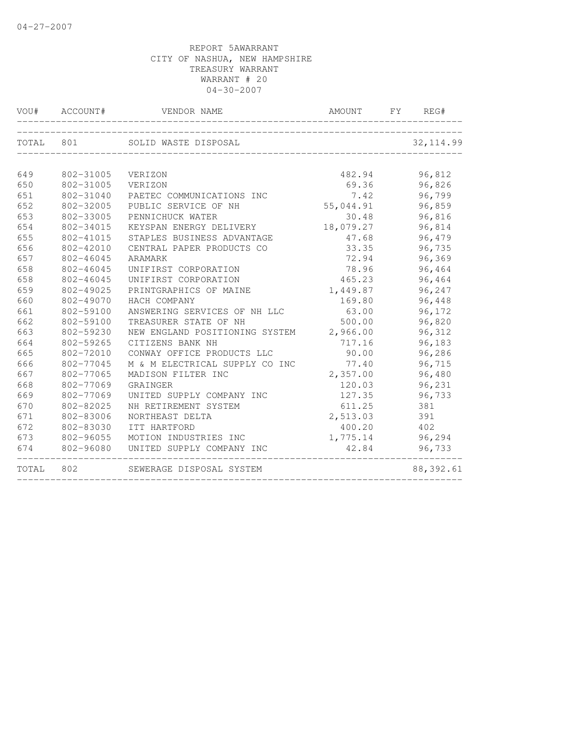|       | VOU# ACCOUNT# | VENDOR NAME<br>______________________ | AMOUNT<br>____________________________ | FY | REG#       |
|-------|---------------|---------------------------------------|----------------------------------------|----|------------|
| TOTAL | 801           | SOLID WASTE DISPOSAL                  |                                        |    | 32, 114.99 |
| 649   | 802-31005     | VERIZON                               | 482.94                                 |    | 96,812     |
| 650   | 802-31005     | VERIZON                               | 69.36                                  |    | 96,826     |
| 651   | 802-31040     | PAETEC COMMUNICATIONS INC             | 7.42                                   |    | 96,799     |
| 652   | 802-32005     | PUBLIC SERVICE OF NH                  | 55,044.91                              |    | 96,859     |
| 653   | 802-33005     | PENNICHUCK WATER                      | 30.48                                  |    | 96,816     |
| 654   | 802-34015     | KEYSPAN ENERGY DELIVERY               | 18,079.27                              |    | 96,814     |
| 655   | 802-41015     | STAPLES BUSINESS ADVANTAGE            | 47.68                                  |    | 96,479     |
| 656   | 802-42010     | CENTRAL PAPER PRODUCTS CO             | 33.35                                  |    | 96,735     |
| 657   | 802-46045     | ARAMARK                               | 72.94                                  |    | 96,369     |
| 658   | 802-46045     | UNIFIRST CORPORATION                  | 78.96                                  |    | 96,464     |
| 658   | 802-46045     | UNIFIRST CORPORATION                  | 465.23                                 |    | 96,464     |
| 659   | 802-49025     | PRINTGRAPHICS OF MAINE                | 1,449.87                               |    | 96,247     |
| 660   | 802-49070     | HACH COMPANY                          | 169.80                                 |    | 96,448     |
| 661   | 802-59100     | ANSWERING SERVICES OF NH LLC          | 63.00                                  |    | 96,172     |
| 662   | 802-59100     | TREASURER STATE OF NH                 | 500.00                                 |    | 96,820     |
| 663   | 802-59230     | NEW ENGLAND POSITIONING SYSTEM        | 2,966.00                               |    | 96,312     |
| 664   | 802-59265     | CITIZENS BANK NH                      | 717.16                                 |    | 96,183     |
| 665   | 802-72010     | CONWAY OFFICE PRODUCTS LLC            | 90.00                                  |    | 96,286     |
| 666   | 802-77045     | M & M ELECTRICAL SUPPLY CO INC        | 77.40                                  |    | 96,715     |
| 667   | 802-77065     | MADISON FILTER INC                    | 2,357.00                               |    | 96,480     |
| 668   | 802-77069     | GRAINGER                              | 120.03                                 |    | 96,231     |
| 669   | 802-77069     | UNITED SUPPLY COMPANY INC             | 127.35                                 |    | 96,733     |
| 670   | 802-82025     | NH RETIREMENT SYSTEM                  | 611.25                                 |    | 381        |
| 671   | 802-83006     | NORTHEAST DELTA                       | 2,513.03                               |    | 391        |
| 672   | 802-83030     | ITT HARTFORD                          | 400.20                                 |    | 402        |
| 673   | 802-96055     | MOTION INDUSTRIES INC                 | 1,775.14                               |    | 96,294     |
| 674   | 802-96080     | UNITED SUPPLY COMPANY INC             | 42.84                                  |    | 96,733     |
| TOTAL | 802           | SEWERAGE DISPOSAL SYSTEM              |                                        |    | 88, 392.61 |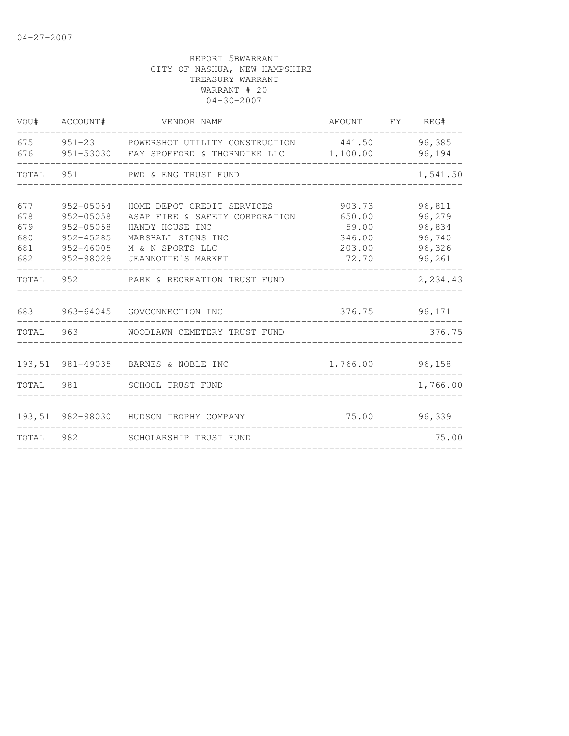| VOU#                                   | ACCOUNT#                                                                       | VENDOR NAME                                                                                                                                     | AMOUNT                                                 | <b>FY</b> | REG#                                                     |
|----------------------------------------|--------------------------------------------------------------------------------|-------------------------------------------------------------------------------------------------------------------------------------------------|--------------------------------------------------------|-----------|----------------------------------------------------------|
| 675<br>676                             |                                                                                | 951-23 POWERSHOT UTILITY CONSTRUCTION<br>951-53030 FAY SPOFFORD & THORNDIKE LLC                                                                 | 441.50<br>1,100.00                                     |           | 96,385<br>96,194                                         |
| TOTAL                                  | 951                                                                            | PWD & ENG TRUST FUND                                                                                                                            |                                                        |           | 1,541.50                                                 |
| 677<br>678<br>679<br>680<br>681<br>682 | 952-05054<br>952-05058<br>952-05058<br>$952 - 45285$<br>952-46005<br>952-98029 | HOME DEPOT CREDIT SERVICES<br>ASAP FIRE & SAFETY CORPORATION<br>HANDY HOUSE INC<br>MARSHALL SIGNS INC<br>M & N SPORTS LLC<br>JEANNOTTE'S MARKET | 903.73<br>650.00<br>59.00<br>346.00<br>203.00<br>72.70 |           | 96,811<br>96,279<br>96,834<br>96,740<br>96,326<br>96,261 |
| TOTAL                                  | 952                                                                            | PARK & RECREATION TRUST FUND                                                                                                                    |                                                        |           | 2,234.43                                                 |
| 683                                    | 963-64045                                                                      | GOVCONNECTION INC                                                                                                                               | 376.75                                                 |           | 96,171                                                   |
| TOTAL                                  | 963                                                                            | WOODLAWN CEMETERY TRUST FUND                                                                                                                    |                                                        |           | 376.75                                                   |
|                                        |                                                                                | 193,51 981-49035 BARNES & NOBLE INC                                                                                                             | 1,766.00                                               |           | 96,158                                                   |
| TOTAL                                  | 981                                                                            | <b>SCHOOL TRUST FUND</b>                                                                                                                        |                                                        |           | 1,766.00                                                 |
|                                        |                                                                                | 193,51 982-98030 HUDSON TROPHY COMPANY                                                                                                          | 75.00                                                  |           | 96,339                                                   |
| TOTAL                                  | 982                                                                            | SCHOLARSHIP TRUST FUND                                                                                                                          |                                                        |           | 75.00                                                    |
|                                        |                                                                                |                                                                                                                                                 |                                                        |           |                                                          |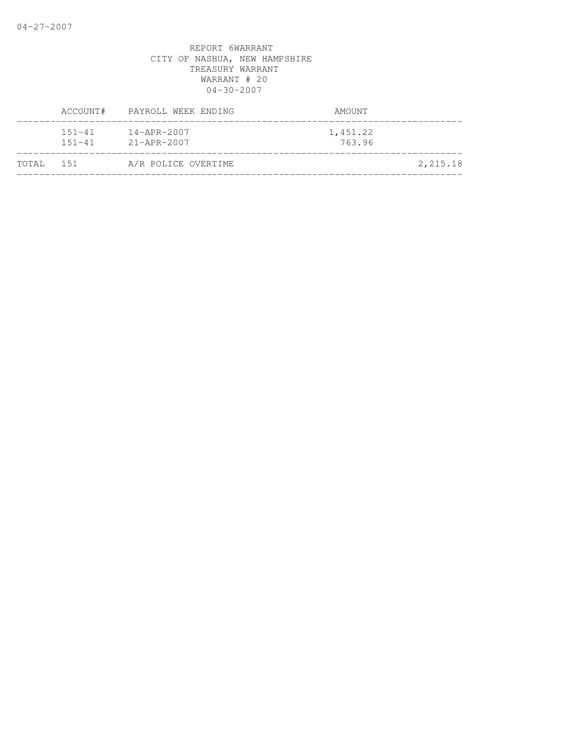|           | ACCOUNT#                 | PAYROLL WEEK ENDING                    | AMOUNT             |
|-----------|--------------------------|----------------------------------------|--------------------|
|           | $151 - 41$<br>$151 - 41$ | $14 - APR - 2007$<br>$21 - APR - 2007$ | 1,451.22<br>763.96 |
| TOTAL 151 |                          | A/R POLICE OVERTIME                    | 2,215.18           |
|           |                          |                                        |                    |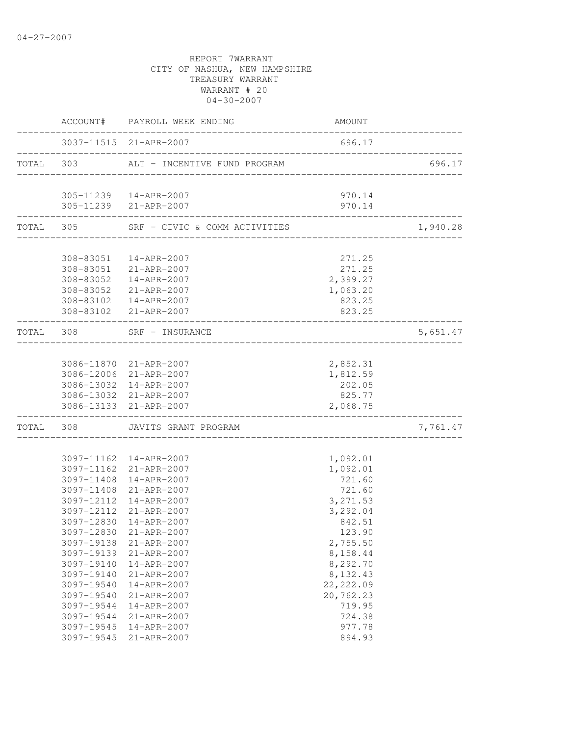|       |            | ACCOUNT# PAYROLL WEEK ENDING                     | AMOUNT                          |          |
|-------|------------|--------------------------------------------------|---------------------------------|----------|
|       |            | 3037-11515 21-APR-2007                           | 696.17                          |          |
|       | TOTAL 303  | ALT - INCENTIVE FUND PROGRAM                     | _______________________________ | 696.17   |
|       |            | 305-11239  14-APR-2007                           | 970.14                          |          |
|       |            | 305-11239 21-APR-2007                            | 970.14                          |          |
|       |            | TOTAL 305 SRF - CIVIC & COMM ACTIVITIES          |                                 | 1,940.28 |
|       |            |                                                  |                                 |          |
|       |            | 308-83051  14-APR-2007                           | 271.25                          |          |
|       |            | 308-83051 21-APR-2007                            | 271.25                          |          |
|       |            | 308-83052  14-APR-2007                           | 2,399.27                        |          |
|       |            | 308-83052 21-APR-2007                            | 1,063.20                        |          |
|       |            | 308-83102  14-APR-2007                           | 823.25                          |          |
|       |            | 308-83102 21-APR-2007                            | 823.25                          |          |
|       | TOTAL 308  | SRF - INSURANCE<br>_________________________     |                                 | 5,651.47 |
|       |            |                                                  |                                 |          |
|       |            | 3086-11870 21-APR-2007<br>3086-12006 21-APR-2007 | 2,852.31                        |          |
|       |            |                                                  | 1,812.59                        |          |
|       |            | 3086-13032 14-APR-2007                           | 202.05<br>825.77                |          |
|       |            | 3086-13032 21-APR-2007<br>3086-13133 21-APR-2007 | 2,068.75                        |          |
| TOTAL |            | 308 JAVITS GRANT PROGRAM<br>------------------   |                                 | 7,761.47 |
|       |            |                                                  |                                 |          |
|       |            | 3097-11162  14-APR-2007                          | 1,092.01                        |          |
|       |            | 3097-11162 21-APR-2007                           | 1,092.01                        |          |
|       |            | 3097-11408 14-APR-2007                           | 721.60                          |          |
|       |            | 3097-11408 21-APR-2007                           | 721.60                          |          |
|       | 3097-12112 | 14-APR-2007                                      | 3,271.53                        |          |
|       | 3097-12112 | 21-APR-2007                                      | 3,292.04                        |          |
|       | 3097-12830 | 14-APR-2007                                      | 842.51                          |          |
|       |            | 3097-12830 21-APR-2007                           | 123.90                          |          |
|       | 3097-19138 | 21-APR-2007                                      | 2,755.50                        |          |
|       | 3097-19139 | 21-APR-2007                                      | 8,158.44                        |          |
|       | 3097-19140 | $14 - APR - 2007$                                | 8,292.70                        |          |
|       | 3097-19140 | 21-APR-2007                                      | 8,132.43                        |          |
|       | 3097-19540 | 14-APR-2007                                      | 22, 222.09                      |          |
|       | 3097-19540 | 21-APR-2007                                      | 20,762.23                       |          |
|       | 3097-19544 | $14 - APR - 2007$                                | 719.95                          |          |
|       | 3097-19544 | 21-APR-2007                                      | 724.38                          |          |
|       | 3097-19545 | 14-APR-2007                                      | 977.78                          |          |
|       | 3097-19545 | 21-APR-2007                                      | 894.93                          |          |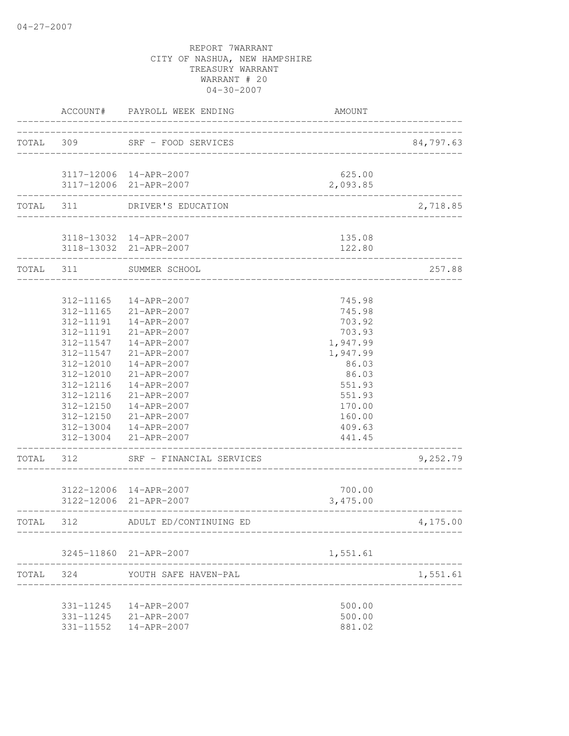|           |                                                                                                                                | ACCOUNT# PAYROLL WEEK ENDING                                                                                                                                                                                                                                   | AMOUNT                                                                                                                                     |           |
|-----------|--------------------------------------------------------------------------------------------------------------------------------|----------------------------------------------------------------------------------------------------------------------------------------------------------------------------------------------------------------------------------------------------------------|--------------------------------------------------------------------------------------------------------------------------------------------|-----------|
| TOTAL 309 |                                                                                                                                | SRF - FOOD SERVICES                                                                                                                                                                                                                                            | __________________                                                                                                                         | 84,797.63 |
|           |                                                                                                                                | 3117-12006 14-APR-2007<br>3117-12006 21-APR-2007                                                                                                                                                                                                               | 625.00<br>2,093.85                                                                                                                         |           |
| TOTAL 311 |                                                                                                                                | DRIVER'S EDUCATION                                                                                                                                                                                                                                             |                                                                                                                                            | 2,718.85  |
|           |                                                                                                                                | 3118-13032 14-APR-2007<br>3118-13032 21-APR-2007                                                                                                                                                                                                               | 135.08<br>122.80                                                                                                                           |           |
| TOTAL 311 |                                                                                                                                | SUMMER SCHOOL                                                                                                                                                                                                                                                  |                                                                                                                                            | 257.88    |
|           | 312-11165<br>312-11165<br>312-11191<br>312-11191<br>312-11547<br>312-12010<br>312-12010<br>312-12116<br>312-12116<br>312-12150 | 14-APR-2007<br>21-APR-2007<br>14-APR-2007<br>21-APR-2007<br>312-11547  14-APR-2007<br>21-APR-2007<br>14-APR-2007<br>$21 - APR - 2007$<br>14-APR-2007<br>21-APR-2007<br>14-APR-2007<br>312-12150 21-APR-2007<br>312-13004  14-APR-2007<br>312-13004 21-APR-2007 | 745.98<br>745.98<br>703.92<br>703.93<br>1,947.99<br>1,947.99<br>86.03<br>86.03<br>551.93<br>551.93<br>170.00<br>160.00<br>409.63<br>441.45 |           |
| TOTAL     | 312                                                                                                                            | SRF - FINANCIAL SERVICES                                                                                                                                                                                                                                       |                                                                                                                                            | 9,252.79  |
|           |                                                                                                                                | 3122-12006 14-APR-2007<br>3122-12006 21-APR-2007                                                                                                                                                                                                               | 700.00<br>3,475.00                                                                                                                         |           |
| TOTAL 312 |                                                                                                                                | ADULT ED/CONTINUING ED                                                                                                                                                                                                                                         |                                                                                                                                            | 4,175.00  |
|           |                                                                                                                                | 3245-11860 21-APR-2007                                                                                                                                                                                                                                         | 1,551.61                                                                                                                                   |           |
|           |                                                                                                                                | TOTAL 324 YOUTH SAFE HAVEN-PAL<br>---------------------                                                                                                                                                                                                        |                                                                                                                                            | 1,551.61  |
|           |                                                                                                                                | 331-11245  14-APR-2007<br>331-11245 21-APR-2007<br>331-11552  14-APR-2007                                                                                                                                                                                      | 500.00<br>500.00<br>881.02                                                                                                                 |           |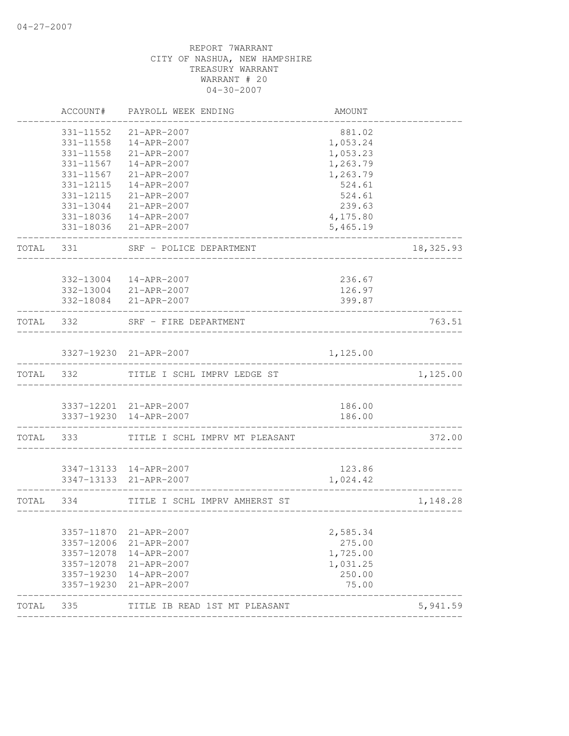| ACCOUNT#                 | PAYROLL WEEK ENDING                                  | AMOUNT                                                                                                                                                                                                                                                                                                                                                                                                                                                                |                                                                                                                          |
|--------------------------|------------------------------------------------------|-----------------------------------------------------------------------------------------------------------------------------------------------------------------------------------------------------------------------------------------------------------------------------------------------------------------------------------------------------------------------------------------------------------------------------------------------------------------------|--------------------------------------------------------------------------------------------------------------------------|
| 331-11552                | 21-APR-2007                                          | 881.02                                                                                                                                                                                                                                                                                                                                                                                                                                                                |                                                                                                                          |
| 331-11558                | 14-APR-2007                                          | 1,053.24                                                                                                                                                                                                                                                                                                                                                                                                                                                              |                                                                                                                          |
| 331-11558                | 21-APR-2007                                          | 1,053.23                                                                                                                                                                                                                                                                                                                                                                                                                                                              |                                                                                                                          |
| 331-11567                | 14-APR-2007                                          | 1,263.79                                                                                                                                                                                                                                                                                                                                                                                                                                                              |                                                                                                                          |
| 331-11567                | 21-APR-2007                                          | 1,263.79                                                                                                                                                                                                                                                                                                                                                                                                                                                              |                                                                                                                          |
| 331-12115                | 14-APR-2007                                          | 524.61                                                                                                                                                                                                                                                                                                                                                                                                                                                                |                                                                                                                          |
| 331-12115                | 21-APR-2007                                          | 524.61                                                                                                                                                                                                                                                                                                                                                                                                                                                                |                                                                                                                          |
|                          |                                                      | 239.63                                                                                                                                                                                                                                                                                                                                                                                                                                                                |                                                                                                                          |
|                          |                                                      | 4,175.80                                                                                                                                                                                                                                                                                                                                                                                                                                                              |                                                                                                                          |
|                          |                                                      |                                                                                                                                                                                                                                                                                                                                                                                                                                                                       |                                                                                                                          |
| 331                      |                                                      |                                                                                                                                                                                                                                                                                                                                                                                                                                                                       | 18,325.93                                                                                                                |
|                          |                                                      |                                                                                                                                                                                                                                                                                                                                                                                                                                                                       |                                                                                                                          |
|                          |                                                      |                                                                                                                                                                                                                                                                                                                                                                                                                                                                       |                                                                                                                          |
|                          |                                                      |                                                                                                                                                                                                                                                                                                                                                                                                                                                                       |                                                                                                                          |
|                          |                                                      |                                                                                                                                                                                                                                                                                                                                                                                                                                                                       |                                                                                                                          |
| TOTAL<br>332             |                                                      |                                                                                                                                                                                                                                                                                                                                                                                                                                                                       | 763.51                                                                                                                   |
|                          |                                                      | 1,125.00                                                                                                                                                                                                                                                                                                                                                                                                                                                              |                                                                                                                          |
| TOTAL 332                |                                                      |                                                                                                                                                                                                                                                                                                                                                                                                                                                                       | 1,125.00                                                                                                                 |
|                          |                                                      |                                                                                                                                                                                                                                                                                                                                                                                                                                                                       |                                                                                                                          |
|                          |                                                      |                                                                                                                                                                                                                                                                                                                                                                                                                                                                       |                                                                                                                          |
|                          |                                                      | 186.00                                                                                                                                                                                                                                                                                                                                                                                                                                                                |                                                                                                                          |
| 333                      | TITLE I SCHL IMPRV MT PLEASANT                       |                                                                                                                                                                                                                                                                                                                                                                                                                                                                       | 372.00                                                                                                                   |
|                          |                                                      |                                                                                                                                                                                                                                                                                                                                                                                                                                                                       |                                                                                                                          |
|                          |                                                      | 123.86                                                                                                                                                                                                                                                                                                                                                                                                                                                                |                                                                                                                          |
|                          |                                                      | 1,024.42                                                                                                                                                                                                                                                                                                                                                                                                                                                              |                                                                                                                          |
| TOTAL<br>334             |                                                      |                                                                                                                                                                                                                                                                                                                                                                                                                                                                       | 1,148.28                                                                                                                 |
|                          |                                                      |                                                                                                                                                                                                                                                                                                                                                                                                                                                                       |                                                                                                                          |
|                          |                                                      |                                                                                                                                                                                                                                                                                                                                                                                                                                                                       |                                                                                                                          |
|                          |                                                      |                                                                                                                                                                                                                                                                                                                                                                                                                                                                       |                                                                                                                          |
|                          |                                                      |                                                                                                                                                                                                                                                                                                                                                                                                                                                                       |                                                                                                                          |
|                          |                                                      |                                                                                                                                                                                                                                                                                                                                                                                                                                                                       |                                                                                                                          |
|                          |                                                      |                                                                                                                                                                                                                                                                                                                                                                                                                                                                       |                                                                                                                          |
| 3357-19230<br>3357-19230 | 14-APR-2007<br>$21 - APR - 2007$                     | 250.00<br>75.00                                                                                                                                                                                                                                                                                                                                                                                                                                                       |                                                                                                                          |
|                          | 3357-11870<br>3357-12006<br>3357-12078<br>3357-12078 | 331-13044 21-APR-2007<br>331-18036  14-APR-2007<br>331-18036 21-APR-2007<br>SRF - POLICE DEPARTMENT<br>332-13004 14-APR-2007<br>332-13004 21-APR-2007<br>332-18084 21-APR-2007<br>SRF - FIRE DEPARTMENT<br>3327-19230 21-APR-2007<br>TITLE I SCHL IMPRV LEDGE ST<br>3337-12201 21-APR-2007<br>3337-19230 14-APR-2007<br>3347-13133 14-APR-2007<br>3347-13133 21-APR-2007<br>TITLE I SCHL IMPRV AMHERST ST<br>21-APR-2007<br>21-APR-2007<br>14-APR-2007<br>21-APR-2007 | 5,465.19<br>236.67<br>126.97<br>399.87<br>----------------------<br>186.00<br>2,585.34<br>275.00<br>1,725.00<br>1,031.25 |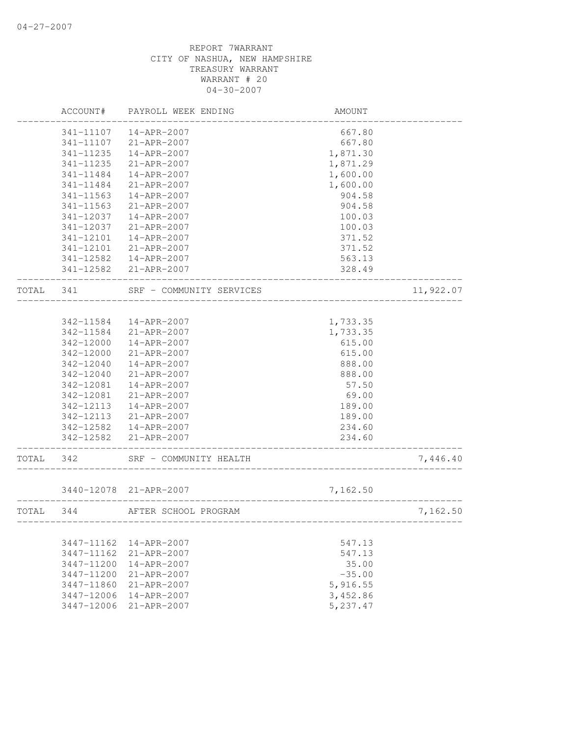|       | ACCOUNT#   | PAYROLL WEEK ENDING      | AMOUNT   |           |
|-------|------------|--------------------------|----------|-----------|
|       | 341-11107  | $14 - APR - 2007$        | 667.80   |           |
|       | 341-11107  | 21-APR-2007              | 667.80   |           |
|       | 341-11235  | 14-APR-2007              | 1,871.30 |           |
|       | 341-11235  | 21-APR-2007              | 1,871.29 |           |
|       | 341-11484  | 14-APR-2007              | 1,600.00 |           |
|       | 341-11484  | 21-APR-2007              | 1,600.00 |           |
|       | 341-11563  | 14-APR-2007              | 904.58   |           |
|       | 341-11563  | 21-APR-2007              | 904.58   |           |
|       | 341-12037  | 14-APR-2007              | 100.03   |           |
|       | 341-12037  | 21-APR-2007              | 100.03   |           |
|       | 341-12101  | 14-APR-2007              | 371.52   |           |
|       | 341-12101  | 21-APR-2007              | 371.52   |           |
|       | 341-12582  | 14-APR-2007              | 563.13   |           |
|       |            | 341-12582 21-APR-2007    | 328.49   |           |
| TOTAL | 341        | SRF - COMMUNITY SERVICES |          | 11,922.07 |
|       |            |                          |          |           |
|       | 342-11584  | 14-APR-2007              | 1,733.35 |           |
|       | 342-11584  | 21-APR-2007              | 1,733.35 |           |
|       | 342-12000  | 14-APR-2007              | 615.00   |           |
|       | 342-12000  | 21-APR-2007              | 615.00   |           |
|       | 342-12040  | $14 - APR - 2007$        | 888.00   |           |
|       | 342-12040  | $21 - APR - 2007$        | 888.00   |           |
|       | 342-12081  | 14-APR-2007              | 57.50    |           |
|       | 342-12081  | 21-APR-2007              | 69.00    |           |
|       | 342-12113  | 14-APR-2007              | 189.00   |           |
|       | 342-12113  | 21-APR-2007              | 189.00   |           |
|       | 342-12582  | 14-APR-2007              | 234.60   |           |
|       | 342-12582  | 21-APR-2007              | 234.60   |           |
| TOTAL | 342        | SRF - COMMUNITY HEALTH   |          | 7,446.40  |
|       |            | 3440-12078 21-APR-2007   | 7,162.50 |           |
| TOTAL | 344        | AFTER SCHOOL PROGRAM     |          | 7,162.50  |
|       |            |                          |          |           |
|       | 3447-11162 | $14 - APR - 2007$        | 547.13   |           |
|       | 3447-11162 | $21 - APR - 2007$        | 547.13   |           |
|       | 3447-11200 | $14 - APR - 2007$        | 35.00    |           |
|       | 3447-11200 | 21-APR-2007              | $-35.00$ |           |
|       | 3447-11860 | $21 - APR - 2007$        | 5,916.55 |           |
|       | 3447-12006 | $14 - APR - 2007$        | 3,452.86 |           |
|       | 3447-12006 | $21 - APR - 2007$        | 5,237.47 |           |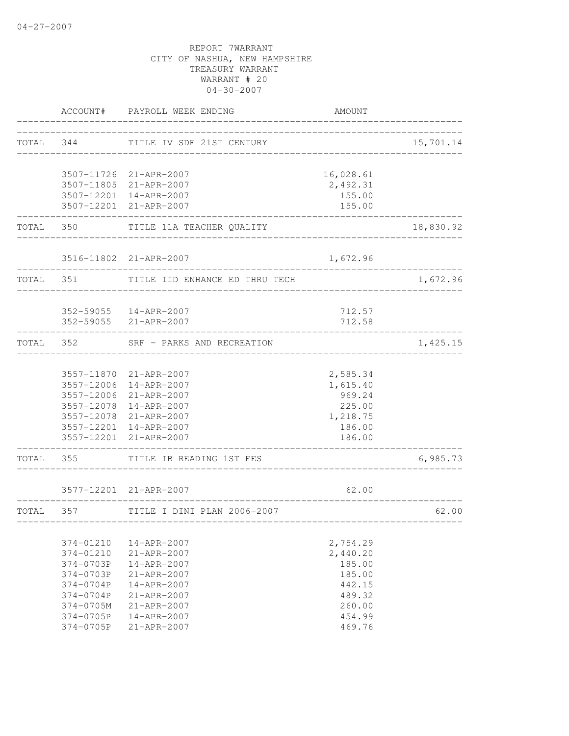|                   | ACCOUNT# PAYROLL WEEK ENDING          | AMOUNT                          |           |
|-------------------|---------------------------------------|---------------------------------|-----------|
|                   | TOTAL 344 TITLE IV SDF 21ST CENTURY   |                                 | 15,701.14 |
|                   |                                       |                                 |           |
|                   | 3507-11726 21-APR-2007                | 16,028.61                       |           |
|                   | 3507-11805 21-APR-2007                | 2,492.31                        |           |
|                   | 3507-12201 14-APR-2007                | 155.00                          |           |
|                   | 3507-12201 21-APR-2007                | 155.00<br>-----------           |           |
|                   | TOTAL 350 TITLE 11A TEACHER QUALITY   | __________________________      | 18,830.92 |
|                   | 3516-11802 21-APR-2007                | 1,672.96                        |           |
| TOTAL 351         | TITLE IID ENHANCE ED THRU TECH        |                                 | 1,672.96  |
|                   |                                       |                                 |           |
|                   | 352-59055  14-APR-2007                | 712.57                          |           |
|                   | 352-59055 21-APR-2007                 | 712.58                          |           |
|                   | TOTAL 352 SRF - PARKS AND RECREATION  |                                 | 1,425.15  |
|                   |                                       |                                 |           |
|                   | 3557-11870 21-APR-2007                | 2,585.34                        |           |
|                   | 3557-12006 14-APR-2007                | 1,615.40                        |           |
|                   | 3557-12006 21-APR-2007                | 969.24                          |           |
|                   | 3557-12078 14-APR-2007                | 225.00                          |           |
|                   | 3557-12078 21-APR-2007                | 1,218.75                        |           |
|                   | 3557-12201 14-APR-2007                | 186.00                          |           |
| ----------------- | 3557-12201 21-APR-2007                | 186.00<br>--------------------- |           |
|                   | TOTAL 355 TITLE IB READING 1ST FES    |                                 | 6,985.73  |
|                   | 3577-12201 21-APR-2007                | 62.00                           |           |
|                   |                                       |                                 |           |
|                   | TOTAL 357 TITLE I DINI PLAN 2006-2007 |                                 | 62.00     |
| 374-01210         | 14-APR-2007                           | 2,754.29                        |           |
| 374-01210         | 21-APR-2007                           | 2,440.20                        |           |
| 374-0703P         | $14 - APR - 2007$                     | 185.00                          |           |
| 374-0703P         | 21-APR-2007                           | 185.00                          |           |
| 374-0704P         | $14 - APR - 2007$                     | 442.15                          |           |
| $374 - 0704P$     | $21 - APR - 2007$                     | 489.32                          |           |
| 374-0705M         | 21-APR-2007                           | 260.00                          |           |
| 374-0705P         | 14-APR-2007                           | 454.99                          |           |
| 374-0705P         | 21-APR-2007                           | 469.76                          |           |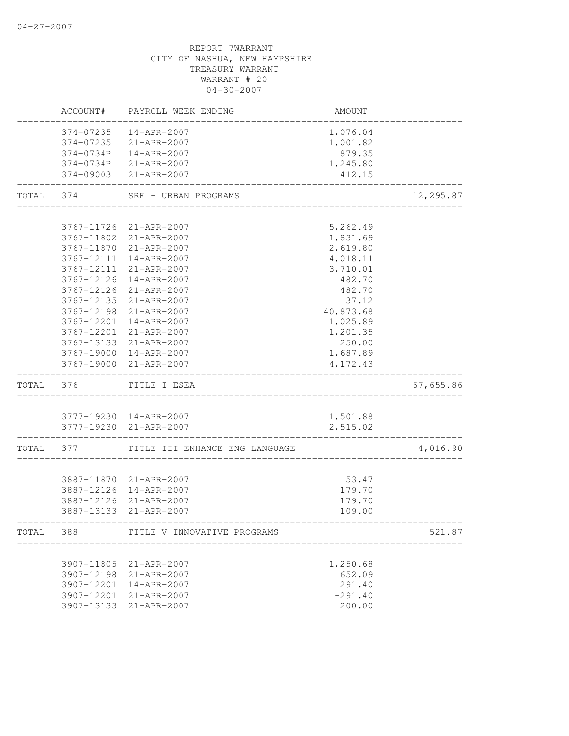# CITY OF NASHUA, NEW HAMPSHIRE TREASURY WARRANT WARRANT # 20 04-30-2007 ACCOUNT# PAYROLL WEEK ENDING AMOUNT -------------------------------------------------------------------------------- 374-07235 14-APR-2007 1,076.04 374-07235 21-APR-2007 1,001.82 374-0734P 14-APR-2007 879.35 374-0734P 21-APR-2007 1,245.80 374-09003 21-APR-2007 412.15 -------------------------------------------------------------------------------- TOTAL 374 SRF - URBAN PROGRAMS 12,295.87 -------------------------------------------------------------------------------- 3767-11726 21-APR-2007 5,262.49 3767-11802 21-APR-2007 1,831.69 3767-11870 21-APR-2007 2,619.80 3767-12111 14-APR-2007 4,018.11 3767-12111 21-APR-2007 3,710.01 3767-12126 14-APR-2007 482.70 3767-12126 21-APR-2007 482.70 3767-12135 21-APR-2007 37.12 3767-12198 21-APR-2007 40,873.68 3767-12201 14-APR-2007 1,025.89 3767-12201 21-APR-2007 1,201.35 3767-13133 21-APR-2007 250.00 3767-19000 14-APR-2007 1,687.89 3767-19000 21-APR-2007 4,172.43 -------------------------------------------------------------------------------- TOTAL 376 TITLE I ESEA 67,655.86 -------------------------------------------------------------------------------- 3777-19230 14-APR-2007 1,501.88 3777-19230 21-APR-2007 2,515.02 -------------------------------------------------------------------------------- TITLE III ENHANCE ENG LANGUAGE  $4,016.90$ -------------------------------------------------------------------------------- 3887-11870 21-APR-2007 53.47 3887-12126 14-APR-2007 179.70 3887-12126 21-APR-2007 179.70 3887-13133 21-APR-2007 109.00 -------------------------------------------------------------------------------- TOTAL 388 TITLE V INNOVATIVE PROGRAMS 621.87 -------------------------------------------------------------------------------- 3907-11805 21-APR-2007 1,250.68 3907-12198 21-APR-2007 652.09 3907-12201 14-APR-2007 291.40 3907-12201 21-APR-2007 -291.40 3907-13133 21-APR-2007 200.00

REPORT 7WARRANT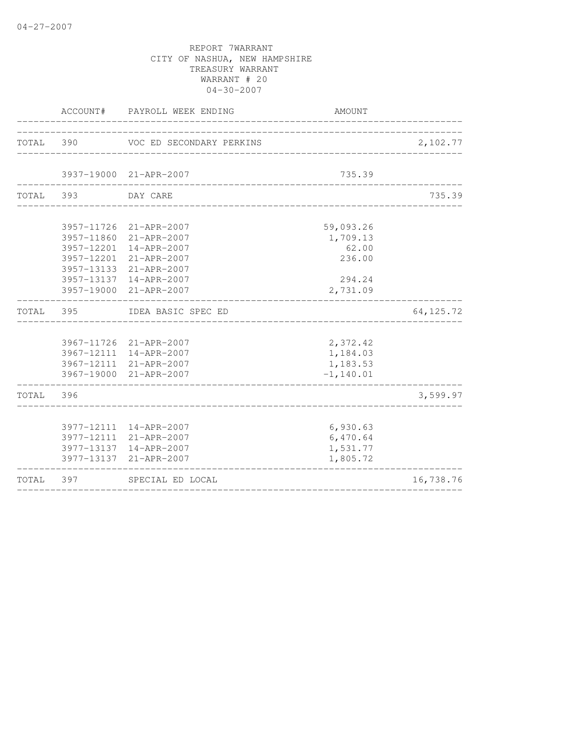|           |     | ACCOUNT# PAYROLL WEEK ENDING                                                                                                                                                       | AMOUNT                                                         |             |
|-----------|-----|------------------------------------------------------------------------------------------------------------------------------------------------------------------------------------|----------------------------------------------------------------|-------------|
| TOTAL 390 |     | VOC ED SECONDARY PERKINS                                                                                                                                                           |                                                                | 2,102.77    |
|           |     | 3937-19000 21-APR-2007                                                                                                                                                             | 735.39                                                         |             |
| TOTAL 393 |     | DAY CARE                                                                                                                                                                           |                                                                | 735.39      |
|           |     | 3957-11726 21-APR-2007<br>3957-11860 21-APR-2007<br>3957-12201 14-APR-2007<br>3957-12201 21-APR-2007<br>3957-13133 21-APR-2007<br>3957-13137 14-APR-2007<br>3957-19000 21-APR-2007 | 59,093.26<br>1,709.13<br>62.00<br>236.00<br>294.24<br>2,731.09 |             |
| TOTAL     | 395 | IDEA BASIC SPEC ED                                                                                                                                                                 |                                                                | 64, 125. 72 |
|           |     | 3967-11726 21-APR-2007<br>3967-12111 14-APR-2007<br>3967-12111 21-APR-2007<br>3967-19000 21-APR-2007                                                                               | 2,372.42<br>1,184.03<br>1,183.53<br>$-1, 140.01$               |             |
| TOTAL     | 396 |                                                                                                                                                                                    |                                                                | 3,599.97    |
|           |     | 3977-12111 14-APR-2007<br>3977-12111 21-APR-2007<br>3977-13137 14-APR-2007<br>3977-13137 21-APR-2007                                                                               | 6,930.63<br>6,470.64<br>1,531.77<br>1,805.72                   |             |
| TOTAL     | 397 | SPECIAL ED LOCAL                                                                                                                                                                   |                                                                | 16,738.76   |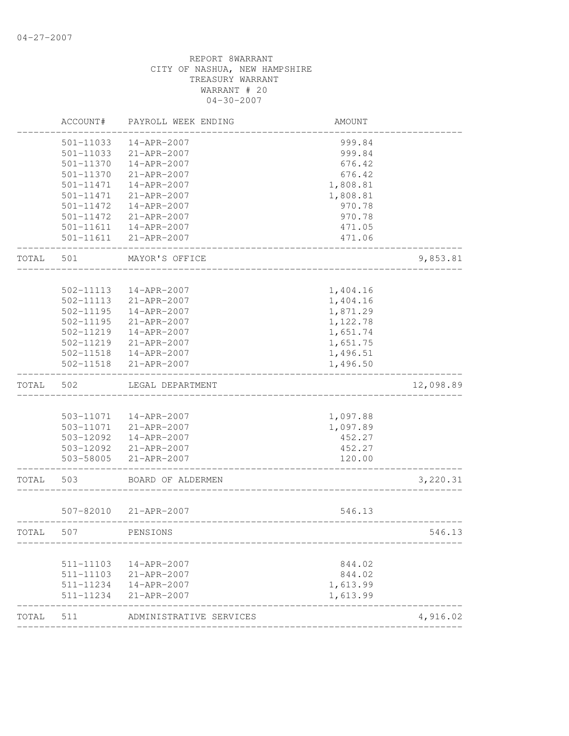|       | ACCOUNT#  | PAYROLL WEEK ENDING     | AMOUNT                            |           |
|-------|-----------|-------------------------|-----------------------------------|-----------|
|       | 501-11033 | 14-APR-2007             | 999.84                            |           |
|       | 501-11033 | 21-APR-2007             | 999.84                            |           |
|       | 501-11370 | 14-APR-2007             | 676.42                            |           |
|       | 501-11370 | 21-APR-2007             | 676.42                            |           |
|       | 501-11471 | 14-APR-2007             | 1,808.81                          |           |
|       | 501-11471 | 21-APR-2007             | 1,808.81                          |           |
|       | 501-11472 | 14-APR-2007             | 970.78                            |           |
|       | 501-11472 | 21-APR-2007             | 970.78                            |           |
|       |           | 501-11611  14-APR-2007  | 471.05                            |           |
|       |           | 501-11611 21-APR-2007   | 471.06                            |           |
| TOTAL | 501       | MAYOR'S OFFICE          |                                   | 9,853.81  |
|       |           |                         |                                   |           |
|       | 502-11113 | 14-APR-2007             | 1,404.16                          |           |
|       | 502-11113 | 21-APR-2007             | 1,404.16                          |           |
|       | 502-11195 | 14-APR-2007             | 1,871.29                          |           |
|       | 502-11195 | 21-APR-2007             | 1,122.78                          |           |
|       | 502-11219 | 14-APR-2007             | 1,651.74                          |           |
|       | 502-11219 | 21-APR-2007             | 1,651.75                          |           |
|       |           | 502-11518  14-APR-2007  | 1,496.51                          |           |
|       | 502-11518 | 21-APR-2007             | 1,496.50                          |           |
| TOTAL | 502       | LEGAL DEPARTMENT        |                                   | 12,098.89 |
|       |           |                         |                                   |           |
|       |           | 503-11071  14-APR-2007  | 1,097.88                          |           |
|       | 503-11071 | 21-APR-2007             | 1,097.89                          |           |
|       | 503-12092 | 14-APR-2007             | 452.27                            |           |
|       |           | 503-12092 21-APR-2007   | 452.27                            |           |
|       | 503-58005 | 21-APR-2007             | 120.00<br>_______________________ |           |
| TOTAL | 503       | BOARD OF ALDERMEN       |                                   | 3,220.31  |
|       | 507-82010 | 21-APR-2007             | 546.13                            |           |
| TOTAL | 507       | PENSIONS                |                                   | 546.13    |
|       |           |                         |                                   |           |
|       | 511-11103 | 14-APR-2007             | 844.02                            |           |
|       | 511-11103 | 21-APR-2007             | 844.02                            |           |
|       | 511-11234 | 14-APR-2007             | 1,613.99                          |           |
|       | 511-11234 | 21-APR-2007             | 1,613.99                          |           |
| TOTAL | 511       | ADMINISTRATIVE SERVICES |                                   | 4,916.02  |
|       |           |                         |                                   |           |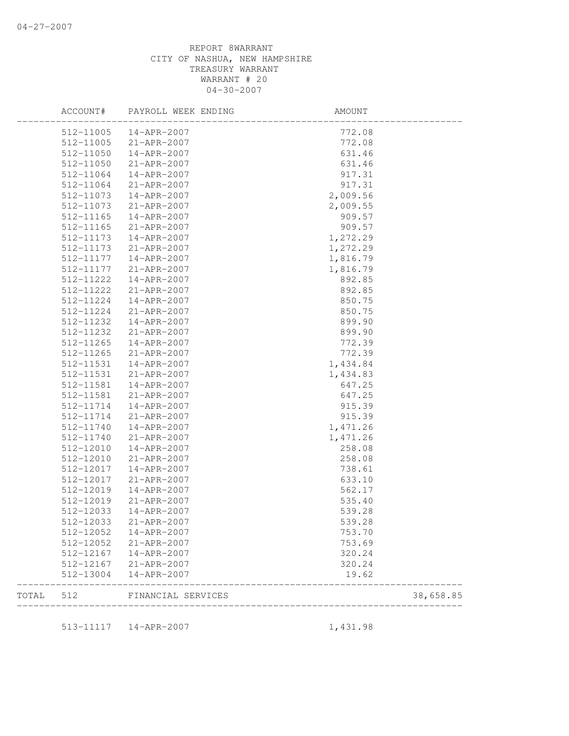|       | ACCOUNT#      | PAYROLL WEEK ENDING | AMOUNT   |           |
|-------|---------------|---------------------|----------|-----------|
|       | 512-11005     | 14-APR-2007         | 772.08   |           |
|       | 512-11005     | 21-APR-2007         | 772.08   |           |
|       | 512-11050     | 14-APR-2007         | 631.46   |           |
|       | 512-11050     | 21-APR-2007         | 631.46   |           |
|       | 512-11064     | 14-APR-2007         | 917.31   |           |
|       | 512-11064     | 21-APR-2007         | 917.31   |           |
|       | 512-11073     | 14-APR-2007         | 2,009.56 |           |
|       | 512-11073     | 21-APR-2007         | 2,009.55 |           |
|       | 512-11165     | 14-APR-2007         | 909.57   |           |
|       | $512 - 11165$ | 21-APR-2007         | 909.57   |           |
|       | 512-11173     | 14-APR-2007         | 1,272.29 |           |
|       | 512-11173     | 21-APR-2007         | 1,272.29 |           |
|       | 512-11177     | 14-APR-2007         | 1,816.79 |           |
|       | 512-11177     | 21-APR-2007         | 1,816.79 |           |
|       | 512-11222     | 14-APR-2007         | 892.85   |           |
|       | 512-11222     | 21-APR-2007         | 892.85   |           |
|       | 512-11224     | 14-APR-2007         | 850.75   |           |
|       | 512-11224     | 21-APR-2007         | 850.75   |           |
|       | 512-11232     | 14-APR-2007         | 899.90   |           |
|       | 512-11232     | 21-APR-2007         | 899.90   |           |
|       | 512-11265     | 14-APR-2007         | 772.39   |           |
|       | 512-11265     | 21-APR-2007         | 772.39   |           |
|       | 512-11531     | 14-APR-2007         | 1,434.84 |           |
|       | 512-11531     | 21-APR-2007         | 1,434.83 |           |
|       | 512-11581     | 14-APR-2007         | 647.25   |           |
|       | 512-11581     | 21-APR-2007         | 647.25   |           |
|       | 512-11714     | 14-APR-2007         | 915.39   |           |
|       | 512-11714     | 21-APR-2007         | 915.39   |           |
|       | 512-11740     | 14-APR-2007         |          |           |
|       |               |                     | 1,471.26 |           |
|       | 512-11740     | 21-APR-2007         | 1,471.26 |           |
|       | 512-12010     | 14-APR-2007         | 258.08   |           |
|       | 512-12010     | 21-APR-2007         | 258.08   |           |
|       | 512-12017     | 14-APR-2007         | 738.61   |           |
|       | 512-12017     | 21-APR-2007         | 633.10   |           |
|       | 512-12019     | 14-APR-2007         | 562.17   |           |
|       | 512-12019     | 21-APR-2007         | 535.40   |           |
|       | 512-12033     | 14-APR-2007         | 539.28   |           |
|       | 512-12033     | 21-APR-2007         | 539.28   |           |
|       | 512-12052     | 14-APR-2007         | 753.70   |           |
|       | 512-12052     | 21-APR-2007         | 753.69   |           |
|       | 512-12167     | 14-APR-2007         | 320.24   |           |
|       | 512-12167     | 21-APR-2007         | 320.24   |           |
|       | 512-13004     | 14-APR-2007         | 19.62    |           |
| TOTAL | 512           | FINANCIAL SERVICES  |          | 38,658.85 |
|       | 513-11117     | 14-APR-2007         | 1,431.98 |           |
|       |               |                     |          |           |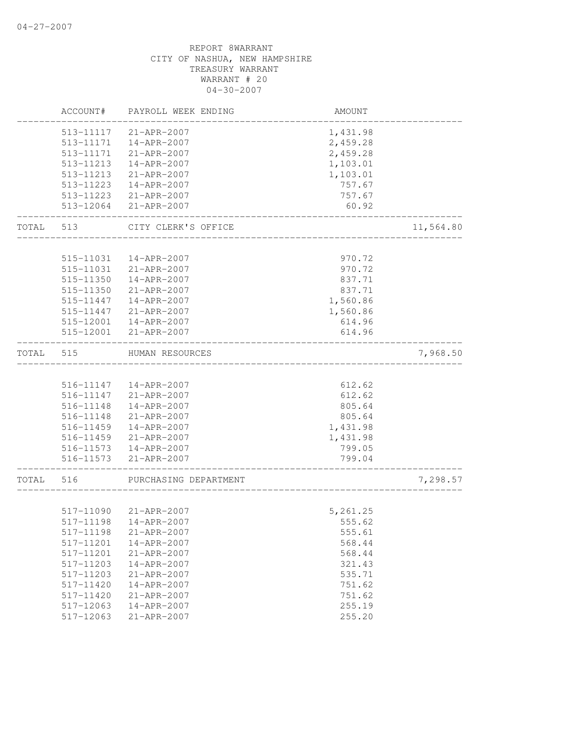|           | ACCOUNT#  | PAYROLL WEEK ENDING    | AMOUNT   |           |
|-----------|-----------|------------------------|----------|-----------|
|           | 513-11117 | 21-APR-2007            | 1,431.98 |           |
|           | 513-11171 | 14-APR-2007            | 2,459.28 |           |
|           | 513-11171 | 21-APR-2007            | 2,459.28 |           |
|           | 513-11213 | $14 - APR - 2007$      | 1,103.01 |           |
|           | 513-11213 | 21-APR-2007            | 1,103.01 |           |
|           | 513-11223 | 14-APR-2007            | 757.67   |           |
|           | 513-11223 | 21-APR-2007            | 757.67   |           |
|           | 513-12064 | 21-APR-2007            | 60.92    |           |
| TOTAL     | 513       | CITY CLERK'S OFFICE    |          | 11,564.80 |
|           |           |                        |          |           |
|           | 515-11031 | 14-APR-2007            | 970.72   |           |
|           | 515-11031 | 21-APR-2007            | 970.72   |           |
|           | 515-11350 | 14-APR-2007            | 837.71   |           |
|           | 515-11350 | 21-APR-2007            | 837.71   |           |
|           | 515-11447 | 14-APR-2007            | 1,560.86 |           |
|           | 515-11447 | 21-APR-2007            | 1,560.86 |           |
|           | 515-12001 | 14-APR-2007            | 614.96   |           |
|           | 515-12001 | 21-APR-2007            | 614.96   |           |
| TOTAL     | 515       | HUMAN RESOURCES        |          | 7,968.50  |
|           |           |                        |          |           |
|           |           | 516-11147  14-APR-2007 | 612.62   |           |
|           |           | 516-11147 21-APR-2007  | 612.62   |           |
|           | 516-11148 | 14-APR-2007            | 805.64   |           |
|           | 516-11148 | 21-APR-2007            | 805.64   |           |
|           | 516-11459 | 14-APR-2007            | 1,431.98 |           |
|           | 516-11459 | 21-APR-2007            | 1,431.98 |           |
|           |           | 516-11573  14-APR-2007 | 799.05   |           |
|           |           | 516-11573 21-APR-2007  | 799.04   |           |
| TOTAL 516 |           | PURCHASING DEPARTMENT  |          | 7,298.57  |
|           |           |                        |          |           |
|           | 517-11090 | 21-APR-2007            | 5,261.25 |           |
|           |           | 517-11198  14-APR-2007 | 555.62   |           |
|           | 517-11198 | 21-APR-2007            | 555.61   |           |
|           | 517-11201 | 14-APR-2007            | 568.44   |           |
|           | 517-11201 | 21-APR-2007            | 568.44   |           |
|           | 517-11203 | 14-APR-2007            | 321.43   |           |
|           | 517-11203 | 21-APR-2007            | 535.71   |           |
|           |           |                        |          |           |
|           | 517-11420 | 14-APR-2007            | 751.62   |           |
|           | 517-11420 | 21-APR-2007            | 751.62   |           |
|           | 517-12063 | $14 - APR - 2007$      | 255.19   |           |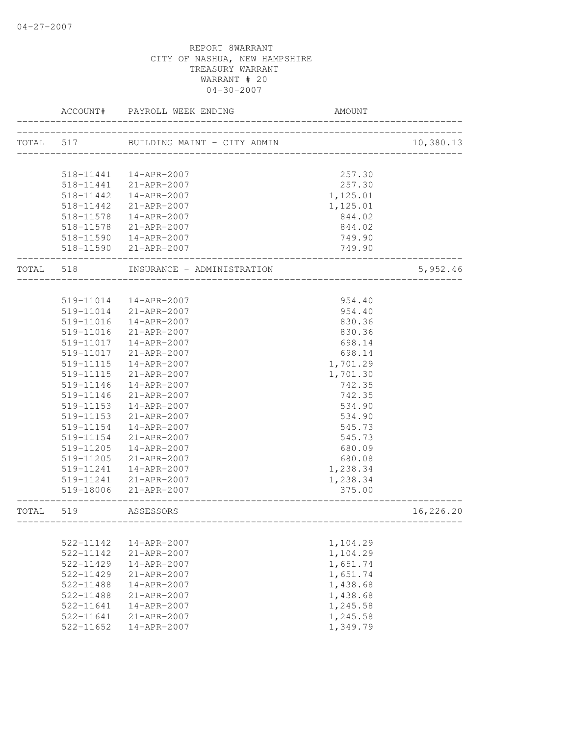|       | ACCOUNT#                         | PAYROLL WEEK ENDING                   | <b>AMOUNT</b>        |           |
|-------|----------------------------------|---------------------------------------|----------------------|-----------|
|       |                                  |                                       |                      | 10,380.13 |
|       |                                  |                                       |                      |           |
|       |                                  | 518-11441  14-APR-2007                | 257.30               |           |
|       |                                  | 518-11441 21-APR-2007                 | 257.30               |           |
|       | 518-11442<br>518-11442           | 14-APR-2007<br>21-APR-2007            | 1,125.01<br>1,125.01 |           |
|       | 518-11578                        | 14-APR-2007                           | 844.02               |           |
|       | 518-11578                        |                                       |                      |           |
|       |                                  | 21-APR-2007<br>518-11590  14-APR-2007 | 844.02<br>749.90     |           |
|       |                                  | 518-11590 21-APR-2007                 | 749.90               |           |
| TOTAL | 518                              | INSURANCE - ADMINISTRATION            | ____________________ | 5,952.46  |
|       |                                  |                                       |                      |           |
|       | 519-11014                        | 14-APR-2007                           | 954.40               |           |
|       | 519-11014                        | 21-APR-2007                           | 954.40               |           |
|       | 519-11016                        | $14 - APR - 2007$                     | 830.36               |           |
|       | 519-11016                        | 21-APR-2007                           | 830.36               |           |
|       | 519-11017                        | 14-APR-2007                           | 698.14               |           |
|       | 519-11017                        | 21-APR-2007                           | 698.14               |           |
|       | 519-11115                        | 14-APR-2007                           | 1,701.29             |           |
|       | 519-11115                        | 21-APR-2007                           | 1,701.30             |           |
|       | 519-11146                        | 14-APR-2007                           | 742.35               |           |
|       | 519-11146                        | 21-APR-2007                           | 742.35               |           |
|       | 519-11153                        | 14-APR-2007                           | 534.90               |           |
|       | 519-11153                        | 21-APR-2007                           | 534.90               |           |
|       | 519-11154                        | 14-APR-2007                           | 545.73               |           |
|       | 519-11154                        | $21 - APR - 2007$                     | 545.73               |           |
|       | 519-11205                        | 14-APR-2007                           | 680.09               |           |
|       | 519-11205                        | 21-APR-2007                           | 680.08               |           |
|       | 519-11241                        | 14-APR-2007                           | 1,238.34             |           |
|       | 519-18006                        | 519-11241 21-APR-2007<br>21-APR-2007  | 1,238.34<br>375.00   |           |
| TOTAL | 519<br>_________________________ | ASSESSORS                             |                      | 16,226.20 |
|       |                                  |                                       |                      |           |
|       | 522-11142                        | $14 - APR - 2007$                     | 1,104.29             |           |
|       | 522-11142                        | 21-APR-2007                           | 1,104.29             |           |
|       | 522-11429                        | 14-APR-2007                           | 1,651.74             |           |
|       | 522-11429                        | 21-APR-2007                           | 1,651.74             |           |
|       | $522 - 11488$                    | $14 - APR - 2007$                     | 1,438.68             |           |
|       | 522-11488                        | 21-APR-2007                           | 1,438.68             |           |
|       | 522-11641                        | 14-APR-2007                           | 1,245.58             |           |
|       | 522-11641                        | $21 - APR - 2007$                     | 1,245.58             |           |
|       | $522 - 11652$                    | 14-APR-2007                           | 1,349.79             |           |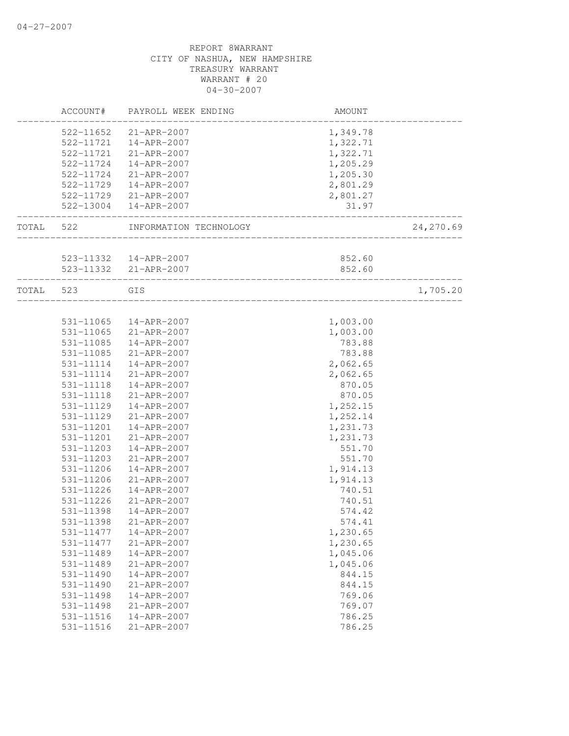|           |           | ACCOUNT# PAYROLL WEEK ENDING                           | AMOUNT           |           |
|-----------|-----------|--------------------------------------------------------|------------------|-----------|
|           |           | 522-11652 21-APR-2007                                  | 1,349.78         |           |
|           |           | 522-11721  14-APR-2007                                 | 1,322.71         |           |
|           |           | 522-11721 21-APR-2007                                  | 1,322.71         |           |
|           |           | 522-11724  14-APR-2007                                 | 1,205.29         |           |
|           |           | 522-11724 21-APR-2007                                  | 1,205.30         |           |
|           |           | 522-11729  14-APR-2007                                 | 2,801.29         |           |
|           |           | 522-11729 21-APR-2007                                  | 2,801.27         |           |
|           |           | 522-13004  14-APR-2007                                 | 31.97            |           |
| TOTAL 522 |           | INFORMATION TECHNOLOGY                                 | ________________ | 24,270.69 |
|           |           |                                                        |                  |           |
|           |           | 523-11332  14-APR-2007                                 | 852.60           |           |
|           |           | 523-11332 21-APR-2007<br>_____________________________ | 852.60           |           |
| TOTAL 523 |           | GIS                                                    |                  | 1,705.20  |
|           |           |                                                        |                  |           |
|           | 531-11065 | 14-APR-2007                                            | 1,003.00         |           |
|           |           | 531-11065 21-APR-2007                                  | 1,003.00         |           |
|           |           | 531-11085  14-APR-2007                                 | 783.88           |           |
|           |           | 531-11085 21-APR-2007                                  | 783.88           |           |
|           | 531-11114 | 14-APR-2007                                            | 2,062.65         |           |
|           |           | 531-11114 21-APR-2007                                  | 2,062.65         |           |
|           | 531-11118 | 14-APR-2007                                            | 870.05           |           |
|           | 531-11118 | 21-APR-2007                                            | 870.05           |           |
|           | 531-11129 | 14-APR-2007                                            | 1,252.15         |           |
|           | 531-11129 | 21-APR-2007                                            | 1,252.14         |           |
|           | 531-11201 | 14-APR-2007                                            | 1,231.73         |           |
|           | 531-11201 | 21-APR-2007                                            | 1,231.73         |           |
|           | 531-11203 | 14-APR-2007                                            | 551.70           |           |
|           | 531-11203 | 21-APR-2007                                            | 551.70           |           |
|           | 531-11206 | 14-APR-2007                                            | 1,914.13         |           |
|           | 531-11206 | 21-APR-2007                                            | 1,914.13         |           |
|           | 531-11226 | 14-APR-2007                                            | 740.51           |           |
|           | 531-11226 | 21-APR-2007                                            | 740.51           |           |
|           | 531-11398 | 14-APR-2007                                            | 574.42           |           |
|           | 531-11398 | 21-APR-2007                                            | 574.41           |           |
|           | 531-11477 | 14-APR-2007                                            | 1,230.65         |           |
|           | 531-11477 | 21-APR-2007                                            | 1,230.65         |           |
|           | 531-11489 | 14-APR-2007                                            | 1,045.06         |           |
|           | 531-11489 | 21-APR-2007                                            | 1,045.06         |           |
|           | 531-11490 | 14-APR-2007                                            | 844.15           |           |
|           | 531-11490 | $21 - APR - 2007$                                      | 844.15           |           |
|           | 531-11498 | $14 - APR - 2007$                                      | 769.06           |           |
|           | 531-11498 | 21-APR-2007                                            | 769.07           |           |
|           | 531-11516 | 14-APR-2007                                            | 786.25           |           |
|           | 531-11516 | 21-APR-2007                                            | 786.25           |           |
|           |           |                                                        |                  |           |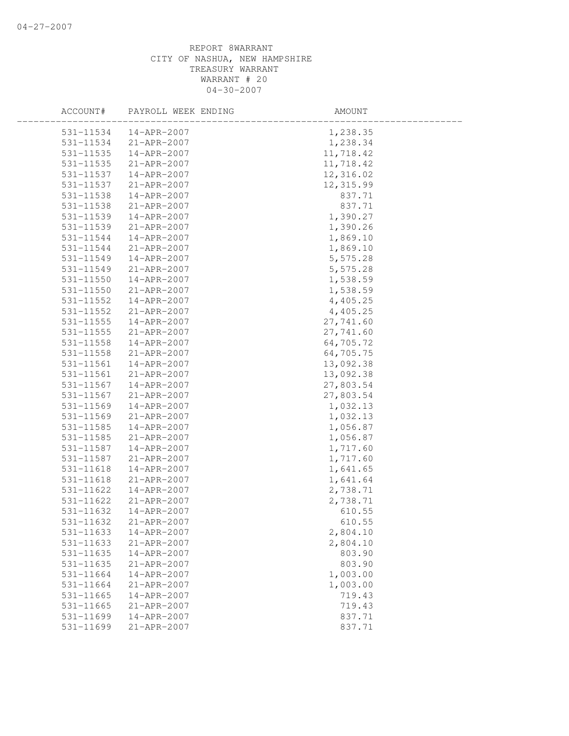| ACCOUNT#      | PAYROLL WEEK ENDING | AMOUNT    |  |
|---------------|---------------------|-----------|--|
| 531-11534     | 14-APR-2007         | 1,238.35  |  |
| 531-11534     | 21-APR-2007         | 1,238.34  |  |
| 531-11535     | 14-APR-2007         | 11,718.42 |  |
| 531-11535     | 21-APR-2007         | 11,718.42 |  |
| 531-11537     | 14-APR-2007         | 12,316.02 |  |
| 531-11537     | 21-APR-2007         | 12,315.99 |  |
| 531-11538     | 14-APR-2007         | 837.71    |  |
| 531-11538     | 21-APR-2007         | 837.71    |  |
| 531-11539     | 14-APR-2007         | 1,390.27  |  |
| 531-11539     | 21-APR-2007         | 1,390.26  |  |
| 531-11544     | 14-APR-2007         | 1,869.10  |  |
| 531-11544     | 21-APR-2007         | 1,869.10  |  |
| 531-11549     | 14-APR-2007         | 5,575.28  |  |
| 531-11549     | 21-APR-2007         | 5,575.28  |  |
| 531-11550     | 14-APR-2007         | 1,538.59  |  |
| 531-11550     | 21-APR-2007         | 1,538.59  |  |
| 531-11552     | 14-APR-2007         | 4,405.25  |  |
| 531-11552     | 21-APR-2007         | 4,405.25  |  |
| 531-11555     | 14-APR-2007         | 27,741.60 |  |
| $531 - 11555$ | 21-APR-2007         | 27,741.60 |  |
| 531-11558     | 14-APR-2007         | 64,705.72 |  |
| 531-11558     | 21-APR-2007         | 64,705.75 |  |
| 531-11561     | 14-APR-2007         | 13,092.38 |  |
| 531-11561     | 21-APR-2007         | 13,092.38 |  |
| 531-11567     | 14-APR-2007         | 27,803.54 |  |
| 531-11567     | 21-APR-2007         | 27,803.54 |  |
| 531-11569     | 14-APR-2007         | 1,032.13  |  |
| 531-11569     | 21-APR-2007         | 1,032.13  |  |
| 531-11585     | 14-APR-2007         | 1,056.87  |  |
| 531-11585     | 21-APR-2007         | 1,056.87  |  |
| 531-11587     | 14-APR-2007         | 1,717.60  |  |
| 531-11587     | 21-APR-2007         | 1,717.60  |  |
| 531-11618     | 14-APR-2007         | 1,641.65  |  |
| 531-11618     | 21-APR-2007         | 1,641.64  |  |
| 531-11622     | 14-APR-2007         | 2,738.71  |  |
| 531-11622     | $21 - APR - 2007$   | 2,738.71  |  |
| 531-11632     | 14-APR-2007         | 610.55    |  |
| 531-11632     | 21-APR-2007         | 610.55    |  |
| 531-11633     | 14-APR-2007         | 2,804.10  |  |
| 531-11633     | 21-APR-2007         | 2,804.10  |  |
| 531-11635     | 14-APR-2007         | 803.90    |  |
| 531-11635     | 21-APR-2007         | 803.90    |  |
| 531-11664     | 14-APR-2007         | 1,003.00  |  |
| 531-11664     | 21-APR-2007         | 1,003.00  |  |
| 531-11665     | 14-APR-2007         | 719.43    |  |
| 531-11665     | $21 - APR - 2007$   | 719.43    |  |
| 531-11699     | $14 - APR - 2007$   | 837.71    |  |
| 531-11699     | 21-APR-2007         | 837.71    |  |
|               |                     |           |  |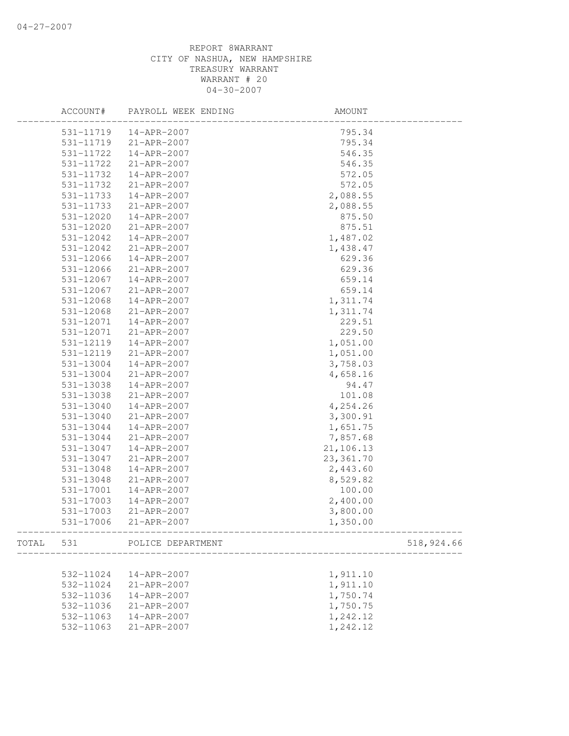|       | ACCOUNT#      | PAYROLL WEEK ENDING | AMOUNT     |            |
|-------|---------------|---------------------|------------|------------|
|       | 531-11719     | 14-APR-2007         | 795.34     |            |
|       | 531-11719     | 21-APR-2007         | 795.34     |            |
|       | 531-11722     | 14-APR-2007         | 546.35     |            |
|       | 531-11722     | 21-APR-2007         | 546.35     |            |
|       | 531-11732     | 14-APR-2007         | 572.05     |            |
|       | 531-11732     | 21-APR-2007         | 572.05     |            |
|       | 531-11733     | 14-APR-2007         | 2,088.55   |            |
|       | 531-11733     | 21-APR-2007         | 2,088.55   |            |
|       | 531-12020     | 14-APR-2007         | 875.50     |            |
|       | 531-12020     | 21-APR-2007         | 875.51     |            |
|       | 531-12042     | 14-APR-2007         | 1,487.02   |            |
|       | 531-12042     | 21-APR-2007         | 1,438.47   |            |
|       | 531-12066     | 14-APR-2007         | 629.36     |            |
|       | 531-12066     | 21-APR-2007         | 629.36     |            |
|       | 531-12067     | 14-APR-2007         | 659.14     |            |
|       | 531-12067     | 21-APR-2007         | 659.14     |            |
|       | 531-12068     | 14-APR-2007         | 1,311.74   |            |
|       | $531 - 12068$ | 21-APR-2007         | 1,311.74   |            |
|       | 531-12071     | 14-APR-2007         | 229.51     |            |
|       | 531-12071     | 21-APR-2007         | 229.50     |            |
|       | 531-12119     | 14-APR-2007         | 1,051.00   |            |
|       | 531-12119     | 21-APR-2007         | 1,051.00   |            |
|       | 531-13004     | 14-APR-2007         | 3,758.03   |            |
|       | 531-13004     | 21-APR-2007         | 4,658.16   |            |
|       | 531-13038     | 14-APR-2007         | 94.47      |            |
|       | 531-13038     | 21-APR-2007         | 101.08     |            |
|       | 531-13040     | 14-APR-2007         | 4,254.26   |            |
|       | 531-13040     | 21-APR-2007         | 3,300.91   |            |
|       | 531-13044     | 14-APR-2007         | 1,651.75   |            |
|       | 531-13044     | 21-APR-2007         | 7,857.68   |            |
|       | 531-13047     | 14-APR-2007         | 21,106.13  |            |
|       | 531-13047     | 21-APR-2007         | 23, 361.70 |            |
|       | 531-13048     | 14-APR-2007         | 2,443.60   |            |
|       | 531-13048     | 21-APR-2007         | 8,529.82   |            |
|       | 531-17001     | 14-APR-2007         | 100.00     |            |
|       | 531-17003     | 14-APR-2007         | 2,400.00   |            |
|       | 531-17003     | 21-APR-2007         | 3,800.00   |            |
|       | 531-17006     | 21-APR-2007         | 1,350.00   |            |
| TOTAL | 531           | POLICE DEPARTMENT   |            | 518,924.66 |
|       |               |                     |            |            |
|       | 532-11024     | 14-APR-2007         | 1,911.10   |            |
|       | 532-11024     | 21-APR-2007         | 1,911.10   |            |
|       | 532-11036     | 14-APR-2007         | 1,750.74   |            |
|       | 532-11036     | 21-APR-2007         | 1,750.75   |            |
|       | 532-11063     | 14-APR-2007         | 1,242.12   |            |
|       | 532-11063     | 21-APR-2007         | 1,242.12   |            |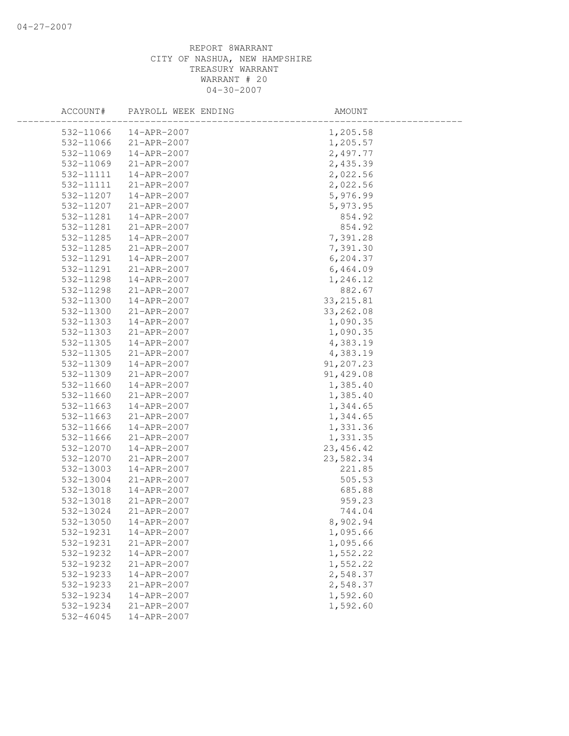| ACCOUNT#  | PAYROLL WEEK ENDING | AMOUNT     |  |
|-----------|---------------------|------------|--|
| 532-11066 | 14-APR-2007         | 1,205.58   |  |
| 532-11066 | 21-APR-2007         | 1,205.57   |  |
| 532-11069 | 14-APR-2007         | 2,497.77   |  |
| 532-11069 | 21-APR-2007         | 2,435.39   |  |
| 532-11111 | 14-APR-2007         | 2,022.56   |  |
| 532-11111 | 21-APR-2007         | 2,022.56   |  |
| 532-11207 | 14-APR-2007         | 5,976.99   |  |
| 532-11207 | 21-APR-2007         | 5,973.95   |  |
| 532-11281 | 14-APR-2007         | 854.92     |  |
| 532-11281 | 21-APR-2007         | 854.92     |  |
| 532-11285 | 14-APR-2007         | 7,391.28   |  |
| 532-11285 | 21-APR-2007         | 7,391.30   |  |
| 532-11291 | 14-APR-2007         | 6, 204.37  |  |
| 532-11291 | 21-APR-2007         | 6,464.09   |  |
| 532-11298 | 14-APR-2007         | 1,246.12   |  |
| 532-11298 | $21 - APR - 2007$   | 882.67     |  |
| 532-11300 | 14-APR-2007         | 33, 215.81 |  |
| 532-11300 | 21-APR-2007         | 33, 262.08 |  |
| 532-11303 | 14-APR-2007         | 1,090.35   |  |
| 532-11303 | 21-APR-2007         | 1,090.35   |  |
| 532-11305 | $14 - APR - 2007$   | 4,383.19   |  |
| 532-11305 | 21-APR-2007         | 4,383.19   |  |
| 532-11309 | 14-APR-2007         | 91,207.23  |  |
| 532-11309 | 21-APR-2007         | 91,429.08  |  |
| 532-11660 | 14-APR-2007         | 1,385.40   |  |
| 532-11660 | 21-APR-2007         | 1,385.40   |  |
| 532-11663 | 14-APR-2007         | 1,344.65   |  |
| 532-11663 | 21-APR-2007         | 1,344.65   |  |
| 532-11666 | 14-APR-2007         | 1,331.36   |  |
| 532-11666 | 21-APR-2007         | 1,331.35   |  |
| 532-12070 | 14-APR-2007         | 23, 456.42 |  |
| 532-12070 | 21-APR-2007         | 23,582.34  |  |
| 532-13003 | 14-APR-2007         | 221.85     |  |
| 532-13004 | 21-APR-2007         | 505.53     |  |
| 532-13018 | 14-APR-2007         | 685.88     |  |
| 532-13018 | 21-APR-2007         | 959.23     |  |
| 532-13024 | 21-APR-2007         | 744.04     |  |
| 532-13050 | 14-APR-2007         | 8,902.94   |  |
| 532-19231 | 14-APR-2007         | 1,095.66   |  |
| 532-19231 | 21-APR-2007         | 1,095.66   |  |
| 532-19232 | 14-APR-2007         | 1,552.22   |  |
| 532-19232 | 21-APR-2007         | 1,552.22   |  |
| 532-19233 | 14-APR-2007         | 2,548.37   |  |
| 532-19233 | 21-APR-2007         | 2,548.37   |  |
| 532-19234 | 14-APR-2007         | 1,592.60   |  |
| 532-19234 | 21-APR-2007         | 1,592.60   |  |
| 532-46045 | 14-APR-2007         |            |  |
|           |                     |            |  |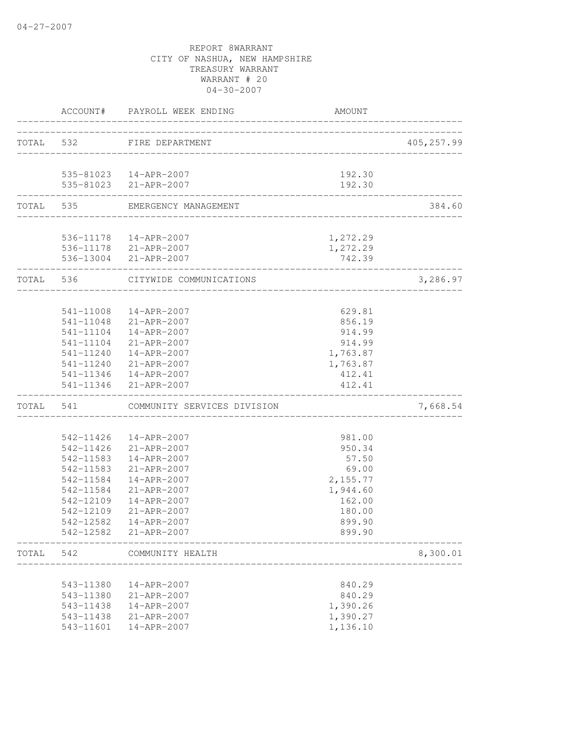|           |           | ACCOUNT# PAYROLL WEEK ENDING                    | <b>AMOUNT</b>    |             |
|-----------|-----------|-------------------------------------------------|------------------|-------------|
| TOTAL 532 |           | FIRE DEPARTMENT                                 |                  | 405, 257.99 |
|           |           |                                                 |                  |             |
|           |           | 535-81023  14-APR-2007                          | 192.30           |             |
|           |           | 535-81023 21-APR-2007                           | 192.30           |             |
|           |           | TOTAL 535 EMERGENCY MANAGEMENT                  |                  | 384.60      |
|           |           | 536-11178  14-APR-2007                          | 1,272.29         |             |
|           |           | 536-11178 21-APR-2007                           | 1,272.29         |             |
|           |           | 536-13004 21-APR-2007                           | 742.39           |             |
|           | TOTAL 536 | CITYWIDE COMMUNICATIONS                         |                  | 3,286.97    |
|           |           |                                                 |                  |             |
|           |           | 541-11008  14-APR-2007                          | 629.81           |             |
|           |           | 541-11048 21-APR-2007<br>541-11104  14-APR-2007 | 856.19           |             |
|           |           | 541-11104 21-APR-2007                           | 914.99<br>914.99 |             |
|           |           | 541-11240  14-APR-2007                          | 1,763.87         |             |
|           |           | 541-11240 21-APR-2007                           | 1,763.87         |             |
|           |           |                                                 | 412.41           |             |
|           |           | 541-11346  14-APR-2007<br>541-11346 21-APR-2007 | 412.41           |             |
| TOTAL     | 541       | COMMUNITY SERVICES DIVISION                     |                  | 7,668.54    |
|           |           |                                                 |                  |             |
|           |           | 542-11426  14-APR-2007                          | 981.00           |             |
|           |           | 542-11426 21-APR-2007                           | 950.34           |             |
|           | 542-11583 | 14-APR-2007                                     | 57.50            |             |
|           | 542-11583 | 21-APR-2007                                     | 69.00            |             |
|           | 542-11584 | 14-APR-2007                                     | 2,155.77         |             |
|           | 542-11584 | $21 - APR - 2007$                               | 1,944.60         |             |
|           | 542-12109 | 14-APR-2007                                     | 162.00           |             |
|           | 542-12109 | 21-APR-2007                                     | 180.00           |             |
|           | 542-12582 | 14-APR-2007                                     | 899.90           |             |
|           | 542-12582 | 21-APR-2007                                     | 899.90           |             |
| TOTAL     | 542       | COMMUNITY HEALTH                                |                  | 8,300.01    |
|           | 543-11380 | 14-APR-2007                                     | 840.29           |             |
|           | 543-11380 | 21-APR-2007                                     | 840.29           |             |
|           | 543-11438 | 14-APR-2007                                     | 1,390.26         |             |
|           | 543-11438 | 21-APR-2007                                     | 1,390.27         |             |
|           | 543-11601 | 14-APR-2007                                     | 1,136.10         |             |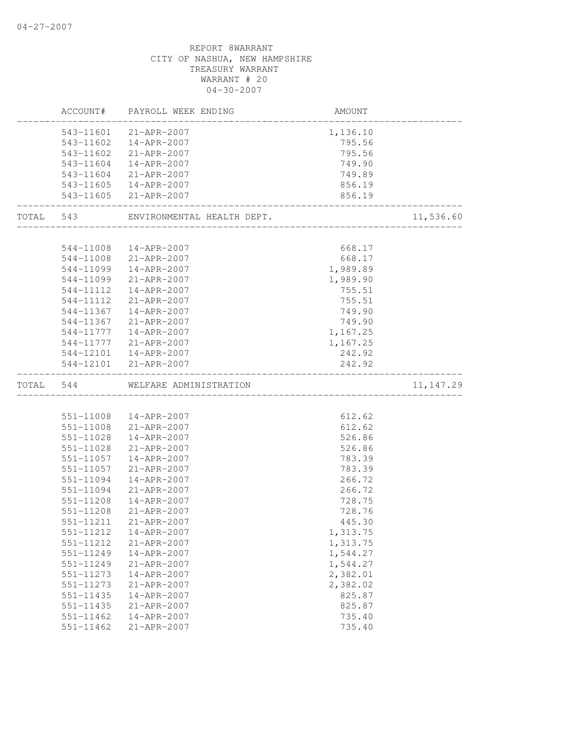|           |           | ACCOUNT# PAYROLL WEEK ENDING | AMOUNT   |            |
|-----------|-----------|------------------------------|----------|------------|
|           | 543-11601 | 21-APR-2007                  | 1,136.10 |            |
|           | 543-11602 | 14-APR-2007                  | 795.56   |            |
|           | 543-11602 | 21-APR-2007                  | 795.56   |            |
|           | 543-11604 | 14-APR-2007                  | 749.90   |            |
|           | 543-11604 | 21-APR-2007                  | 749.89   |            |
|           |           | 543-11605  14-APR-2007       | 856.19   |            |
|           |           | 543-11605 21-APR-2007        | 856.19   |            |
| TOTAL 543 |           | ENVIRONMENTAL HEALTH DEPT.   |          | 11,536.60  |
|           |           |                              |          |            |
|           |           | 544-11008  14-APR-2007       | 668.17   |            |
|           |           | 544-11008 21-APR-2007        | 668.17   |            |
|           |           | 544-11099  14-APR-2007       | 1,989.89 |            |
|           |           | 544-11099 21-APR-2007        | 1,989.90 |            |
|           | 544-11112 | 14-APR-2007                  | 755.51   |            |
|           | 544-11112 | 21-APR-2007                  | 755.51   |            |
|           | 544-11367 | 14-APR-2007                  | 749.90   |            |
|           | 544-11367 | 21-APR-2007                  | 749.90   |            |
|           | 544-11777 | $14 - APR - 2007$            | 1,167.25 |            |
|           | 544-11777 | 21-APR-2007                  | 1,167.25 |            |
|           | 544-12101 | 14-APR-2007                  | 242.92   |            |
|           |           | 544-12101 21-APR-2007        | 242.92   |            |
| TOTAL 544 |           | WELFARE ADMINISTRATION       |          | 11, 147.29 |
|           |           |                              |          |            |
|           |           | 551-11008  14-APR-2007       | 612.62   |            |
|           | 551-11008 | 21-APR-2007                  | 612.62   |            |
|           | 551-11028 | 14-APR-2007                  | 526.86   |            |
|           | 551-11028 | 21-APR-2007                  | 526.86   |            |
|           | 551-11057 | 14-APR-2007                  | 783.39   |            |
|           | 551-11057 | 21-APR-2007                  | 783.39   |            |
|           | 551-11094 | 14-APR-2007                  | 266.72   |            |
|           | 551-11094 | 21-APR-2007                  | 266.72   |            |
|           | 551-11208 | 14-APR-2007                  | 728.75   |            |
|           | 551-11208 | 21-APR-2007                  | 728.76   |            |
|           | 551-11211 | 21-APR-2007                  | 445.30   |            |
|           | 551-11212 | 14-APR-2007                  | 1,313.75 |            |
|           | 551-11212 | 21-APR-2007                  | 1,313.75 |            |
|           | 551-11249 | 14-APR-2007                  | 1,544.27 |            |
|           | 551-11249 | 21-APR-2007                  | 1,544.27 |            |
|           | 551-11273 | 14-APR-2007                  | 2,382.01 |            |
|           | 551-11273 | 21-APR-2007                  | 2,382.02 |            |
|           | 551-11435 | 14-APR-2007                  | 825.87   |            |
|           | 551-11435 | 21-APR-2007                  | 825.87   |            |
|           | 551-11462 | 14-APR-2007                  | 735.40   |            |
|           | 551-11462 | 21-APR-2007                  | 735.40   |            |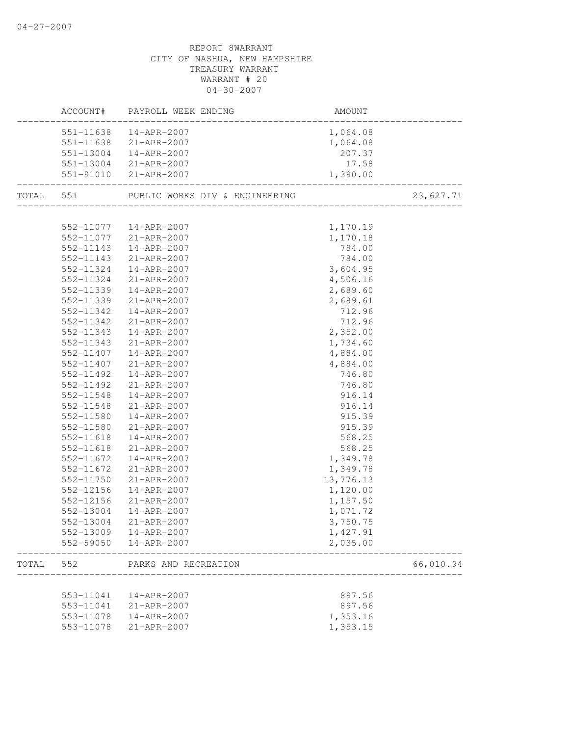# CITY OF NASHUA, NEW HAMPSHIRE TREASURY WARRANT WARRANT # 20 04-30-2007 ACCOUNT# PAYROLL WEEK ENDING AMOUNT -------------------------------------------------------------------------------- 551-11638 14-APR-2007 1,064.08 551-11638 21-APR-2007 1,064.08 551-13004 14-APR-2007 207.37 551-13004 21-APR-2007 17.58 551-91010 21-APR-2007 1,390.00 -------------------------------------------------------------------------------- TOTAL 551 PUBLIC WORKS DIV & ENGINEERING 23,627.71 -------------------------------------------------------------------------------- 552-11077 14-APR-2007 1,170.19 552-11077 21-APR-2007 1,170.18 552-11143 14-APR-2007 784.00 552-11143 21-APR-2007 784.00 552-11324 14-APR-2007 3,604.95 552-11324 21-APR-2007 4,506.16 552-11339 14-APR-2007 2,689.60 552-11339 21-APR-2007 2,689.61 552-11342 14-APR-2007 712.96 552-11342 21-APR-2007 712.96 552-11343 14-APR-2007 2,352.00 552-11343 21-APR-2007 1,734.60 552-11407 14-APR-2007 4,884.00 552-11407 21-APR-2007 4,884.00 552-11492 14-APR-2007 746.80 552-11492 21-APR-2007 746.80 552-11548 14-APR-2007 916.14 552-11548 21-APR-2007 916.14 552-11580 14-APR-2007 915.39 552-11580 21-APR-2007 915.39 552-11618 14-APR-2007 568.25 552-11618 21-APR-2007 568.25 552-11672 14-APR-2007 1,349.78 552-11672 21-APR-2007 1,349.78 552-11750 21-APR-2007 13,776.13 552-12156 14-APR-2007 1,120.00 552-12156 21-APR-2007 1,157.50 552-13004 14-APR-2007 1,071.72 552-13004 21-APR-2007 3,750.75 552-13009 14-APR-2007 1,427.91 552-59050 14-APR-2007 2,035.00 -------------------------------------------------------------------------------- TOTAL 552 PARKS AND RECREATION 66,010.94 -------------------------------------------------------------------------------- 553-11041 14-APR-2007 897.56 553-11041 21-APR-2007 897.56 553-11078 14-APR-2007 1,353.16 553-11078 21-APR-2007 1,353.15

# REPORT 8WARRANT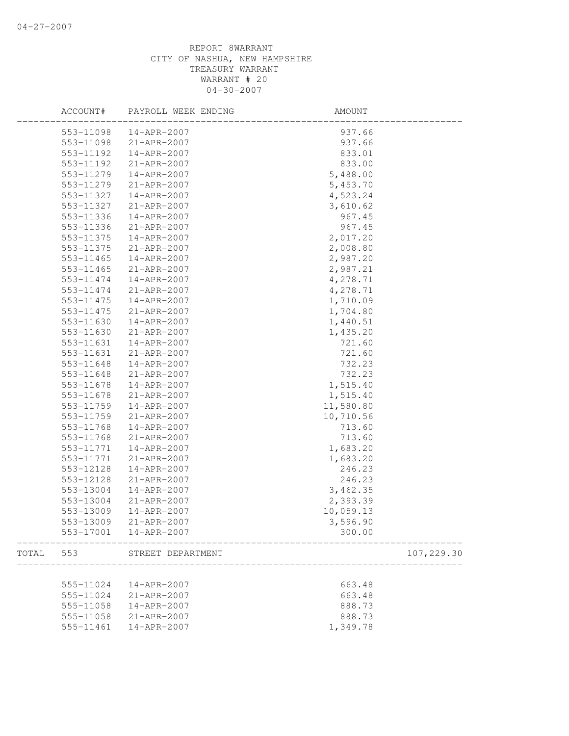|       | ACCOUNT#  | PAYROLL WEEK ENDING | AMOUNT    |            |
|-------|-----------|---------------------|-----------|------------|
|       | 553-11098 | 14-APR-2007         | 937.66    |            |
|       | 553-11098 | 21-APR-2007         | 937.66    |            |
|       | 553-11192 | 14-APR-2007         | 833.01    |            |
|       | 553-11192 | 21-APR-2007         | 833.00    |            |
|       | 553-11279 | 14-APR-2007         | 5,488.00  |            |
|       | 553-11279 | 21-APR-2007         | 5,453.70  |            |
|       | 553-11327 | 14-APR-2007         | 4,523.24  |            |
|       | 553-11327 | 21-APR-2007         | 3,610.62  |            |
|       | 553-11336 | 14-APR-2007         | 967.45    |            |
|       | 553-11336 | 21-APR-2007         | 967.45    |            |
|       | 553-11375 | 14-APR-2007         | 2,017.20  |            |
|       | 553-11375 | 21-APR-2007         | 2,008.80  |            |
|       | 553-11465 | 14-APR-2007         | 2,987.20  |            |
|       | 553-11465 | 21-APR-2007         | 2,987.21  |            |
|       | 553-11474 | 14-APR-2007         | 4,278.71  |            |
|       | 553-11474 | 21-APR-2007         | 4,278.71  |            |
|       | 553-11475 | 14-APR-2007         | 1,710.09  |            |
|       | 553-11475 | 21-APR-2007         | 1,704.80  |            |
|       | 553-11630 | 14-APR-2007         | 1,440.51  |            |
|       | 553-11630 | $21 - APR - 2007$   | 1,435.20  |            |
|       | 553-11631 | 14-APR-2007         | 721.60    |            |
|       | 553-11631 | 21-APR-2007         | 721.60    |            |
|       | 553-11648 | 14-APR-2007         | 732.23    |            |
|       | 553-11648 | 21-APR-2007         | 732.23    |            |
|       | 553-11678 | 14-APR-2007         | 1,515.40  |            |
|       | 553-11678 | 21-APR-2007         | 1,515.40  |            |
|       | 553-11759 | 14-APR-2007         | 11,580.80 |            |
|       | 553-11759 | 21-APR-2007         | 10,710.56 |            |
|       | 553-11768 | 14-APR-2007         | 713.60    |            |
|       | 553-11768 | 21-APR-2007         | 713.60    |            |
|       | 553-11771 | 14-APR-2007         | 1,683.20  |            |
|       | 553-11771 | 21-APR-2007         | 1,683.20  |            |
|       | 553-12128 | 14-APR-2007         | 246.23    |            |
|       | 553-12128 | $21 - APR - 2007$   | 246.23    |            |
|       | 553-13004 | 14-APR-2007         | 3,462.35  |            |
|       | 553-13004 | 21-APR-2007         | 2,393.39  |            |
|       | 553-13009 | 14-APR-2007         | 10,059.13 |            |
|       |           |                     | 3,596.90  |            |
|       | 553-13009 | $21 - APR - 2007$   |           |            |
|       | 553-17001 | 14-APR-2007         | 300.00    |            |
| TOTAL | 553       | STREET DEPARTMENT   |           | 107,229.30 |
|       |           |                     |           |            |
|       | 555-11024 | 14-APR-2007         | 663.48    |            |
|       | 555-11024 | 21-APR-2007         | 663.48    |            |
|       | 555-11058 | 14-APR-2007         | 888.73    |            |
|       | 555-11058 | 21-APR-2007         | 888.73    |            |
|       | 555-11461 | 14-APR-2007         | 1,349.78  |            |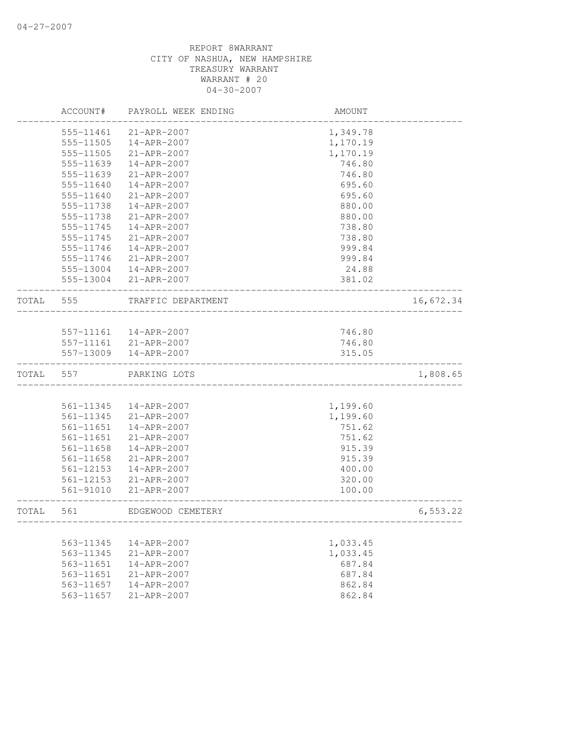|       | ACCOUNT#  | PAYROLL WEEK ENDING    | AMOUNT                  |           |
|-------|-----------|------------------------|-------------------------|-----------|
|       | 555-11461 | 21-APR-2007            | 1,349.78                |           |
|       | 555-11505 | 14-APR-2007            | 1,170.19                |           |
|       | 555-11505 | 21-APR-2007            | 1,170.19                |           |
|       | 555-11639 | 14-APR-2007            | 746.80                  |           |
|       | 555-11639 | 21-APR-2007            | 746.80                  |           |
|       | 555-11640 | 14-APR-2007            | 695.60                  |           |
|       | 555-11640 | 21-APR-2007            | 695.60                  |           |
|       | 555-11738 | 14-APR-2007            | 880.00                  |           |
|       | 555-11738 | 21-APR-2007            | 880.00                  |           |
|       | 555-11745 | 14-APR-2007            | 738.80                  |           |
|       | 555-11745 | $21 - APR - 2007$      | 738.80                  |           |
|       | 555-11746 | 14-APR-2007            | 999.84                  |           |
|       | 555-11746 | 21-APR-2007            | 999.84                  |           |
|       |           | 555-13004  14-APR-2007 | 24.88                   |           |
|       |           | 555-13004 21-APR-2007  | 381.02                  |           |
| TOTAL | 555       | TRAFFIC DEPARTMENT     |                         | 16,672.34 |
|       |           |                        |                         |           |
|       |           | 557-11161  14-APR-2007 | 746.80                  |           |
|       |           | 557-11161 21-APR-2007  | 746.80                  |           |
|       |           | 557-13009  14-APR-2007 | 315.05<br>_____________ |           |
| TOTAL | 557       | PARKING LOTS           |                         | 1,808.65  |
|       |           |                        |                         |           |
|       | 561-11345 | 14-APR-2007            | 1,199.60                |           |
|       | 561-11345 | 21-APR-2007            | 1,199.60                |           |
|       | 561-11651 | 14-APR-2007            | 751.62                  |           |
|       | 561-11651 | 21-APR-2007            | 751.62                  |           |
|       | 561-11658 | 14-APR-2007            | 915.39                  |           |
|       | 561-11658 | 21-APR-2007            | 915.39                  |           |
|       | 561-12153 | 14-APR-2007            | 400.00                  |           |
|       | 561-12153 | $21 - APR - 2007$      | 320.00                  |           |
|       | 561-91010 | 21-APR-2007            | 100.00                  |           |
| TOTAL | 561       | EDGEWOOD CEMETERY      |                         | 6, 553.22 |
|       |           |                        |                         |           |
|       | 563-11345 | 14-APR-2007            | 1,033.45                |           |
|       | 563-11345 | 21-APR-2007            | 1,033.45                |           |
|       | 563-11651 | 14-APR-2007            | 687.84                  |           |
|       | 563-11651 | 21-APR-2007            | 687.84                  |           |
|       | 563-11657 | $14 - APR - 2007$      | 862.84                  |           |
|       | 563-11657 | 21-APR-2007            | 862.84                  |           |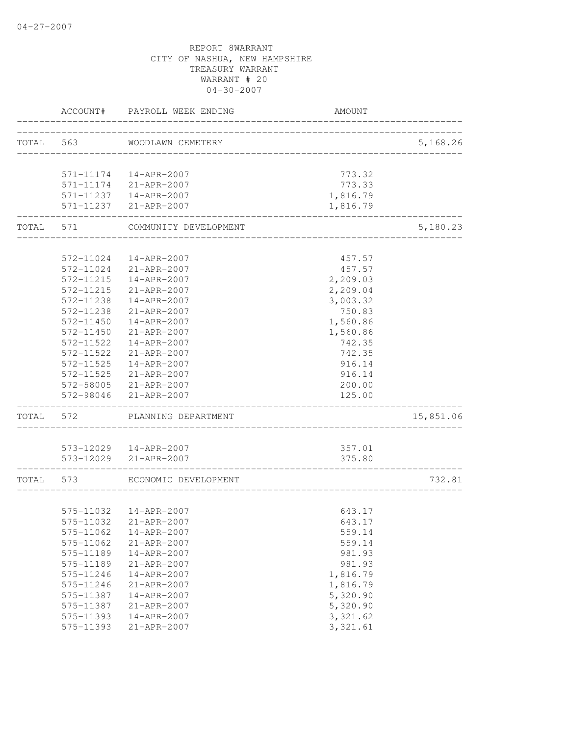|           | ACCOUNT#  | PAYROLL WEEK ENDING         | <b>AMOUNT</b> |           |
|-----------|-----------|-----------------------------|---------------|-----------|
|           |           | TOTAL 563 WOODLAWN CEMETERY |               | 5,168.26  |
|           |           |                             |               |           |
|           |           | 571-11174  14-APR-2007      | 773.32        |           |
|           |           | 571-11174 21-APR-2007       | 773.33        |           |
|           |           | 571-11237  14-APR-2007      | 1,816.79      |           |
|           |           | 571-11237 21-APR-2007       | 1,816.79      |           |
| TOTAL     | 571       | COMMUNITY DEVELOPMENT       |               | 5,180.23  |
|           | 572-11024 | 14-APR-2007                 | 457.57        |           |
|           | 572-11024 | 21-APR-2007                 | 457.57        |           |
|           | 572-11215 | 14-APR-2007                 | 2,209.03      |           |
|           | 572-11215 | 21-APR-2007                 | 2,209.04      |           |
|           | 572-11238 | 14-APR-2007                 | 3,003.32      |           |
|           | 572-11238 | $21 - APR - 2007$           | 750.83        |           |
|           | 572-11450 | 14-APR-2007                 | 1,560.86      |           |
|           | 572-11450 | 21-APR-2007                 | 1,560.86      |           |
|           | 572-11522 | $14 - APR - 2007$           | 742.35        |           |
|           | 572-11522 | 21-APR-2007                 | 742.35        |           |
|           | 572-11525 | 14-APR-2007                 | 916.14        |           |
|           |           | 572-11525 21-APR-2007       | 916.14        |           |
|           |           | 572-58005 21-APR-2007       | 200.00        |           |
|           | 572-98046 | 21-APR-2007                 | 125.00        |           |
| TOTAL     | 572       | PLANNING DEPARTMENT         |               | 15,851.06 |
|           |           | 573-12029  14-APR-2007      | 357.01        |           |
|           |           | 573-12029 21-APR-2007       | 375.80        |           |
| TOTAL 573 |           | ECONOMIC DEVELOPMENT        |               | 732.81    |
|           |           |                             |               |           |
|           |           | 575-11032  14-APR-2007      | 643.17        |           |
|           |           | 575-11032 21-APR-2007       | 643.17        |           |
|           | 575-11062 | 14-APR-2007                 | 559.14        |           |
|           | 575-11062 | 21-APR-2007                 | 559.14        |           |
|           | 575-11189 | 14-APR-2007                 | 981.93        |           |
|           | 575-11189 | 21-APR-2007                 | 981.93        |           |
|           | 575-11246 | 14-APR-2007                 | 1,816.79      |           |
|           | 575-11246 | 21-APR-2007                 | 1,816.79      |           |
|           | 575-11387 | 14-APR-2007                 | 5,320.90      |           |
|           | 575-11387 | 21-APR-2007                 | 5,320.90      |           |
|           | 575-11393 | 14-APR-2007                 | 3,321.62      |           |
|           | 575-11393 | 21-APR-2007                 | 3,321.61      |           |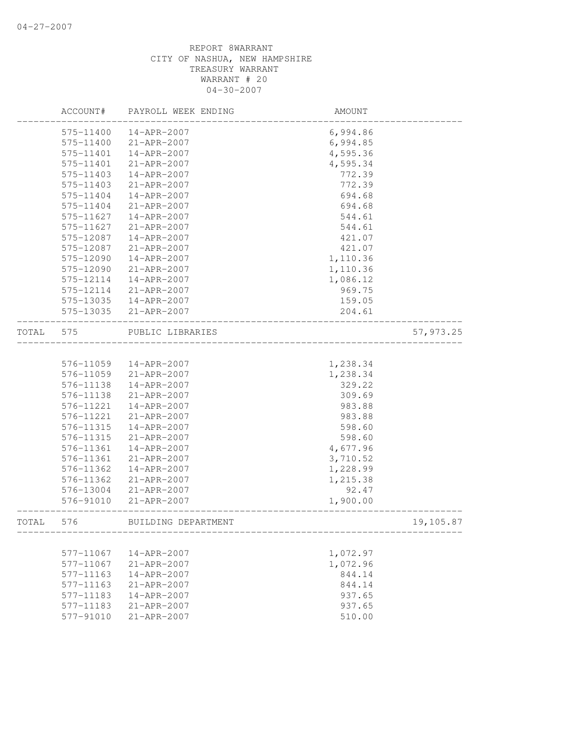|       | ACCOUNT#  | PAYROLL WEEK ENDING | AMOUNT                        |            |
|-------|-----------|---------------------|-------------------------------|------------|
|       | 575-11400 | $14 - APR - 2007$   | 6,994.86                      |            |
|       | 575-11400 | 21-APR-2007         | 6,994.85                      |            |
|       | 575-11401 | 14-APR-2007         | 4,595.36                      |            |
|       | 575-11401 | 21-APR-2007         | 4,595.34                      |            |
|       | 575-11403 | 14-APR-2007         | 772.39                        |            |
|       | 575-11403 | 21-APR-2007         | 772.39                        |            |
|       | 575-11404 | 14-APR-2007         | 694.68                        |            |
|       | 575-11404 | 21-APR-2007         | 694.68                        |            |
|       | 575-11627 | 14-APR-2007         | 544.61                        |            |
|       | 575-11627 | 21-APR-2007         | 544.61                        |            |
|       | 575-12087 | 14-APR-2007         | 421.07                        |            |
|       | 575-12087 | 21-APR-2007         | 421.07                        |            |
|       | 575-12090 | 14-APR-2007         | 1,110.36                      |            |
|       | 575-12090 | 21-APR-2007         | 1,110.36                      |            |
|       | 575-12114 | 14-APR-2007         | 1,086.12                      |            |
|       | 575-12114 | 21-APR-2007         | 969.75                        |            |
|       | 575-13035 | 14-APR-2007         | 159.05                        |            |
|       | 575-13035 | 21-APR-2007         | 204.61                        |            |
| TOTAL | 575       | PUBLIC LIBRARIES    | _____________________________ | 57, 973.25 |
|       |           |                     |                               |            |
|       | 576-11059 | 14-APR-2007         | 1,238.34                      |            |
|       | 576-11059 | 21-APR-2007         | 1,238.34                      |            |
|       | 576-11138 | 14-APR-2007         | 329.22                        |            |
|       | 576-11138 | 21-APR-2007         | 309.69                        |            |
|       | 576-11221 | 14-APR-2007         | 983.88                        |            |
|       | 576-11221 | 21-APR-2007         | 983.88                        |            |
|       | 576-11315 | 14-APR-2007         | 598.60                        |            |
|       | 576-11315 | 21-APR-2007         | 598.60                        |            |
|       | 576-11361 | 14-APR-2007         | 4,677.96                      |            |
|       | 576-11361 | 21-APR-2007         | 3,710.52                      |            |
|       | 576-11362 | 14-APR-2007         | 1,228.99                      |            |
|       | 576-11362 | 21-APR-2007         | 1,215.38                      |            |
|       | 576-13004 | $21 - APR - 2007$   | 92.47                         |            |
|       | 576-91010 | 21-APR-2007         | 1,900.00                      |            |
| TOTAL | 576       | BUILDING DEPARTMENT |                               | 19,105.87  |
|       |           |                     |                               |            |
|       | 577-11067 | 14-APR-2007         | 1,072.97                      |            |
|       | 577-11067 | 21-APR-2007         | 1,072.96                      |            |
|       | 577-11163 | 14-APR-2007         | 844.14                        |            |
|       | 577-11163 | 21-APR-2007         | 844.14                        |            |
|       | 577-11183 | 14-APR-2007         | 937.65                        |            |
|       | 577-11183 | 21-APR-2007         | 937.65                        |            |
|       | 577-91010 | 21-APR-2007         | 510.00                        |            |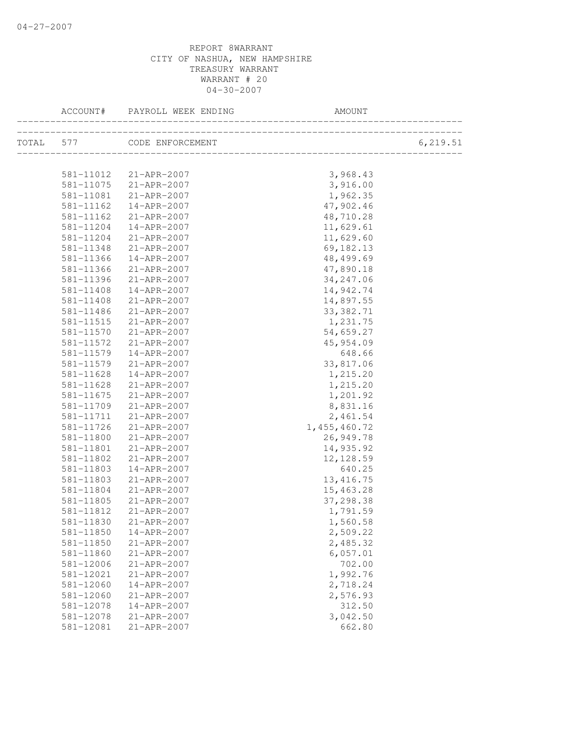| ACCOUNT#      | PAYROLL WEEK ENDING        | AMOUNT         |          |
|---------------|----------------------------|----------------|----------|
|               | TOTAL 577 CODE ENFORCEMENT |                | 6,219.51 |
|               |                            |                |          |
|               | 581-11012 21-APR-2007      | 3,968.43       |          |
| 581-11075     | 21-APR-2007                | 3,916.00       |          |
| 581-11081     | $21 - APR - 2007$          | 1,962.35       |          |
| $581 - 11162$ | 14-APR-2007                | 47,902.46      |          |
| 581-11162     | $21 - APR - 2007$          | 48,710.28      |          |
| 581-11204     | $14 - APR - 2007$          | 11,629.61      |          |
| 581-11204     | 21-APR-2007                | 11,629.60      |          |
| 581-11348     | $21 - APR - 2007$          | 69,182.13      |          |
| 581-11366     | 14-APR-2007                | 48, 499.69     |          |
| 581-11366     | 21-APR-2007                | 47,890.18      |          |
| 581-11396     | 21-APR-2007                | 34, 247.06     |          |
| 581-11408     | 14-APR-2007                | 14,942.74      |          |
| 581-11408     | 21-APR-2007                | 14,897.55      |          |
| 581-11486     | 21-APR-2007                | 33, 382.71     |          |
| 581-11515     | 21-APR-2007                | 1,231.75       |          |
| 581-11570     | 21-APR-2007                | 54,659.27      |          |
| 581-11572     | 21-APR-2007                | 45,954.09      |          |
| 581-11579     | 14-APR-2007                | 648.66         |          |
| 581-11579     | 21-APR-2007                | 33,817.06      |          |
| 581-11628     | 14-APR-2007                | 1,215.20       |          |
| 581-11628     | $21 - APR - 2007$          | 1,215.20       |          |
| 581-11675     | 21-APR-2007                | 1,201.92       |          |
| 581-11709     | $21 - APR - 2007$          | 8,831.16       |          |
| 581-11711     | $21 - APR - 2007$          | 2,461.54       |          |
| 581-11726     | 21-APR-2007                | 1, 455, 460.72 |          |
| 581-11800     | 21-APR-2007                | 26,949.78      |          |
| 581-11801     | 21-APR-2007                | 14,935.92      |          |
| 581-11802     | 21-APR-2007                | 12, 128.59     |          |
| 581-11803     | 14-APR-2007                | 640.25         |          |
| 581-11803     | 21-APR-2007                | 13, 416.75     |          |
| 581-11804     | 21-APR-2007                | 15,463.28      |          |
| 581-11805     | 21-APR-2007                | 37,298.38      |          |
| 581-11812     | 21-APR-2007                | 1,791.59       |          |
| 581-11830     | 21-APR-2007                | 1,560.58       |          |
| 581-11850     | 14-APR-2007                | 2,509.22       |          |
| 581-11850     | 21-APR-2007                | 2,485.32       |          |
| 581-11860     | 21-APR-2007                | 6,057.01       |          |
| 581-12006     | 21-APR-2007                | 702.00         |          |
| 581-12021     | 21-APR-2007                | 1,992.76       |          |
| 581-12060     | 14-APR-2007                | 2,718.24       |          |
| 581-12060     | 21-APR-2007                | 2,576.93       |          |
| 581-12078     | 14-APR-2007                | 312.50         |          |
| 581-12078     | 21-APR-2007                | 3,042.50       |          |
| 581-12081     | 21-APR-2007                | 662.80         |          |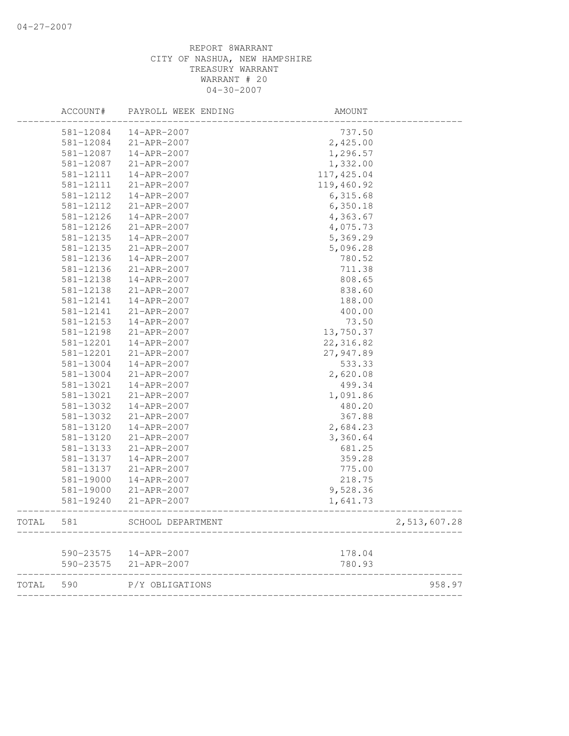|       | ACCOUNT#  | PAYROLL WEEK ENDING    | AMOUNT      |              |
|-------|-----------|------------------------|-------------|--------------|
|       | 581-12084 | 14-APR-2007            | 737.50      |              |
|       | 581-12084 | 21-APR-2007            | 2,425.00    |              |
|       | 581-12087 | 14-APR-2007            | 1,296.57    |              |
|       | 581-12087 | 21-APR-2007            | 1,332.00    |              |
|       | 581-12111 | 14-APR-2007            | 117, 425.04 |              |
|       | 581-12111 | 21-APR-2007            | 119,460.92  |              |
|       | 581-12112 | 14-APR-2007            | 6,315.68    |              |
|       | 581-12112 | 21-APR-2007            | 6,350.18    |              |
|       | 581-12126 | 14-APR-2007            | 4,363.67    |              |
|       | 581-12126 | 21-APR-2007            | 4,075.73    |              |
|       | 581-12135 | 14-APR-2007            | 5,369.29    |              |
|       | 581-12135 | 21-APR-2007            | 5,096.28    |              |
|       | 581-12136 | 14-APR-2007            | 780.52      |              |
|       | 581-12136 | 21-APR-2007            | 711.38      |              |
|       | 581-12138 | 14-APR-2007            | 808.65      |              |
|       | 581-12138 | 21-APR-2007            | 838.60      |              |
|       | 581-12141 | 14-APR-2007            | 188.00      |              |
|       | 581-12141 | 21-APR-2007            | 400.00      |              |
|       | 581-12153 | 14-APR-2007            | 73.50       |              |
|       | 581-12198 | $21 - APR - 2007$      | 13,750.37   |              |
|       | 581-12201 | 14-APR-2007            | 22, 316.82  |              |
|       | 581-12201 | 21-APR-2007            | 27,947.89   |              |
|       | 581-13004 | 14-APR-2007            | 533.33      |              |
|       | 581-13004 | 21-APR-2007            | 2,620.08    |              |
|       | 581-13021 | 14-APR-2007            | 499.34      |              |
|       | 581-13021 | 21-APR-2007            | 1,091.86    |              |
|       | 581-13032 | 14-APR-2007            | 480.20      |              |
|       | 581-13032 | 21-APR-2007            | 367.88      |              |
|       | 581-13120 | 14-APR-2007            | 2,684.23    |              |
|       | 581-13120 | 21-APR-2007            | 3,360.64    |              |
|       | 581-13133 | 21-APR-2007            | 681.25      |              |
|       | 581-13137 | 14-APR-2007            | 359.28      |              |
|       | 581-13137 | 21-APR-2007            | 775.00      |              |
|       | 581-19000 | 14-APR-2007            | 218.75      |              |
|       | 581-19000 | 21-APR-2007            | 9,528.36    |              |
|       | 581-19240 | $21 - APR - 2007$      | 1,641.73    |              |
| TOTAL | 581       | SCHOOL DEPARTMENT      |             | 2,513,607.28 |
|       |           |                        |             |              |
|       |           | 590-23575  14-APR-2007 | 178.04      |              |
|       |           | 590-23575 21-APR-2007  | 780.93      |              |
| TOTAL | 590       | P/Y OBLIGATIONS        |             | 958.97       |
|       |           |                        |             |              |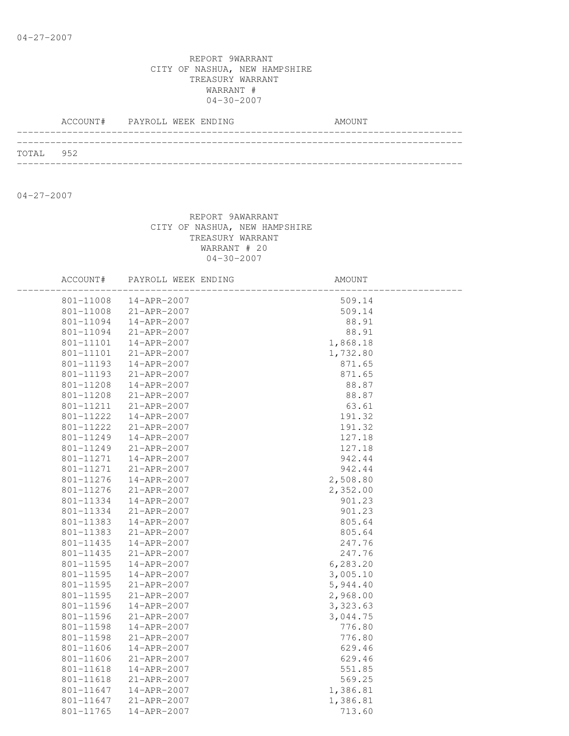|           | ACCOUNT# PAYROLL WEEK ENDING |  | AMOUNT |
|-----------|------------------------------|--|--------|
|           |                              |  |        |
| TOTAL 952 |                              |  |        |
|           |                              |  |        |

04-27-2007

| ACCOUNT#  | PAYROLL WEEK ENDING | AMOUNT    |  |
|-----------|---------------------|-----------|--|
| 801-11008 | 14-APR-2007         | 509.14    |  |
| 801-11008 | 21-APR-2007         | 509.14    |  |
| 801-11094 | 14-APR-2007         | 88.91     |  |
| 801-11094 | 21-APR-2007         | 88.91     |  |
| 801-11101 | 14-APR-2007         | 1,868.18  |  |
| 801-11101 | 21-APR-2007         | 1,732.80  |  |
| 801-11193 | 14-APR-2007         | 871.65    |  |
| 801-11193 | 21-APR-2007         | 871.65    |  |
| 801-11208 | 14-APR-2007         | 88.87     |  |
| 801-11208 | 21-APR-2007         | 88.87     |  |
| 801-11211 | 21-APR-2007         | 63.61     |  |
| 801-11222 | 14-APR-2007         | 191.32    |  |
| 801-11222 | $21 - APR - 2007$   | 191.32    |  |
| 801-11249 | 14-APR-2007         | 127.18    |  |
| 801-11249 | 21-APR-2007         | 127.18    |  |
| 801-11271 | 14-APR-2007         | 942.44    |  |
| 801-11271 | 21-APR-2007         | 942.44    |  |
| 801-11276 | 14-APR-2007         | 2,508.80  |  |
| 801-11276 | 21-APR-2007         | 2,352.00  |  |
| 801-11334 | 14-APR-2007         | 901.23    |  |
| 801-11334 | 21-APR-2007         | 901.23    |  |
| 801-11383 | 14-APR-2007         | 805.64    |  |
| 801-11383 | 21-APR-2007         | 805.64    |  |
| 801-11435 | $14 - APR - 2007$   | 247.76    |  |
| 801-11435 | 21-APR-2007         | 247.76    |  |
| 801-11595 | 14-APR-2007         | 6,283.20  |  |
| 801-11595 | 14-APR-2007         | 3,005.10  |  |
| 801-11595 | 21-APR-2007         | 5,944.40  |  |
| 801-11595 | 21-APR-2007         | 2,968.00  |  |
| 801-11596 | 14-APR-2007         | 3, 323.63 |  |
| 801-11596 | 21-APR-2007         | 3,044.75  |  |
| 801-11598 | 14-APR-2007         | 776.80    |  |
| 801-11598 | 21-APR-2007         | 776.80    |  |
| 801-11606 | 14-APR-2007         | 629.46    |  |
| 801-11606 | 21-APR-2007         | 629.46    |  |
| 801-11618 | 14-APR-2007         | 551.85    |  |
| 801-11618 | 21-APR-2007         | 569.25    |  |
| 801-11647 | 14-APR-2007         | 1,386.81  |  |
| 801-11647 | 21-APR-2007         | 1,386.81  |  |
| 801-11765 | $14 - APR - 2007$   | 713.60    |  |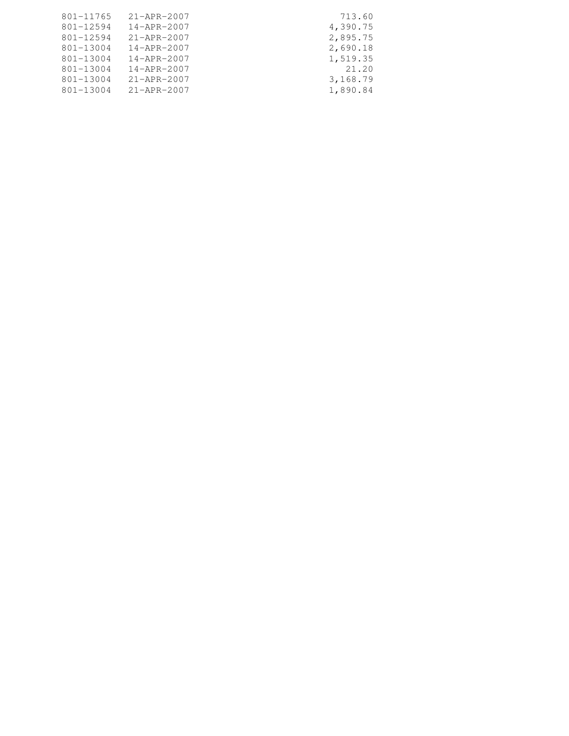| 801-11765 | 21-APR-2007       | 713.60   |
|-----------|-------------------|----------|
| 801-12594 | $14 - APR - 2007$ | 4,390.75 |
| 801-12594 | 21-APR-2007       | 2,895.75 |
| 801-13004 | $14 - APR - 2007$ | 2,690.18 |
| 801-13004 | $14 - APR - 2007$ | 1,519.35 |
| 801-13004 | $14 - APR - 2007$ | 21.20    |
| 801-13004 | $21 - APR - 2007$ | 3,168.79 |
| 801-13004 | 21-APR-2007       | 1,890.84 |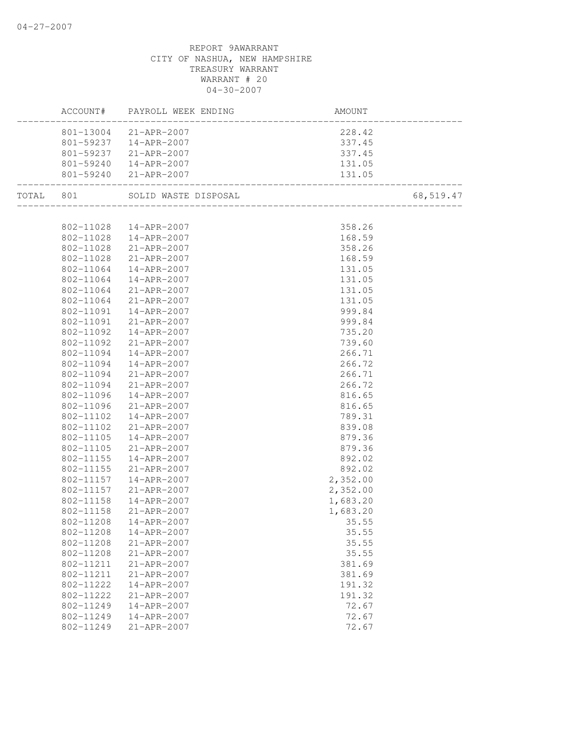|           | ACCOUNT# PAYROLL WEEK ENDING   | AMOUNT                                  |           |
|-----------|--------------------------------|-----------------------------------------|-----------|
|           | 801-13004 21-APR-2007          | 228.42                                  |           |
|           | 801-59237  14-APR-2007         | 337.45                                  |           |
|           | 801-59237 21-APR-2007          | 337.45                                  |           |
|           | 801-59240  14-APR-2007         | 131.05                                  |           |
|           | 801-59240 21-APR-2007          | 131.05                                  |           |
|           | TOTAL 801 SOLID WASTE DISPOSAL | b<br>================================== | 68,519.47 |
|           |                                |                                         |           |
|           | 802-11028  14-APR-2007         | 358.26                                  |           |
|           | 802-11028  14-APR-2007         | 168.59                                  |           |
|           | 802-11028 21-APR-2007          | 358.26                                  |           |
| 802-11028 | 21-APR-2007                    | 168.59                                  |           |
| 802-11064 | 14-APR-2007                    | 131.05                                  |           |
| 802-11064 | $14 - APR - 2007$              | 131.05                                  |           |
| 802-11064 | 21-APR-2007                    | 131.05                                  |           |
| 802-11064 | $21 - APR - 2007$              | 131.05                                  |           |
| 802-11091 | 14-APR-2007                    | 999.84                                  |           |
| 802-11091 | 21-APR-2007                    | 999.84                                  |           |
| 802-11092 | 14-APR-2007                    | 735.20                                  |           |
| 802-11092 | 21-APR-2007                    | 739.60                                  |           |
| 802-11094 | 14-APR-2007                    | 266.71                                  |           |
| 802-11094 | 14-APR-2007                    | 266.72                                  |           |
| 802-11094 | 21-APR-2007                    | 266.71                                  |           |
| 802-11094 | 21-APR-2007                    | 266.72                                  |           |
| 802-11096 | 14-APR-2007                    | 816.65                                  |           |
| 802-11096 | 21-APR-2007                    | 816.65                                  |           |
| 802-11102 | 14-APR-2007                    | 789.31                                  |           |
| 802-11102 | 21-APR-2007                    | 839.08                                  |           |
| 802-11105 | 14-APR-2007                    | 879.36                                  |           |
| 802-11105 | 21-APR-2007                    | 879.36                                  |           |
| 802-11155 | 14-APR-2007                    | 892.02                                  |           |
| 802-11155 | 21-APR-2007                    | 892.02                                  |           |
| 802-11157 | 14-APR-2007                    | 2,352.00                                |           |
| 802-11157 |                                | 2,352.00                                |           |
| 802-11158 | 21-APR-2007<br>14-APR-2007     | 1,683.20                                |           |
| 802-11158 | $21 - APR - 2007$              | 1,683.20                                |           |
|           | 802-11208  14-APR-2007         | 35.55                                   |           |
| 802-11208 | $14 - APR - 2007$              | 35.55                                   |           |
| 802-11208 | 21-APR-2007                    | 35.55                                   |           |
| 802-11208 | 21-APR-2007                    | 35.55                                   |           |
| 802-11211 | 21-APR-2007                    | 381.69                                  |           |
| 802-11211 | 21-APR-2007                    | 381.69                                  |           |
| 802-11222 | 14-APR-2007                    | 191.32                                  |           |
| 802-11222 | 21-APR-2007                    | 191.32                                  |           |
| 802-11249 | 14-APR-2007                    | 72.67                                   |           |
| 802-11249 | 14-APR-2007                    | 72.67                                   |           |
| 802-11249 | 21-APR-2007                    | 72.67                                   |           |
|           |                                |                                         |           |